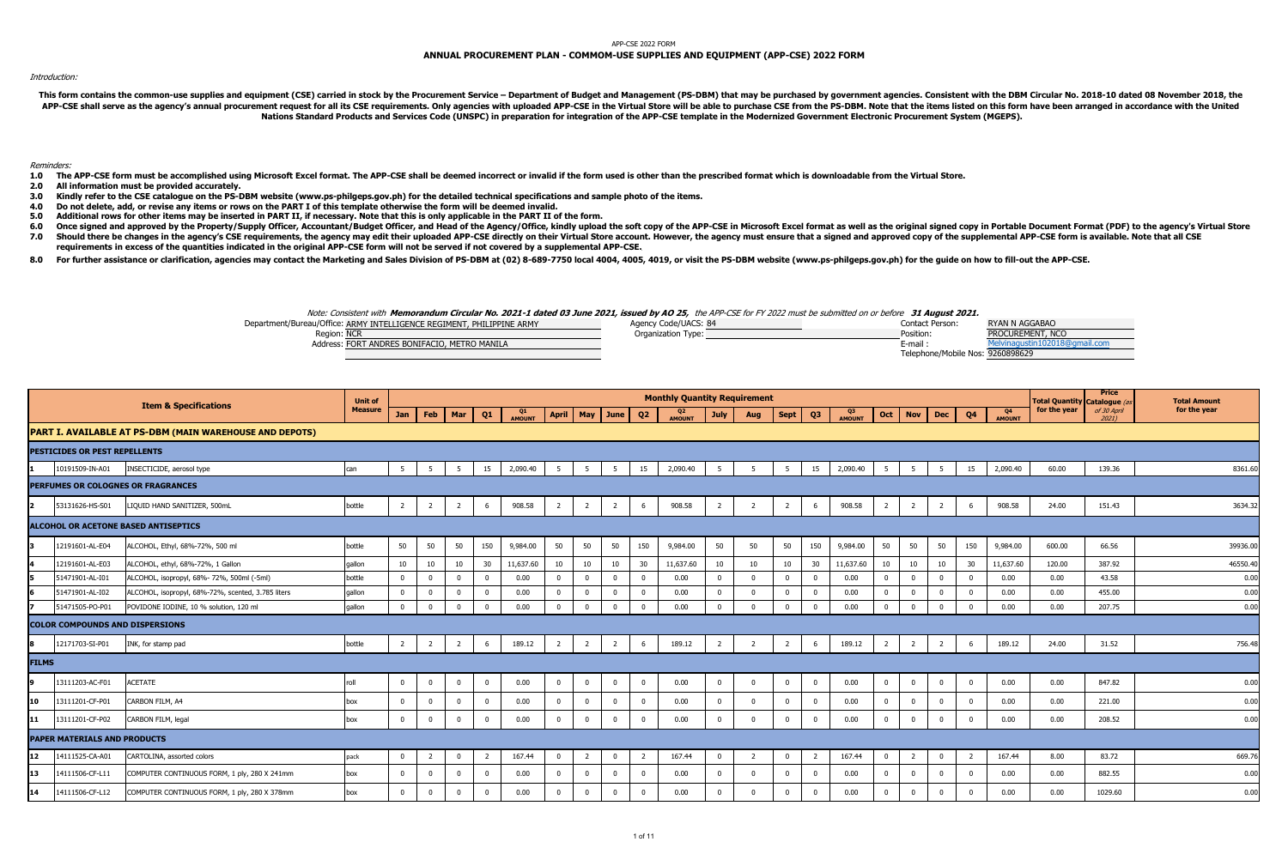### APP-CSE 2022 FORM

# **ANNUAL PROCUREMENT PLAN - COMMOM-USE SUPPLIES AND EQUIPMENT (APP-CSE) 2022 FORM**

# Introduction:

This form contains the common-use supplies and equipment (CSE) carried in stock by the Procurement Service - Department of Budget and Management (PS-DBM) that may be purchased by government agencies. Consistent with the DB APP-CSE shall serve as the agency's annual procurement request for all its CSE requirements. Only agencies with uploaded APP-CSE in the Virtual Store will be able to purchase CSE from the PS-DBM. Note that the items listed **Nations Standard Products and Services Code (UNSPC) in preparation for integration of the APP-CSE template in the Modernized Government Electronic Procurement System (MGEPS).** 

### Reminders:

1.0 The APP-CSE form must be accomplished using Microsoft Excel format. The APP-CSE shall be deemed incorrect or invalid if the form used is other than the prescribed format which is downloadable from the Virtual Store.

 **2.0All information must be provided accurately.**

- **3.0Kindly refer to the CSE catalogue on the PS-DBM website (www.ps-philgeps.gov.ph) for the detailed technical specifications and sample photo of the items.**
- $4.0$ **4.0 Do not delete, add, or revise any items or rows on the PART I of this template otherwise the form will be deemed invalid.**
- **5.0Additional rows for other items may be inserted in PART II, if necessary. Note that this is only applicable in the PART II of the form.**
- **6.0 7.0**Once signed and approved by the Property/Supply Officer, Accountant/Budget Officer, and Head of the Agency/Office, kindly upload the soft copy of the APP-CSE in Microsoft Excel format as well as the original signed copy in Should there be changes in the agency's CSE requirements, the agency may edit their uploaded APP-CSE directly on their Virtual Store account. However, the agency must ensure that a signed and approved copy of the supplemen **requirements in excess of the quantities indicated in the original APP-CSE form will not be served if not covered by a supplemental APP-CSE.**
- 8.0 For further assistance or clarification, agencies may contact the Marketing and Sales Division of PS-DBM at (02) 8-689-7750 local 4004, 4005, 4019, or visit the PS-DBM website (www.ps-philgeps.gov.ph) for the guide on

## Note: Consistent with **Memorandum Circular No. 2021-1 dated 03 June 2021, issued by AO 25,** the APP-CSE for FY 2022 must be submitted on or before **31 August 2021.**

| Department/Bureau/Office: ARMY INTELLIGENCE REGIMENT, PHILIPPINE ARMY | Agency Code/UACS: 84 | Contact Person:                  | <b>RYAN N AGGABAO</b> |
|-----------------------------------------------------------------------|----------------------|----------------------------------|-----------------------|
| Region: NCR                                                           | Organization Type:   | Position:                        | PROCUREMENT, NCO      |
| Address: FORT ANDRES BONIFACIO, METRO MANILA                          |                      | E-mail                           | ustin102018@          |
|                                                                       |                      | Telephone/Mobile Nos: 9260898629 |                       |

|              |                                        |                                                                | <b>Unit of</b> |                |                |                |                |              |                |                |                |                         | <b>Monthly Quantity Requirement</b> |                |                |                |                |              |                |                |                |                |                     | <b>Total Quantity Catalogue (a</b> | <b>Price</b>         | <b>Total Amount</b> |
|--------------|----------------------------------------|----------------------------------------------------------------|----------------|----------------|----------------|----------------|----------------|--------------|----------------|----------------|----------------|-------------------------|-------------------------------------|----------------|----------------|----------------|----------------|--------------|----------------|----------------|----------------|----------------|---------------------|------------------------------------|----------------------|---------------------|
|              |                                        | <b>Item &amp; Specifications</b>                               | <b>Measure</b> | Jan            | Feb            | Mar            | Q <sub>1</sub> | Q1<br>AMOUNT | <b>April</b>   | May            | June           | Q <sub>2</sub>          | Q <sub>2</sub><br>AMOUNT            | <b>July</b>    | Aug            | <b>Sept</b>    | Q <sub>3</sub> | Q3<br>AMOUNT | Oct            | <b>Nov</b>     | <b>Dec</b>     | Q <sub>4</sub> | Q4<br><b>AMOUNT</b> | for the year                       | of 30 April<br>20211 | for the year        |
|              |                                        | <b>PART I. AVAILABLE AT PS-DBM (MAIN WAREHOUSE AND DEPOTS)</b> |                |                |                |                |                |              |                |                |                |                         |                                     |                |                |                |                |              |                |                |                |                |                     |                                    |                      |                     |
|              | <b>PESTICIDES OR PEST REPELLENTS</b>   |                                                                |                |                |                |                |                |              |                |                |                |                         |                                     |                |                |                |                |              |                |                |                |                |                     |                                    |                      |                     |
|              | 10191509-IN-A01                        | INSECTICIDE, aerosol type                                      | can            | - 5            | -5             | 5              | 15             | 2,090.40     | - 5            | -5             | 5              | 15                      | 2,090.40                            | -5             | -5             | 5              | 15             | 2,090.40     | - 5            | - 5            | - 5            | 15             | 2,090.40            | 60.00                              | 139.36               | 8361.60             |
|              |                                        | PERFUMES OR COLOGNES OR FRAGRANCES                             |                |                |                |                |                |              |                |                |                |                         |                                     |                |                |                |                |              |                |                |                |                |                     |                                    |                      |                     |
|              | 53131626-HS-S01                        | LIQUID HAND SANITIZER, 500mL                                   | bottle         | $\overline{2}$ | $\overline{2}$ | $\overline{2}$ | 6              | 908.58       | $\overline{2}$ | $\overline{2}$ | $\overline{2}$ | 6                       | 908.58                              | $\overline{2}$ |                | $\overline{2}$ | 6              | 908.58       | $\overline{2}$ | $\overline{2}$ | 2              | - 6            | 908.58              | 24.00                              | 151.43               | 3634.32             |
|              |                                        | ALCOHOL OR ACETONE BASED ANTISEPTICS                           |                |                |                |                |                |              |                |                |                |                         |                                     |                |                |                |                |              |                |                |                |                |                     |                                    |                      |                     |
| Iз           | 12191601-AL-E04                        | ALCOHOL, Ethyl, 68%-72%, 500 ml                                | bottle         | 50             | 50             | 50             | 150            | 9,984.00     | 50             | 50             | 50             | 150                     | 9,984.00                            | 50             | 50             | 50             | 150            | 9,984.00     | 50             | 50             | 50             | 150            | 9,984.00            | 600.00                             | 66.56                | 39936.00            |
|              | 12191601-AL-E03                        | ALCOHOL, ethyl, 68%-72%, 1 Gallon                              | gallon         | 10             | 10             | 10             | 30             | 11,637.60    | 10             | 10             | 10             | 30                      | 11,637.60                           | 10             | 10             | 10             | 30             | 11,637.60    | 10             | 10             | 10             | 30             | 11,637.60           | 120.00                             | 387.92               | 46550.40            |
| ls.          | 51471901-AL-I01                        | ALCOHOL, isopropyl, 68%- 72%, 500ml (-5ml)                     | bottle         | $\Omega$       | $\Omega$       | $\mathbf{0}$   | $\Omega$       | 0.00         | $\Omega$       | $\Omega$       | $\Omega$       | $\overline{0}$          | 0.00                                | $\Omega$       | $\Omega$       | $\overline{0}$ | $\Omega$       | 0.00         | $\overline{0}$ | $\Omega$       | $\Omega$       | $\Omega$       | 0.00                | 0.00                               | 43.58                | 0.00                |
|              | 51471901-AL-I02                        | ALCOHOL, isopropyl, 68%-72%, scented, 3.785 liters             | qallon         |                |                | $\mathbf 0$    | $\Omega$       | 0.00         | $\Omega$       |                | $\overline{0}$ | $\Omega$                | 0.00                                | $\Omega$       | $\mathbf 0$    | $\Omega$       | $\Omega$       | 0.00         | $\mathbf 0$    |                | $^{\circ}$     | $\Omega$       | 0.00                | 0.00                               | 455.00               | 0.00                |
|              | 51471505-PO-P01                        | POVIDONE IODINE, 10 % solution, 120 ml                         | qallon         |                | $\Omega$       | $\mathbf{0}$   | $\Omega$       | 0.00         |                |                | $\mathbf{0}$   | $\Omega$                | 0.00                                | $\Omega$       | $\Omega$       | $\Omega$       | $\Omega$       | 0.00         | $\Omega$       | $\Omega$       | $\Omega$       | $\Omega$       | 0.00                | 0.00                               | 207.75               | 0.00                |
|              | <b>COLOR COMPOUNDS AND DISPERSIONS</b> |                                                                |                |                |                |                |                |              |                |                |                |                         |                                     |                |                |                |                |              |                |                |                |                |                     |                                    |                      |                     |
|              | 12171703-SI-P01                        | INK, for stamp pad                                             | bottle         | $\overline{2}$ | $\overline{2}$ | $\overline{2}$ | 6              | 189.12       | $\overline{2}$ | $\overline{2}$ | $\overline{2}$ | 6                       | 189.12                              | $\overline{2}$ | $\overline{2}$ | $\overline{2}$ | 6              | 189.12       | $\overline{2}$ | $\overline{2}$ | $\overline{2}$ | 6              | 189.12              | 24.00                              | 31.52                | 756.48              |
| <b>FILMS</b> |                                        |                                                                |                |                |                |                |                |              |                |                |                |                         |                                     |                |                |                |                |              |                |                |                |                |                     |                                    |                      |                     |
|              | 13111203-AC-F01                        | <b>ACETATE</b>                                                 | roll           | $\Omega$       | $\Omega$       | $\mathbf 0$    | $^{\circ}$     | 0.00         | $\bf{0}$       | $\mathbf{0}$   | $\mathbf{0}$   | $\overline{\mathbf{0}}$ | 0.00                                | $\mathbf{0}$   | $\mathbf{0}$   | $\mathbf 0$    | $\mathbf 0$    | 0.00         | $\mathbf 0$    | $\mathbf{0}$   | $\mathbf 0$    | $\Omega$       | 0.00                | 0.00                               | 847.82               | 0.00                |
| 10           | 13111201-CF-P01                        | CARBON FILM, A4                                                | box            |                |                | $\mathbf 0$    | $\Omega$       | 0.00         | $\mathbf{0}$   |                | $\overline{0}$ | $\Omega$                | 0.00                                | $\Omega$       | $\Omega$       | $\mathbf{0}$   | $\Omega$       | 0.00         | $\mathbf 0$    | $\Omega$       |                | $\Omega$       | 0.00                | 0.00                               | 221.00               | 0.00                |
| 11           | 13111201-CF-P02                        | CARBON FILM, legal                                             | box            | $\Omega$       | $\Omega$       | $\mathbf 0$    | $\mathbf{0}$   | 0.00         | $\bf{0}$       | $\Omega$       | $\mathbf 0$    | $\Omega$                | 0.00                                | $\Omega$       | $\Omega$       | $\overline{0}$ | $\mathbf{0}$   | 0.00         | $\mathbf 0$    | $\overline{0}$ | $^{\circ}$     | $\overline{0}$ | 0.00                | 0.00                               | 208.52               | 0.00                |
|              | <b>PAPER MATERIALS AND PRODUCTS</b>    |                                                                |                |                |                |                |                |              |                |                |                |                         |                                     |                |                |                |                |              |                |                |                |                |                     |                                    |                      |                     |
| 12           | 14111525-CA-A01                        | CARTOLINA, assorted colors                                     | pack           | $\Omega$       |                | $\mathbf 0$    |                | 167.44       | $\mathbf 0$    | 2              | $\mathbf{0}$   | $\overline{2}$          | 167.44                              | $\mathbf{0}$   |                | $\mathbf{0}$   | $\overline{2}$ | 167.44       | $\mathbf{0}$   | $\overline{2}$ | $^{\circ}$     | $\overline{2}$ | 167.44              | 8.00                               | 83.72                | 669.76              |
| 113          | 14111506-CF-L11                        | COMPUTER CONTINUOUS FORM, 1 ply, 280 X 241mm                   | box            | $\Omega$       |                | $\mathbf{0}$   | $\Omega$       | 0.00         | $\Omega$       |                | $\mathbf{0}$   | $\Omega$                | 0.00                                | $\Omega$       | $\Omega$       | $\mathbf{0}$   | $\Omega$       | 0.00         | $\overline{0}$ | $\Omega$       |                | $\sqrt{ }$     | 0.00                | 0.00                               | 882.55               | 0.00                |
| 14           | 14111506-CF-L12                        | COMPUTER CONTINUOUS FORM, 1 ply, 280 X 378mm                   | box            | $\Omega$       | $\Omega$       | $\mathbf{0}$   | $\Omega$       | 0.00         | $\mathbf{0}$   | $\Omega$       | $\mathbf{0}$   | $\Omega$                | 0.00                                | $\Omega$       | $\Omega$       | $\overline{0}$ | $\Omega$       | 0.00         | $\overline{0}$ | $\Omega$       | $\Omega$       | $\Omega$       | 0.00                | 0.00                               | 1029.60              | 0.00                |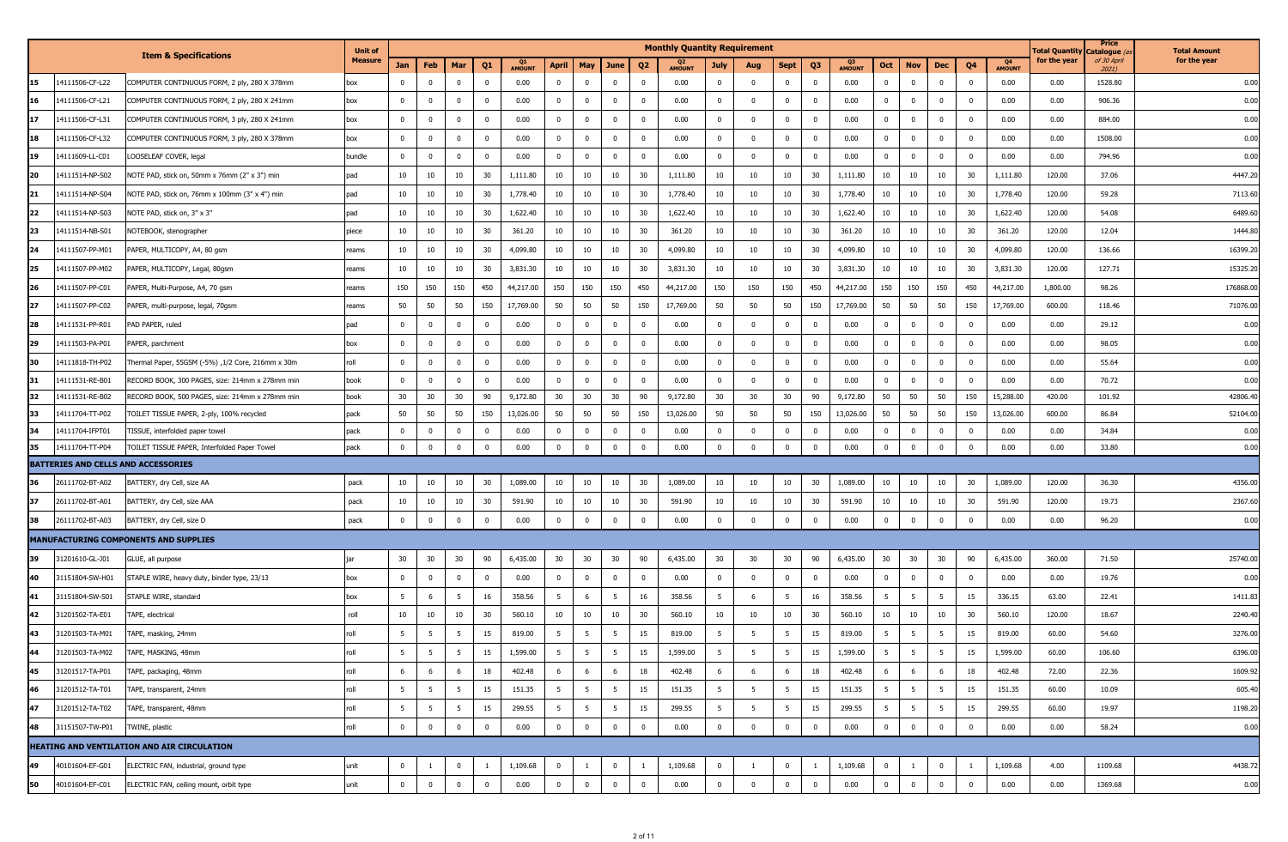| <b>Total Quantity</b><br>Catalogue (<br><b>Item &amp; Specifications</b><br>for the year<br><b>Measure</b><br>of 30 April<br>Q <sub>4</sub><br>Q1<br>Q <sub>3</sub><br>Jan<br>Feb<br>Mar<br>Q <sub>1</sub><br>May<br>Q3<br>Q4<br><b>April</b><br>June<br>Q <sub>2</sub><br><b>Sept</b><br>Oct<br><b>Nov</b><br>Dec<br>July<br>Aug<br><b>AMOUNT</b><br><b>AMOUNT</b><br><b>AMOUNT</b><br><b>AMOUNT</b><br>2021)<br>14111506-CF-L22<br>$\mathbf{0}$<br>$\overline{0}$<br>$\overline{0}$<br>0.00<br>$\overline{0}$<br>COMPUTER CONTINUOUS FORM, 2 ply, 280 X 378mm<br>$\mathbf{0}$<br>$\mathbf{0}$<br>0.00<br>$\mathbf 0$<br>$\mathbf 0$<br>$\mathbf{0}$<br>0.00<br>$\mathbf{0}$<br>$\mathbf 0$<br>$\overline{\mathbf{0}}$<br>$\Omega$<br>0.00<br>0.00<br>1528.80<br>box<br>$\Omega$<br>14111506-CF-L21<br>$\mathbf 0$<br>$\overline{0}$<br>$\overline{0}$<br>$\overline{0}$<br>906.36<br>COMPUTER CONTINUOUS FORM, 2 ply, 280 X 241mm<br>$\mathbf 0$<br>$\overline{0}$<br>0.00<br>$\overline{0}$<br>$\mathbf{0}$<br>$^{\circ}$<br>$\mathbf{0}$<br>0.00<br>$\mathbf{0}$<br>$\mathbf 0$<br>0.00<br>$\mathbf{0}$<br>$\mathbf{0}$<br>$\Omega$<br>0.00<br>0.00<br>box<br>$\overline{0}$<br>14111506-CF-L31<br>COMPUTER CONTINUOUS FORM, 3 ply, 280 X 241mm<br>$\mathbf 0$<br>$\mathbf{0}$<br>0.00<br>$\mathbf{0}$<br>$\mathbf{0}$<br>$\mathbf{0}$<br>0.00<br>$\mathbf{0}$<br>$\mathbf{0}$<br>0.00<br>$\mathbf 0$<br>$\mathbf{0}$<br>0.00<br>0.00<br>884.00<br>box<br>$^{\circ}$<br>$^{\circ}$<br>$\mathbf{0}$<br>14111506-CF-L32<br>$\mathbf 0$<br>0.00<br>$\overline{0}$<br>$\overline{0}$<br>$\overline{0}$<br>$\overline{0}$<br>$\overline{0}$<br>0.00<br>$\overline{0}$<br>0.00<br>1508.00<br>COMPUTER CONTINUOUS FORM, 3 ply, 280 X 378mm<br>$\mathbf 0$<br>$\overline{0}$<br>$\Omega$<br>$^{\circ}$<br>$\mathbf{0}$<br>0.00<br>$\mathbf 0$<br>$\mathbf{0}$<br>$\mathbf{0}$<br>$\Omega$<br>0.00<br>box<br>$\mathbf 0$<br>$\mathbf 0$<br>0.00<br>$\bf{0}$<br>$\overline{0}$<br>$\mathbf{0}$<br>$\overline{0}$<br>$\bf{0}$<br>0.00<br>$\overline{0}$<br>$\overline{0}$<br>794.96<br>14111609-LL-C01<br>LOOSELEAF COVER, legal<br>bundle<br>0<br>$\overline{0}$<br>$^{\circ}$<br>0.00<br>$\mathbf 0$<br>$\mathbf{0}$<br>0.00<br>0.00<br>$^{\circ}$<br>20<br>14111514-NP-S02<br>10<br>10<br>10<br>10<br>10<br>10<br>1,111.80<br>10<br>10<br>1,111.80<br>10<br>30<br>120.00<br>37.06<br>30<br>1,111.80<br>30<br>10<br>30<br>10<br>10<br>1,111.80<br>pad | for the year<br>0.00<br>0.00<br>0.00<br>0.00<br>0.00<br>4447.20<br>7113.60<br>6489.60<br>1444.80<br>16399.20 |
|--------------------------------------------------------------------------------------------------------------------------------------------------------------------------------------------------------------------------------------------------------------------------------------------------------------------------------------------------------------------------------------------------------------------------------------------------------------------------------------------------------------------------------------------------------------------------------------------------------------------------------------------------------------------------------------------------------------------------------------------------------------------------------------------------------------------------------------------------------------------------------------------------------------------------------------------------------------------------------------------------------------------------------------------------------------------------------------------------------------------------------------------------------------------------------------------------------------------------------------------------------------------------------------------------------------------------------------------------------------------------------------------------------------------------------------------------------------------------------------------------------------------------------------------------------------------------------------------------------------------------------------------------------------------------------------------------------------------------------------------------------------------------------------------------------------------------------------------------------------------------------------------------------------------------------------------------------------------------------------------------------------------------------------------------------------------------------------------------------------------------------------------------------------------------------------------------------------------------------------------------------------------------------------------------------------------------------------------------------------------------------------------------------------------------------------------------|--------------------------------------------------------------------------------------------------------------|
|                                                                                                                                                                                                                                                                                                                                                                                                                                                                                                                                                                                                                                                                                                                                                                                                                                                                                                                                                                                                                                                                                                                                                                                                                                                                                                                                                                                                                                                                                                                                                                                                                                                                                                                                                                                                                                                                                                                                                                                                                                                                                                                                                                                                                                                                                                                                                                                                                                                  |                                                                                                              |
|                                                                                                                                                                                                                                                                                                                                                                                                                                                                                                                                                                                                                                                                                                                                                                                                                                                                                                                                                                                                                                                                                                                                                                                                                                                                                                                                                                                                                                                                                                                                                                                                                                                                                                                                                                                                                                                                                                                                                                                                                                                                                                                                                                                                                                                                                                                                                                                                                                                  |                                                                                                              |
|                                                                                                                                                                                                                                                                                                                                                                                                                                                                                                                                                                                                                                                                                                                                                                                                                                                                                                                                                                                                                                                                                                                                                                                                                                                                                                                                                                                                                                                                                                                                                                                                                                                                                                                                                                                                                                                                                                                                                                                                                                                                                                                                                                                                                                                                                                                                                                                                                                                  |                                                                                                              |
|                                                                                                                                                                                                                                                                                                                                                                                                                                                                                                                                                                                                                                                                                                                                                                                                                                                                                                                                                                                                                                                                                                                                                                                                                                                                                                                                                                                                                                                                                                                                                                                                                                                                                                                                                                                                                                                                                                                                                                                                                                                                                                                                                                                                                                                                                                                                                                                                                                                  |                                                                                                              |
|                                                                                                                                                                                                                                                                                                                                                                                                                                                                                                                                                                                                                                                                                                                                                                                                                                                                                                                                                                                                                                                                                                                                                                                                                                                                                                                                                                                                                                                                                                                                                                                                                                                                                                                                                                                                                                                                                                                                                                                                                                                                                                                                                                                                                                                                                                                                                                                                                                                  |                                                                                                              |
|                                                                                                                                                                                                                                                                                                                                                                                                                                                                                                                                                                                                                                                                                                                                                                                                                                                                                                                                                                                                                                                                                                                                                                                                                                                                                                                                                                                                                                                                                                                                                                                                                                                                                                                                                                                                                                                                                                                                                                                                                                                                                                                                                                                                                                                                                                                                                                                                                                                  |                                                                                                              |
| NOTE PAD, stick on, 50mm x 76mm (2" x 3") min                                                                                                                                                                                                                                                                                                                                                                                                                                                                                                                                                                                                                                                                                                                                                                                                                                                                                                                                                                                                                                                                                                                                                                                                                                                                                                                                                                                                                                                                                                                                                                                                                                                                                                                                                                                                                                                                                                                                                                                                                                                                                                                                                                                                                                                                                                                                                                                                    |                                                                                                              |
| 14111514-NP-S04<br>10<br>10<br>1,778.40<br>10<br>10<br>10<br>10<br>10<br>1,778.40<br>21<br>NOTE PAD, stick on, 76mm x 100mm (3" x 4") min<br>10<br>30<br>10<br>30<br>1,778.40<br>10<br>30<br>1,778.40<br>10<br>10<br>30<br>120.00<br>59.28<br>pad                                                                                                                                                                                                                                                                                                                                                                                                                                                                                                                                                                                                                                                                                                                                                                                                                                                                                                                                                                                                                                                                                                                                                                                                                                                                                                                                                                                                                                                                                                                                                                                                                                                                                                                                                                                                                                                                                                                                                                                                                                                                                                                                                                                                |                                                                                                              |
| 22<br>4111514-NP-S03<br>10<br>10<br>10<br>1,622.40<br>10<br>10<br>10<br>30<br>1,622.40<br>10<br>10<br>10<br>1,622.40<br>10<br>10<br>10<br>30<br>1,622.40<br>120.00<br>54.08<br>NOTE PAD, stick on, 3" x 3"<br>pad<br>30<br>30                                                                                                                                                                                                                                                                                                                                                                                                                                                                                                                                                                                                                                                                                                                                                                                                                                                                                                                                                                                                                                                                                                                                                                                                                                                                                                                                                                                                                                                                                                                                                                                                                                                                                                                                                                                                                                                                                                                                                                                                                                                                                                                                                                                                                    |                                                                                                              |
| 10<br>10<br>10<br>10<br>10<br>30<br>10<br>10<br>10<br>10<br>10<br>30<br>23<br>14111514-NB-S01<br>NOTEBOOK, stenographer<br>10<br>30<br>361.20<br>361.20<br>10<br>30<br>361.20<br>361.20<br>120.00<br>12.04<br>piece                                                                                                                                                                                                                                                                                                                                                                                                                                                                                                                                                                                                                                                                                                                                                                                                                                                                                                                                                                                                                                                                                                                                                                                                                                                                                                                                                                                                                                                                                                                                                                                                                                                                                                                                                                                                                                                                                                                                                                                                                                                                                                                                                                                                                              |                                                                                                              |
| 10<br>10<br>4,099.80<br>10<br>10<br>4,099.80<br>10<br>10<br>4,099.80<br>10<br>30<br>4,099.80<br>136.66<br>24<br>14111507-PP-M01<br>PAPER, MULTICOPY, A4, 80 gsm<br>10<br>30<br>10<br>30<br>10<br>30<br>10<br>10<br>120.00<br>eams                                                                                                                                                                                                                                                                                                                                                                                                                                                                                                                                                                                                                                                                                                                                                                                                                                                                                                                                                                                                                                                                                                                                                                                                                                                                                                                                                                                                                                                                                                                                                                                                                                                                                                                                                                                                                                                                                                                                                                                                                                                                                                                                                                                                                |                                                                                                              |
| 10<br>10<br>10<br>10<br>10<br>10<br>10<br>10<br>30<br>3,831.30<br>25<br>14111507-PP-M02<br>PAPER, MULTICOPY, Legal, 80gsm<br>30<br>3,831.30<br>10<br>30<br>3,831.30<br>10<br>30<br>3,831.30<br>10<br>10<br>120.00<br>127.71<br>reams                                                                                                                                                                                                                                                                                                                                                                                                                                                                                                                                                                                                                                                                                                                                                                                                                                                                                                                                                                                                                                                                                                                                                                                                                                                                                                                                                                                                                                                                                                                                                                                                                                                                                                                                                                                                                                                                                                                                                                                                                                                                                                                                                                                                             | 15325.20                                                                                                     |
| 150<br>150<br>26<br>14111507-PP-C01<br>150<br>150<br>150<br>450<br>44,217.00<br>150<br>150<br>450<br>44,217.00<br>150<br>150<br>150<br>450<br>44,217.00<br>150<br>150<br>450<br>44,217.00<br>1,800.00<br>98.26<br>PAPER, Multi-Purpose, A4, 70 gsm<br>eams                                                                                                                                                                                                                                                                                                                                                                                                                                                                                                                                                                                                                                                                                                                                                                                                                                                                                                                                                                                                                                                                                                                                                                                                                                                                                                                                                                                                                                                                                                                                                                                                                                                                                                                                                                                                                                                                                                                                                                                                                                                                                                                                                                                       | 176868.00                                                                                                    |
| 50<br>50<br>50<br>27<br>14111507-PP-C02<br>50<br>50<br>150<br>17,769.00<br>50<br>50<br>150<br>17,769.00<br>50<br>50<br>150<br>17,769.00<br>50<br>50<br>50<br>150<br>17,769.00<br>600.00<br>118.46<br>PAPER, multi-purpose, legal, 70gsm<br>eams                                                                                                                                                                                                                                                                                                                                                                                                                                                                                                                                                                                                                                                                                                                                                                                                                                                                                                                                                                                                                                                                                                                                                                                                                                                                                                                                                                                                                                                                                                                                                                                                                                                                                                                                                                                                                                                                                                                                                                                                                                                                                                                                                                                                  | 71076.00                                                                                                     |
| 28<br>14111531-PP-R01<br>$\mathbf 0$<br>0.00<br>$\mathbf 0$<br>$\overline{0}$<br>$\overline{0}$<br>$\overline{0}$<br>0.00<br>$\overline{0}$<br>0.00<br>29.12<br>PAD PAPER, ruled<br>$\Omega$<br>$\mathbf 0$<br>$\overline{0}$<br>$\mathbf{0}$<br>0.00<br>$\mathbf{0}$<br>0.00<br>pad<br>$^{\circ}$<br>0<br>$\mathbf{0}$<br>$\Omega$                                                                                                                                                                                                                                                                                                                                                                                                                                                                                                                                                                                                                                                                                                                                                                                                                                                                                                                                                                                                                                                                                                                                                                                                                                                                                                                                                                                                                                                                                                                                                                                                                                                                                                                                                                                                                                                                                                                                                                                                                                                                                                              | 0.00                                                                                                         |
| 29<br>14111503-PA-P01<br>0.00<br>$\bf{0}$<br>$\overline{0}$<br>0.00<br>$\overline{0}$<br>$\overline{0}$<br>0.00<br>0.00<br>0.00<br>98.05<br>PAPER, parchment<br>$^{\circ}$<br>$\overline{0}$<br>$\overline{0}$<br>$\mathbf{0}$<br>$\mathbf 0$<br>$\mathbf{0}$<br>$\overline{0}$<br>$\mathbf{0}$<br>$\mathbf{0}$<br>$\overline{\mathbf{0}}$<br>$\Omega$<br>$^{\circ}$<br>box                                                                                                                                                                                                                                                                                                                                                                                                                                                                                                                                                                                                                                                                                                                                                                                                                                                                                                                                                                                                                                                                                                                                                                                                                                                                                                                                                                                                                                                                                                                                                                                                                                                                                                                                                                                                                                                                                                                                                                                                                                                                      | 0.00                                                                                                         |
| l30<br>14111818-TH-P02<br>Thermal Paper, 55GSM (-5%) ,1/2 Core, 216mm x 30m<br>$\overline{0}$<br>$\overline{0}$<br>0.00<br>$\bf{0}$<br>$\mathbf{0}$<br>$\mathbf{0}$<br>0.00<br>$\overline{0}$<br>$\overline{0}$<br>$\overline{0}$<br>0.00<br>$\overline{0}$<br>$\mathbf 0$<br>$\overline{0}$<br>0.00<br>0.00<br>55.64<br>roll<br>$\Omega$<br>$\mathbf{0}$<br>$\mathbf 0$<br>$\Omega$<br>$\Omega$                                                                                                                                                                                                                                                                                                                                                                                                                                                                                                                                                                                                                                                                                                                                                                                                                                                                                                                                                                                                                                                                                                                                                                                                                                                                                                                                                                                                                                                                                                                                                                                                                                                                                                                                                                                                                                                                                                                                                                                                                                                 | 0.00                                                                                                         |
| 31<br>14111531-RE-B01<br>$\mathbf 0$<br>$\overline{0}$<br>0.00<br>$\mathbf{0}$<br>$\overline{0}$<br>$\mathbf{0}$<br>0.00<br>$\mathbf{0}$<br>$\mathbf 0$<br>$\overline{0}$<br>0.00<br>$\overline{0}$<br>0.00<br>70.72<br>RECORD BOOK, 300 PAGES, size: 214mm x 278mm min<br>$\mathbf 0$<br>$\Omega$<br>$\mathbf 0$<br>$\mathbf{0}$<br>$\mathbf{0}$<br>$\overline{\mathbf{0}}$<br>$^{\circ}$<br>0.00<br>book                                                                                                                                                                                                                                                                                                                                                                                                                                                                                                                                                                                                                                                                                                                                                                                                                                                                                                                                                                                                                                                                                                                                                                                                                                                                                                                                                                                                                                                                                                                                                                                                                                                                                                                                                                                                                                                                                                                                                                                                                                       | 0.00                                                                                                         |
| 32<br>14111531-RE-B02<br>30<br>30<br>30<br>90<br>9,172.80<br>30<br>30<br>30<br>90<br>9,172.80<br>30<br>30<br>30<br>90<br>9,172.80<br>50<br>50<br>50<br>150<br>15,288.00<br>420.00<br>101.92<br>RECORD BOOK, 500 PAGES, size: 214mm x 278mm min<br>book                                                                                                                                                                                                                                                                                                                                                                                                                                                                                                                                                                                                                                                                                                                                                                                                                                                                                                                                                                                                                                                                                                                                                                                                                                                                                                                                                                                                                                                                                                                                                                                                                                                                                                                                                                                                                                                                                                                                                                                                                                                                                                                                                                                           | 42806.40                                                                                                     |
| 33<br>14111704-TT-P02<br>50<br>50<br>50<br>13,026.00<br>50<br>50<br>50<br>150<br>13,026.00<br>50<br>50<br>50<br>150<br>13,026.00<br>50<br>50<br>50<br>150<br>13,026.00<br>600.00<br>86.84<br>TOILET TISSUE PAPER, 2-ply, 100% recycled<br>150<br>pack                                                                                                                                                                                                                                                                                                                                                                                                                                                                                                                                                                                                                                                                                                                                                                                                                                                                                                                                                                                                                                                                                                                                                                                                                                                                                                                                                                                                                                                                                                                                                                                                                                                                                                                                                                                                                                                                                                                                                                                                                                                                                                                                                                                            | 52104.00                                                                                                     |
| 34<br>14111704-IFPT01<br>TISSUE, interfolded paper towel<br>$\mathbf{0}$<br>0.00<br>$\mathbf 0$<br>$\mathbf 0$<br>0.00<br>$\mathbf{0}$<br>$\mathbf{0}$<br>$\overline{0}$<br>0.00<br>$\mathbf{0}$<br>$\mathbf{0}$<br>0.00<br>0.00<br>34.84<br>pack<br>$\Omega$<br>$^{\circ}$<br>$\Omega$<br>$^{\circ}$<br>0<br>$\Omega$                                                                                                                                                                                                                                                                                                                                                                                                                                                                                                                                                                                                                                                                                                                                                                                                                                                                                                                                                                                                                                                                                                                                                                                                                                                                                                                                                                                                                                                                                                                                                                                                                                                                                                                                                                                                                                                                                                                                                                                                                                                                                                                           | 0.00                                                                                                         |
| 0.00<br>$\overline{0}$<br>0.00<br>$\mathbf 0$<br>$\overline{0}$<br>$\overline{0}$<br>$\Omega$<br>$\mathbf{0}$<br>0.00<br>$\overline{0}$<br>$\overline{0}$<br>$\overline{0}$<br>$\Omega$<br>0.00<br>33.80<br>35<br>14111704-TT-P04<br>TOILET TISSUE PAPER, Interfolded Paper Towel<br>pack<br>$^{\circ}$<br>$\Omega$<br>$\Omega$<br>$\mathbf 0$<br>$\Omega$<br>0.00                                                                                                                                                                                                                                                                                                                                                                                                                                                                                                                                                                                                                                                                                                                                                                                                                                                                                                                                                                                                                                                                                                                                                                                                                                                                                                                                                                                                                                                                                                                                                                                                                                                                                                                                                                                                                                                                                                                                                                                                                                                                               | 0.00                                                                                                         |
| <b>BATTERIES AND CELLS AND ACCESSORIES</b>                                                                                                                                                                                                                                                                                                                                                                                                                                                                                                                                                                                                                                                                                                                                                                                                                                                                                                                                                                                                                                                                                                                                                                                                                                                                                                                                                                                                                                                                                                                                                                                                                                                                                                                                                                                                                                                                                                                                                                                                                                                                                                                                                                                                                                                                                                                                                                                                       |                                                                                                              |
| 26111702-BT-A02<br>10<br>10<br>10<br>30<br>1,089.00<br>10<br>10<br>10<br>30<br>10<br>10<br>10<br>30<br>1,089.00<br>10<br>10<br>10<br>30<br>1,089.00<br>120.00<br>36.30<br>36<br>BATTERY, dry Cell, size AA<br>pack<br>1,089.00                                                                                                                                                                                                                                                                                                                                                                                                                                                                                                                                                                                                                                                                                                                                                                                                                                                                                                                                                                                                                                                                                                                                                                                                                                                                                                                                                                                                                                                                                                                                                                                                                                                                                                                                                                                                                                                                                                                                                                                                                                                                                                                                                                                                                   | 4356.00                                                                                                      |
| 37<br>26111702-BT-A01<br>10<br>10<br>10<br>10<br>10<br>30<br>591.90<br>10<br>10<br>10<br>10<br>10<br>30<br>591.90<br>120.00<br>19.73<br>BATTERY, dry Cell, size AAA<br>pack<br>10<br>30<br>591.90<br>10<br>30<br>591.90                                                                                                                                                                                                                                                                                                                                                                                                                                                                                                                                                                                                                                                                                                                                                                                                                                                                                                                                                                                                                                                                                                                                                                                                                                                                                                                                                                                                                                                                                                                                                                                                                                                                                                                                                                                                                                                                                                                                                                                                                                                                                                                                                                                                                          | 2367.60                                                                                                      |
| $\overline{0}$<br>$\mathbf 0$<br>$\mathbf{0}$<br>$\mathbf 0$<br>$\mathbf 0$<br>$\overline{0}$<br>$\overline{0}$<br>0.00<br>$\overline{0}$<br>0.00<br>$\overline{0}$<br>$\overline{0}$<br>0.00<br>$\Omega$<br>96.20<br>38<br>26111702-BT-A03<br>BATTERY, dry Cell, size D<br>pack<br>$\mathbf 0$<br>$\Omega$<br>$\mathbf{0}$<br>$\mathbf{0}$<br>$\Omega$<br>0.00<br>0.00                                                                                                                                                                                                                                                                                                                                                                                                                                                                                                                                                                                                                                                                                                                                                                                                                                                                                                                                                                                                                                                                                                                                                                                                                                                                                                                                                                                                                                                                                                                                                                                                                                                                                                                                                                                                                                                                                                                                                                                                                                                                          | 0.00                                                                                                         |
| MANUFACTURING COMPONENTS AND SUPPLIES                                                                                                                                                                                                                                                                                                                                                                                                                                                                                                                                                                                                                                                                                                                                                                                                                                                                                                                                                                                                                                                                                                                                                                                                                                                                                                                                                                                                                                                                                                                                                                                                                                                                                                                                                                                                                                                                                                                                                                                                                                                                                                                                                                                                                                                                                                                                                                                                            |                                                                                                              |
| 30<br>30<br>31201610-GL-J01<br>30<br>30<br>30<br>90<br>6,435.00<br>30<br>30<br>90<br>6,435.00<br>30<br>30<br>90<br>6,435.00<br>30<br>30<br>30<br>90<br>6,435.00<br>360.00<br>71.50<br>GLUE, all purpose                                                                                                                                                                                                                                                                                                                                                                                                                                                                                                                                                                                                                                                                                                                                                                                                                                                                                                                                                                                                                                                                                                                                                                                                                                                                                                                                                                                                                                                                                                                                                                                                                                                                                                                                                                                                                                                                                                                                                                                                                                                                                                                                                                                                                                          | 25740.00                                                                                                     |
| $\overline{0}$<br>$\bf{0}$<br>$\overline{0}$<br>$\overline{0}$<br>$\mathbf 0$<br>$\overline{0}$<br>0.00<br>$\overline{0}$<br>$\overline{0}$<br>19.76<br>40<br>31151804-SW-H01<br>STAPLE WIRE, heavy duty, binder type, 23/13<br>$\mathbf 0$<br>$\overline{0}$<br>0.00<br>$\mathbf{0}$<br>$\mathbf{0}$<br>0.00<br>$\mathbf 0$<br>$\overline{\mathbf{0}}$<br>0.00<br>0.00<br>box<br>$\Omega$                                                                                                                                                                                                                                                                                                                                                                                                                                                                                                                                                                                                                                                                                                                                                                                                                                                                                                                                                                                                                                                                                                                                                                                                                                                                                                                                                                                                                                                                                                                                                                                                                                                                                                                                                                                                                                                                                                                                                                                                                                                       | 0.00                                                                                                         |
| 5<br>5<br>6<br>358.56<br>5<br>5<br>15<br>41<br>31151804-SW-S01<br>STAPLE WIRE, standard<br>5<br>6<br>16<br>358.56<br>5<br>16<br>5<br>6<br>16<br>358.56<br>5<br>336.15<br>63.00<br>22.41<br>-5<br>box                                                                                                                                                                                                                                                                                                                                                                                                                                                                                                                                                                                                                                                                                                                                                                                                                                                                                                                                                                                                                                                                                                                                                                                                                                                                                                                                                                                                                                                                                                                                                                                                                                                                                                                                                                                                                                                                                                                                                                                                                                                                                                                                                                                                                                             | 1411.8                                                                                                       |
| 31201502-TA-E01<br>10<br>10<br>10<br>10<br>10<br>10<br>10<br>10<br>18.67<br>42<br>TAPE, electrical<br>roll<br>30<br>560.10<br>10<br>30<br>560.10<br>10<br>30<br>560.10<br>10<br>10<br>30<br>560.10<br>120.00                                                                                                                                                                                                                                                                                                                                                                                                                                                                                                                                                                                                                                                                                                                                                                                                                                                                                                                                                                                                                                                                                                                                                                                                                                                                                                                                                                                                                                                                                                                                                                                                                                                                                                                                                                                                                                                                                                                                                                                                                                                                                                                                                                                                                                     | 2240.40                                                                                                      |
| 43<br>31201503-TA-M01<br>5<br>15<br>819.00<br>5<br>5<br>5<br>15<br>819.00<br>5 <sup>5</sup><br>5<br>15<br>819.00<br>5 <sup>5</sup><br>5<br>15<br>819.00<br>60.00<br>54.60<br>TAPE, masking, 24mm<br>roll<br>-5<br>- 5<br>-5<br>-5                                                                                                                                                                                                                                                                                                                                                                                                                                                                                                                                                                                                                                                                                                                                                                                                                                                                                                                                                                                                                                                                                                                                                                                                                                                                                                                                                                                                                                                                                                                                                                                                                                                                                                                                                                                                                                                                                                                                                                                                                                                                                                                                                                                                                | 3276.00                                                                                                      |
| 15<br>44<br>15<br>5<br>$\overline{\phantom{a}}$<br>15<br>31201503-TA-M02<br>TAPE, MASKING, 48mm<br>1,599.00<br>1,599.00<br>,599.00<br>15<br>1,599.00<br>60.00<br>106.60                                                                                                                                                                                                                                                                                                                                                                                                                                                                                                                                                                                                                                                                                                                                                                                                                                                                                                                                                                                                                                                                                                                                                                                                                                                                                                                                                                                                                                                                                                                                                                                                                                                                                                                                                                                                                                                                                                                                                                                                                                                                                                                                                                                                                                                                          | 6396.00                                                                                                      |
| 18<br>18<br>45<br>31201517-TA-P01<br>6<br>6<br>6<br>18<br>402.48<br>6<br>6<br>18<br>402.48<br>6<br>-6<br>6<br>402.48<br>6<br>402.48<br>72.00<br>22.36<br>TAPE, packaging, 48mm<br>roll<br>6<br>6<br>6                                                                                                                                                                                                                                                                                                                                                                                                                                                                                                                                                                                                                                                                                                                                                                                                                                                                                                                                                                                                                                                                                                                                                                                                                                                                                                                                                                                                                                                                                                                                                                                                                                                                                                                                                                                                                                                                                                                                                                                                                                                                                                                                                                                                                                            | 1609.92                                                                                                      |
| $5\overline{5}$<br>5 <sup>5</sup><br>46<br>31201512-TA-T01<br>TAPE, transparent, 24mm<br>roll<br>5<br>5<br>5<br>15<br>151.35<br>5<br>5<br>15<br>151.35<br>5 <sup>5</sup><br>5<br>15<br>151.35<br>$5^{\circ}$<br>5<br>15<br>151.35<br>60.00<br>10.09<br>5                                                                                                                                                                                                                                                                                                                                                                                                                                                                                                                                                                                                                                                                                                                                                                                                                                                                                                                                                                                                                                                                                                                                                                                                                                                                                                                                                                                                                                                                                                                                                                                                                                                                                                                                                                                                                                                                                                                                                                                                                                                                                                                                                                                         | 605.40                                                                                                       |
| 47<br>31201512-TA-T02<br>$5\overline{5}$<br>15<br>5 <sub>5</sub><br>$5\overline{5}$<br>5 <sup>5</sup><br>15<br>299.55<br>5 <sub>5</sub><br>$5\overline{5}$<br>5 <sup>5</sup><br>15<br>299.55<br>5 <sup>5</sup><br>$5\overline{5}$<br>15<br>299.55<br>19.97<br>TAPE, transparent, 48mm<br>roll<br>5<br>5<br>299.55<br>5<br>60.00                                                                                                                                                                                                                                                                                                                                                                                                                                                                                                                                                                                                                                                                                                                                                                                                                                                                                                                                                                                                                                                                                                                                                                                                                                                                                                                                                                                                                                                                                                                                                                                                                                                                                                                                                                                                                                                                                                                                                                                                                                                                                                                  | 1198.20                                                                                                      |
| TWINE, plastic<br>$\mathbf 0$<br>$\mathbf 0$<br>0.00<br>$\overline{0}$<br>$\Omega$<br>$\mathbf 0$<br>0.00<br>$\mathbf 0$<br>$\mathbf{0}$<br>$\overline{0}$<br>0.00<br>$\mathbf 0$<br>$\overline{0}$<br>0.00<br>48<br>31151507-TW-P01<br>roll<br>$\overline{0}$<br>$\Omega$<br>$\mathbf 0$<br>$\mathbf 0$<br>$\overline{0}$<br>$\Omega$<br>0.00<br>58.24                                                                                                                                                                                                                                                                                                                                                                                                                                                                                                                                                                                                                                                                                                                                                                                                                                                                                                                                                                                                                                                                                                                                                                                                                                                                                                                                                                                                                                                                                                                                                                                                                                                                                                                                                                                                                                                                                                                                                                                                                                                                                          | 0.00                                                                                                         |
| <b>HEATING AND VENTILATION AND AIR CIRCULATION</b>                                                                                                                                                                                                                                                                                                                                                                                                                                                                                                                                                                                                                                                                                                                                                                                                                                                                                                                                                                                                                                                                                                                                                                                                                                                                                                                                                                                                                                                                                                                                                                                                                                                                                                                                                                                                                                                                                                                                                                                                                                                                                                                                                                                                                                                                                                                                                                                               |                                                                                                              |
| 40101604-EF-G01<br>$\overline{0}$<br>49<br>ELECTRIC FAN, industrial, ground type<br>unit<br>$\mathbf 0$<br>$\bf{0}$<br>1,109.68<br>$\bf{0}$<br>$\overline{1}$<br>$\mathbf 0$<br>1,109.68<br>$\overline{0}$<br>1,109.68<br>$\overline{0}$<br>$\mathbf 0$<br>1,109.68<br>4.00<br>1109.68<br>-1<br>1<br>-1<br>$\overline{1}$<br>1<br>-1<br>$\overline{1}$                                                                                                                                                                                                                                                                                                                                                                                                                                                                                                                                                                                                                                                                                                                                                                                                                                                                                                                                                                                                                                                                                                                                                                                                                                                                                                                                                                                                                                                                                                                                                                                                                                                                                                                                                                                                                                                                                                                                                                                                                                                                                           | 4438.72                                                                                                      |
| $\overline{0}$<br>0.00<br>$\overline{0}$<br>$\mathbf 0$<br>$\mathbf 0$<br>0.00<br>$\mathbf 0$<br>$\overline{0}$<br>$\overline{0}$<br>0.00<br>$\mathbf 0$<br>$\mathbf 0$<br>50<br>40101604-EF-C01<br>ELECTRIC FAN, ceiling mount, orbit type<br>unit<br>$\overline{0}$<br>$\overline{0}$<br>$\mathbf{0}$<br>$\overline{0}$<br>$\mathbf 0$<br>$\mathbf 0$<br>0.00<br>0.00<br>1369.68<br>$^{\circ}$                                                                                                                                                                                                                                                                                                                                                                                                                                                                                                                                                                                                                                                                                                                                                                                                                                                                                                                                                                                                                                                                                                                                                                                                                                                                                                                                                                                                                                                                                                                                                                                                                                                                                                                                                                                                                                                                                                                                                                                                                                                 | 0.00                                                                                                         |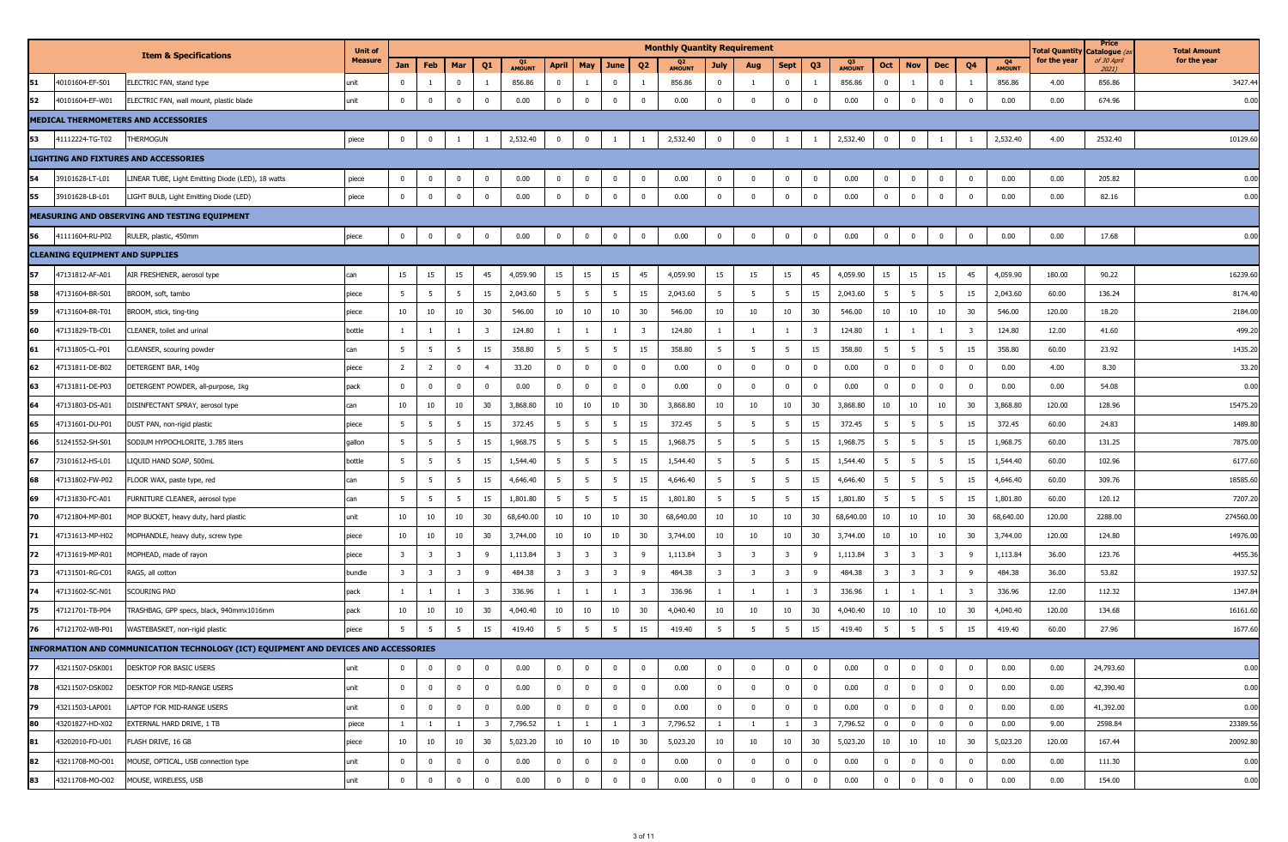|    |                                        |                                                                                      | <b>Unit of</b> |                         |                         |                         |                |                     |                         |                         |                         |                | <b>Monthly Quantity Requirement</b> |                         |                         |                         |                         |                     |                         |                         |                         |                         |                     | <b>Total Quantity</b> | Price<br>Catalogue   | <b>Total Amount</b> |
|----|----------------------------------------|--------------------------------------------------------------------------------------|----------------|-------------------------|-------------------------|-------------------------|----------------|---------------------|-------------------------|-------------------------|-------------------------|----------------|-------------------------------------|-------------------------|-------------------------|-------------------------|-------------------------|---------------------|-------------------------|-------------------------|-------------------------|-------------------------|---------------------|-----------------------|----------------------|---------------------|
|    |                                        | <b>Item &amp; Specifications</b>                                                     | <b>Measure</b> | Jan                     | Feb                     | Mar                     | Q <sub>1</sub> | Q1<br><b>AMOUNT</b> | <b>April</b>            | May                     | June                    | Q <sub>2</sub> | <b>AMOUNT</b>                       | July                    | Aug                     | <b>Sept</b>             | Q3                      | Q3<br><b>AMOUNT</b> | Oct                     | <b>Nov</b>              | Dec                     | Q4                      | Q4<br><b>AMOUNT</b> | for the year          | of 30 April<br>2021) | for the year        |
| 51 | 40101604-EF-S01                        | ELECTRIC FAN, stand type                                                             | unit           | $^{\circ}$              |                         | $\mathbf 0$             |                | 856.86              | $\mathbf 0$             |                         | $\bf{0}$                |                | 856.86                              | $\mathbf{0}$            | <sup>1</sup>            | $\mathbf 0$             |                         | 856.86              | $\mathbf{0}$            |                         | $\mathbf 0$             | <sup>1</sup>            | 856.86              | 4.00                  | 856.86               | 3427.44             |
| 52 | 40101604-EF-W01                        | ELECTRIC FAN, wall mount, plastic blade                                              | unit           | $\mathbf 0$             | $\mathbf 0$             | $\mathbf 0$             | $\Omega$       | 0.00                | $\mathbf 0$             | $\Omega$                | $^{\circ}$              | $\mathbf 0$    | 0.00                                | $\mathbf 0$             | $\mathbf 0$             | $\mathbf 0$             | $\overline{0}$          | 0.00                | $\mathbf 0$             | $\mathbf 0$             | $\Omega$                | $\mathbf 0$             | 0.00                | 0.00                  | 674.96               | 0.00                |
|    |                                        | MEDICAL THERMOMETERS AND ACCESSORIES                                                 |                |                         |                         |                         |                |                     |                         |                         |                         |                |                                     |                         |                         |                         |                         |                     |                         |                         |                         |                         |                     |                       |                      |                     |
| 53 | 41112224-TG-T02                        | THERMOGUN                                                                            | piece          | $\bf{0}$                | $\mathbf 0$             | $\overline{1}$          |                | 2,532.40            | $\mathbf 0$             | $\Omega$                | $\overline{1}$          |                | 2,532.40                            | $\mathbf 0$             | $\mathbf{0}$            | $\overline{1}$          |                         | 2,532.40            | $\mathbf{0}$            | $\mathbf 0$             |                         |                         | 2,532.40            | 4.00                  | 2532.40              | 10129.60            |
|    |                                        | <b>LIGHTING AND FIXTURES AND ACCESSORIES</b>                                         |                |                         |                         |                         |                |                     |                         |                         |                         |                |                                     |                         |                         |                         |                         |                     |                         |                         |                         |                         |                     |                       |                      |                     |
| 54 | 39101628-LT-L01                        | LINEAR TUBE, Light Emitting Diode (LED), 18 watts                                    | piece          | $\bf{0}$                | $\overline{0}$          | $\mathbf 0$             | $\bf{0}$       | 0.00                | $\bf{0}$                | $\overline{0}$          | $\mathbf{0}$            | $\mathbf{0}$   | 0.00                                | $\mathbf{0}$            | $\overline{\mathbf{0}}$ | $\overline{0}$          | $\overline{0}$          | 0.00                | $\bf{0}$                | $\mathbf 0$             | $\mathbf 0$             | $\overline{0}$          | 0.00                | 0.00                  | 205.82               | 0.00                |
| 55 | 39101628-LB-L01                        | LIGHT BULB, Light Emitting Diode (LED)                                               | piece          | $\mathbf 0$             | $\mathbf 0$             | $\mathbf 0$             | $\bf{0}$       | 0.00                | $\bf{0}$                | $\Omega$                | $\mathbf 0$             | $\mathbf 0$    | 0.00                                | $\mathbf 0$             | $\mathbf{0}$            | $\mathbf 0$             | $\mathbf 0$             | 0.00                | $\mathbf{0}$            | $\mathbf 0$             | $\mathbf 0$             | $\mathbf 0$             | 0.00                | 0.00                  | 82.16                | 0.00                |
|    |                                        | MEASURING AND OBSERVING AND TESTING EQUIPMENT                                        |                |                         |                         |                         |                |                     |                         |                         |                         |                |                                     |                         |                         |                         |                         |                     |                         |                         |                         |                         |                     |                       |                      |                     |
| 56 | 41111604-RU-P02                        | RULER, plastic, 450mm                                                                | piece          | $\bf{0}$                | $\overline{0}$          | $\mathbf{0}$            | $\bf{0}$       | 0.00                | $\bf{0}$                | $\overline{0}$          | $\bf{0}$                | $\mathbf 0$    | 0.00                                | $\mathbf{0}$            | $\overline{\mathbf{0}}$ | $\overline{\mathbf{0}}$ | $\overline{0}$          | 0.00                | $\overline{\mathbf{0}}$ | $\mathbf 0$             | $\mathbf 0$             | $\mathbf 0$             | 0.00                | 0.00                  | 17.68                | 0.00                |
|    | <b>CLEANING EQUIPMENT AND SUPPLIES</b> |                                                                                      |                |                         |                         |                         |                |                     |                         |                         |                         |                |                                     |                         |                         |                         |                         |                     |                         |                         |                         |                         |                     |                       |                      |                     |
| 57 | 47131812-AF-A01                        | AIR FRESHENER, aerosol type                                                          | can            | 15                      | 15                      | 15                      | 45             | 4,059.90            | 15                      | 15                      | 15                      | 45             | 4,059.90                            | 15                      | 15                      | 15                      | 45                      | 4,059.90            | 15                      | 15                      | 15                      | 45                      | 4,059.90            | 180.00                | 90.22                | 16239.60            |
| 58 | 47131604-BR-S01                        | BROOM, soft, tambo                                                                   | piece          | 5                       | 5                       | 5                       | 15             | 2,043.60            | 5                       | 5                       | 5                       | 15             | 2,043.60                            | 5                       | $5\overline{5}$         | $5\overline{5}$         | 15                      | 2,043.60            | 5                       | 5                       | - 5                     | 15                      | 2,043.60            | 60.00                 | 136.24               | 8174.40             |
| 59 | 47131604-BR-T01                        | BROOM, stick, ting-ting                                                              | piece          | 10                      | 10                      | 10                      | 30             | 546.00              | 10                      | 10                      | 10                      | 30             | 546.00                              | 10                      | 10                      | 10                      | 30                      | 546.00              | 10                      | 10                      | 10                      | 30                      | 546.00              | 120.00                | 18.20                | 2184.00             |
| 60 | 47131829-TB-C01                        | CLEANER, toilet and urinal                                                           | bottle         |                         |                         | 1                       | 3              | 124.80              | $\mathbf{1}$            |                         | -1                      | 3              | 124.80                              | <sup>1</sup>            | $\mathbf{1}$            | $\mathbf{1}$            | $\overline{\mathbf{3}}$ | 124.80              | 1                       |                         | $\overline{1}$          | $\overline{\mathbf{3}}$ | 124.80              | 12.00                 | 41.60                | 499.20              |
| 61 | 47131805-CL-P01                        | CLEANSER, scouring powder                                                            | can            | 5                       | 5                       | 5                       | 15             | 358.80              | 5 <sup>5</sup>          | 5 <sup>5</sup>          | 5                       | 15             | 358.80                              | 5                       | 5 <sub>5</sub>          | 5                       | 15                      | 358.80              | 5 <sup>5</sup>          | 5                       | 5                       | 15                      | 358.80              | 60.00                 | 23.92                | 1435.20             |
| 62 | 47131811-DE-B02                        | DETERGENT BAR, 140g                                                                  | piece          | $\overline{2}$          | $\overline{2}$          | $\overline{0}$          | $\overline{4}$ | 33.20               | $\overline{0}$          | $\mathbf 0$             | $\mathbf{0}$            | $\bf{0}$       | 0.00                                | $\bf{0}$                | $\bf{0}$                | $\overline{0}$          | $\bf{0}$                | 0.00                | $\bf{0}$                | $\mathbf 0$             | $\mathbf{0}$            | $\bf{0}$                | 0.00                | 4.00                  | 8.30                 | 33.20               |
| 63 | 47131811-DE-P03                        | DETERGENT POWDER, all-purpose, 1kg                                                   | pack           | $\mathbf{0}$            | $\mathbf 0$             | $\overline{0}$          | $^{\circ}$     | 0.00                | $\overline{0}$          | $\overline{0}$          | $\overline{0}$          | $\mathbf 0$    | 0.00                                | $\overline{0}$          | $\mathbf 0$             | $\mathbf 0$             | $\mathbf 0$             | 0.00                | $\overline{0}$          | $\mathbf 0$             | $\mathbf{0}$            | $\mathbf 0$             | 0.00                | 0.00                  | 54.08                | 0.00                |
| 64 | 47131803-DS-A01                        | DISINFECTANT SPRAY, aerosol type                                                     | can            | 10                      | 10                      | 10                      | 30             | 3,868.80            | 10                      | 10                      | 10                      | 30             | 3,868.80                            | 10                      | 10                      | 10                      | 30                      | 3,868.80            | 10                      | 10                      | 10                      | 30                      | 3,868.80            | 120.00                | 128.96               | 15475.20            |
| 65 | 47131601-DU-P01                        | DUST PAN, non-rigid plastic                                                          | piece          | 5                       | 5                       | 5                       | 15             | 372.45              | 5 <sup>5</sup>          | 5 <sup>5</sup>          | 5                       | 15             | 372.45                              | 5                       | 5                       | 5 <sup>5</sup>          | 15                      | 372.45              | 5 <sup>5</sup>          | 5                       | 5                       | 15                      | 372.45              | 60.00                 | 24.83                | 1489.80             |
| 66 | 51241552-SH-S01                        | SODIUM HYPOCHLORITE, 3.785 liters                                                    | gallon         | - 5                     | 5                       | 5                       | 15             | 1,968.75            | 5                       | 5                       | 5                       | 15             | 1,968.75                            | 5                       | 5                       | 5                       | 15                      | 1,968.75            | 5                       | 5                       | 5                       | 15                      | 1,968.75            | 60.00                 | 131.25               | 7875.00             |
| 67 | 73101612-HS-L01                        | LIQUID HAND SOAP, 500mL                                                              | bottle         | 5                       | 5                       | 5                       | 15             | 1,544.40            | 5 <sup>5</sup>          | 5                       | 5                       | 15             | 1,544.40                            | 5                       | 5                       | 5                       | 15                      | 1,544.40            | 5                       | 5                       | 5                       | 15                      | 1,544.40            | 60.00                 | 102.96               | 6177.60             |
| 68 | 47131802-FW-P02                        | FLOOR WAX, paste type, red                                                           | can            | 5                       | $5\overline{5}$         | 5                       | 15             | 4,646.40            | 5                       | 5 <sup>5</sup>          | 5                       | 15             | 4,646.40                            | 5                       | 5                       | 5                       | 15                      | 4,646.40            | $5\overline{5}$         | 5                       | 5                       | 15                      | 4,646.40            | 60.00                 | 309.76               | 18585.60            |
| 69 | 47131830-FC-A01                        | FURNITURE CLEANER, aerosol type                                                      | can            | 5                       | 5                       | 5                       | 15             | 1,801.80            | 5                       | 5 <sup>5</sup>          | 5                       | 15             | 1,801.80                            | 5                       | 5                       | 5 <sup>5</sup>          | 15                      | 1,801.80            | 5                       | 5                       | - 5                     | 15                      | 1,801.80            | 60.00                 | 120.12               | 7207.20             |
| 70 | 47121804-MP-B01                        | MOP BUCKET, heavy duty, hard plastic                                                 | unit           | 10                      | 10                      | 10                      | 30             | 68,640.00           | 10                      | 10                      | 10                      | 30             | 68,640.00                           | 10                      | 10                      | 10                      | 30                      | 68,640.00           | 10                      | 10                      | 10                      | 30                      | 68,640.00           | 120.00                | 2288.00              | 274560.00           |
| 71 | 47131613-MP-H02                        | MOPHANDLE, heavy duty, screw type                                                    | piece          | 10                      | $10\,$                  | 10                      | 30             | 3,744.00            | 10                      | 10                      | 10                      | 30             | 3,744.00                            | 10                      | 10                      | 10                      | 30                      | 3,744.00            | 10                      | 10                      | 10                      | 30                      | 3,744.00            | 120.00                | 124.80               | 14976.00            |
| 72 | 47131619-MP-R01                        | MOPHEAD, made of rayon                                                               | piece          | $\overline{\mathbf{3}}$ | $\overline{\mathbf{3}}$ | $\overline{\mathbf{3}}$ | 9              | 1,113.84            | $\overline{\mathbf{3}}$ | $\overline{\mathbf{3}}$ | $\overline{\mathbf{3}}$ | 9              | 1,113.84                            | $\overline{\mathbf{3}}$ | $\overline{\mathbf{3}}$ | $\overline{\mathbf{3}}$ | 9                       | 1,113.84            | $\overline{\mathbf{3}}$ | $\overline{\mathbf{3}}$ | $\overline{\mathbf{3}}$ | 9                       | 1,113.84            | 36.00                 | 123.76               | 4455.36             |
| 73 | 47131501-RG-C01                        | RAGS, all cotton                                                                     | bundle         | $\overline{\mathbf{3}}$ | $\overline{\mathbf{3}}$ | $\overline{\mathbf{3}}$ | 9              | 484.38              | $\overline{\mathbf{3}}$ | $\overline{\mathbf{3}}$ | $\overline{\mathbf{3}}$ | 9              | 484.38                              | $\overline{\mathbf{3}}$ | $\overline{\mathbf{3}}$ | $\overline{\mathbf{3}}$ | - 9                     | 484.38              | $\overline{\mathbf{3}}$ | $\overline{\mathbf{3}}$ | $\overline{\mathbf{3}}$ | 9                       | 484.38              | 36.00                 | 53.82                | 1937.52             |
| 74 | 47131602-SC-N01                        | Scouring Pad                                                                         | pack           |                         |                         | -1                      | 3              | 336.96              | 1                       |                         | $\overline{1}$          | 3              | 336.96                              | $\mathbf{1}$            | <sup>1</sup>            | $\mathbf{1}$            | $\overline{\mathbf{3}}$ | 336.96              | $\overline{1}$          |                         |                         | $\overline{\mathbf{3}}$ | 336.96              | 12.00                 | 112.32               | 1347.84             |
| 75 | 47121701-TB-P04                        | TRASHBAG, GPP specs, black, 940mmx1016mm                                             | pack           | 10                      | $10\,$                  | $10\,$                  | 30             | 4,040.40            | 10                      | $10\,$                  | 10                      | 30             | 4,040.40                            | 10                      | 10                      | 10                      | 30                      | 4,040.40            | 10                      | $10\,$                  | $10\,$                  | 30                      | 4,040.40            | 120.00                | 134.68               | 16161.60            |
| 76 | 47121702-WB-P01                        | WASTEBASKET, non-rigid plastic                                                       | piece          | 5                       | 5                       | 5                       | 15             | 419.40              | 5                       | 5                       | 5                       | 15             | 419.40                              | 5                       | 5                       | 5 <sup>5</sup>          | 15                      | 419.40              | 5 <sup>5</sup>          | - 5                     | -5                      | 15                      | 419.40              | 60.00                 | 27.96                | 1677.60             |
|    |                                        | INFORMATION AND COMMUNICATION TECHNOLOGY (ICT) EQUIPMENT AND DEVICES AND ACCESSORIES |                |                         |                         |                         |                |                     |                         |                         |                         |                |                                     |                         |                         |                         |                         |                     |                         |                         |                         |                         |                     |                       |                      |                     |
| 77 | 43211507-DSK001                        | DESKTOP FOR BASIC USERS                                                              | unit           | $\mathbf 0$             | $\mathbf 0$             | $\overline{0}$          | $^{\circ}$     | 0.00                | $\mathbf{0}$            | $\mathbf 0$             | $^{\circ}$              | $\mathbf 0$    | 0.00                                | $\mathbf{0}$            | $\mathbf 0$             | $\mathbf 0$             | $\overline{\mathbf{0}}$ | 0.00                | $\mathbf 0$             | $\mathbf 0$             | $\mathbf{0}$            | $\mathbf 0$             | 0.00                | 0.00                  | 24,793.60            | 0.00                |
| 78 | 43211507-DSK002                        | DESKTOP FOR MID-RANGE USERS                                                          | unit           | $\overline{0}$          | $\mathbf 0$             | $\bf{0}$                | $\mathbf 0$    | 0.00                | $\bf{0}$                | $\overline{0}$          | $\bf{0}$                | $\mathbf{0}$   | 0.00                                | $\mathbf 0$             | $\Omega$                | $\overline{0}$          | $\mathbf 0$             | 0.00                | $\mathbf 0$             | $\mathbf 0$             | $\mathbf{0}$            | $\mathbf 0$             | 0.00                | 0.00                  | 42,390.40            | 0.00                |
| 79 | 43211503-LAP001                        | LAPTOP FOR MID-RANGE USERS                                                           | unit           | $\bf{0}$                | $\mathbf 0$             | $\bf{0}$                | $\bf{0}$       | 0.00                | $\overline{0}$          | $\mathbf 0$             | $\overline{0}$          | $\mathbf{0}$   | 0.00                                | $\overline{0}$          | $\mathbf 0$             | $\overline{0}$          | $\mathbf 0$             | 0.00                | $\overline{0}$          | $\mathbf 0$             | $\mathbf 0$             | $\mathbf 0$             | 0.00                | 0.00                  | 41,392.00            | 0.00                |
| 80 | 43201827-HD-X02                        | EXTERNAL HARD DRIVE, 1 TB                                                            | piece          | $\mathbf{1}$            | $\overline{1}$          | $\mathbf{1}$            | 3              | 7,796.52            | $\mathbf{1}$            | $\mathbf{1}$            | 1                       | 3              | 7,796.52                            | $\mathbf{1}$            | <sup>1</sup>            | $\mathbf{1}$            | $\overline{\mathbf{3}}$ | 7,796.52            | $\overline{0}$          | $\mathbf 0$             | $\mathbf{0}$            | $\mathbf 0$             | 0.00                | 9.00                  | 2598.84              | 23389.56            |
| 81 | 43202010-FD-U01                        | FLASH DRIVE, 16 GB                                                                   | piece          | 10                      | $10\,$                  | 10                      | 30             | 5,023.20            | 10                      | 10                      | 10                      | 30             | 5,023.20                            | 10                      | 10                      | 10                      | 30                      | 5,023.20            | 10                      | 10                      | 10                      | 30                      | 5,023.20            | 120.00                | 167.44               | 20092.80            |
| 82 | 43211708-MO-O01                        | MOUSE, OPTICAL, USB connection type                                                  | unit           | $\bf{0}$                | $\overline{0}$          | $\bf{0}$                | $\mathbf 0$    | 0.00                | $\overline{0}$          | $\overline{0}$          | $\overline{0}$          | $\mathbf{0}$   | 0.00                                | $\overline{0}$          | $\bf{0}$                | $\overline{0}$          | $\mathbf 0$             | 0.00                | $\mathbf{0}$            | $\mathbf 0$             | $\overline{0}$          | $\mathbf 0$             | 0.00                | 0.00                  | 111.30               | 0.00                |
| 83 | 43211708-MO-O02                        | MOUSE, WIRELESS, USB                                                                 | unit           | $\mathbf 0$             | $\overline{0}$          | $^{\circ}$              | $^{\circ}$     | 0.00                | $\bf{0}$                | $\mathbf 0$             | 0                       | $\mathbf 0$    | 0.00                                | $\bf{0}$                | $\mathbf 0$             | $\mathbf 0$             | $\mathbf 0$             | 0.00                | $\mathbf 0$             | $\mathbf 0$             | $\mathbf{0}$            | $\bf{0}$                | 0.00                | 0.00                  | 154.00               | 0.00                |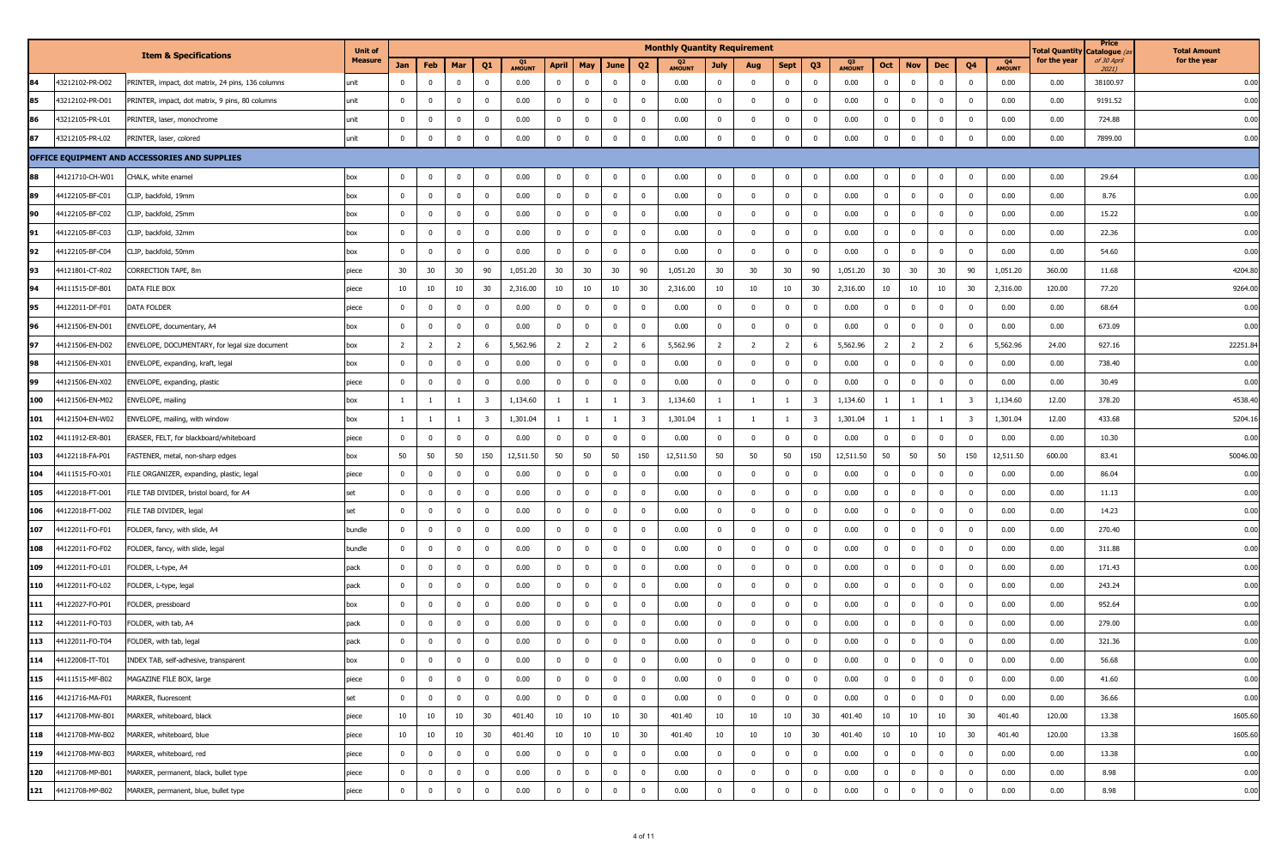|     |                 |                                                   | <b>Unit of</b> |                         |                |                |                |                     |                |                |                |                | <b>Monthly Quantity Requirement</b> |                |                |                |                         |                     |                |                |                |                         |                     | <b>Total Quantity</b> | Price<br>Catalogue (    | <b>Total Amount</b> |
|-----|-----------------|---------------------------------------------------|----------------|-------------------------|----------------|----------------|----------------|---------------------|----------------|----------------|----------------|----------------|-------------------------------------|----------------|----------------|----------------|-------------------------|---------------------|----------------|----------------|----------------|-------------------------|---------------------|-----------------------|-------------------------|---------------------|
|     |                 | <b>Item &amp; Specifications</b>                  | <b>Measure</b> | Jan                     | Feb            | Mar            | Q <sub>1</sub> | Q1<br><b>AMOUNT</b> | <b>April</b>   | May            | June           | Q <sub>2</sub> | Q <sub>2</sub><br><b>AMOUNT</b>     | July           | Aug            | Sept           | Q3                      | Q3<br><b>AMOUNT</b> | Oct            | <b>Nov</b>     | Dec            | Q4                      | Q4<br><b>AMOUNT</b> | for the year          | of 30 April<br>$2021$ ) | for the year        |
| 84  | 43212102-PR-D02 | PRINTER, impact, dot matrix, 24 pins, 136 columns | unit           | $\Omega$                | $\mathbf{0}$   | $\mathbf 0$    | $^{\circ}$     | 0.00                | $\mathbf{0}$   | $\mathbf 0$    | $\mathbf 0$    | $\mathbf 0$    | 0.00                                | $\overline{0}$ | $\mathbf 0$    | $\mathbf{0}$   | $\overline{\mathbf{0}}$ | 0.00                | $\mathbf{0}$   | $\mathbf 0$    | $\overline{0}$ | $\mathbf 0$             | 0.00                | 0.00                  | 38100.97                | 0.00                |
| 85  | 43212102-PR-D01 | PRINTER, impact, dot matrix, 9 pins, 80 columns   | unit           | $\mathbf 0$             | $\overline{0}$ | $\bf{0}$       | $^{\circ}$     | 0.00                | $\bf{0}$       | $\overline{0}$ | $\bf{0}$       | $\mathbf 0$    | 0.00                                | $\overline{0}$ | $\bf{0}$       | $\overline{0}$ | $\overline{0}$          | 0.00                | $\overline{0}$ | $\bf{0}$       | $\overline{0}$ | $\overline{0}$          | 0.00                | 0.00                  | 9191.52                 | 0.00                |
| 86  | 13212105-PR-L01 | PRINTER, laser, monochrome                        | unit           | $\Omega$                | $\mathbf 0$    | $\mathbf{0}$   | $\Omega$       | 0.00                | $\mathbf{0}$   | $\mathbf 0$    | $\overline{0}$ | $\mathbf{0}$   | 0.00                                | $\mathbf{0}$   | $^{\circ}$     | $\bf{0}$       | $\mathbf 0$             | 0.00                | $\overline{0}$ | $\mathbf 0$    | $\mathbf{0}$   | $\mathbf 0$             | 0.00                | 0.00                  | 724.88                  | 0.00                |
| 87  | 43212105-PR-L02 | PRINTER, laser, colored                           | unit           | $\mathbf 0$             | $\overline{0}$ | $\overline{0}$ | $^{\circ}$     | 0.00                | $\bf{0}$       | $\mathbf 0$    | $\bf{0}$       | $\bf{0}$       | 0.00                                | $\overline{0}$ | $\mathbf 0$    | $\bf{0}$       | $\bf{0}$                | 0.00                | $\bf{0}$       | $\mathbf 0$    | $\mathbf 0$    | $\mathbf 0$             | 0.00                | 0.00                  | 7899.00                 | 0.00                |
|     |                 | OFFICE EQUIPMENT AND ACCESSORIES AND SUPPLIES     |                |                         |                |                |                |                     |                |                |                |                |                                     |                |                |                |                         |                     |                |                |                |                         |                     |                       |                         |                     |
| 88  | 44121710-CH-W01 | CHALK, white enamel                               | box            | $\overline{0}$          | $\mathbf 0$    | $\bf{0}$       | $\Omega$       | 0.00                | $\mathbf{0}$   | $\mathbf 0$    | $\overline{0}$ | $\bf{0}$       | 0.00                                | $\mathbf{0}$   | $\mathbf 0$    | $\bf{0}$       | $\mathbf 0$             | 0.00                | $\overline{0}$ | $\mathbf 0$    | $\mathbf 0$    | $\overline{0}$          | 0.00                | 0.00                  | 29.64                   | 0.00                |
| 89  | 44122105-BF-C01 | CLIP, backfold, 19mm                              | box            | $\mathbf 0$             | $\mathbf{0}$   | $\mathbf{0}$   | $^{\circ}$     | 0.00                | $\bf{0}$       | $\mathbf 0$    | $\mathbf{0}$   | $\mathbf 0$    | 0.00                                | $\mathbf{0}$   | $\overline{0}$ | $\mathbf 0$    | $\overline{\mathbf{0}}$ | 0.00                | $\overline{0}$ | $\mathbf 0$    | $\mathbf{0}$   | $\mathbf 0$             | 0.00                | 0.00                  | 8.76                    | 0.00                |
| 90  | 44122105-BF-C02 | CLIP, backfold, 25mm                              | box            | $\Omega$                | $\mathbf 0$    | $\bf{0}$       | $^{\circ}$     | 0.00                | $\overline{0}$ | $\mathbf 0$    | $\overline{0}$ | $\mathbf 0$    | 0.00                                | $\mathbf{0}$   | $\mathbf 0$    | $\overline{0}$ | $\mathbf 0$             | 0.00                | $\mathbf{0}$   | $\mathbf 0$    | $\mathbf{0}$   | $\mathbf 0$             | 0.00                | 0.00                  | 15.22                   | 0.00                |
| 91  | 44122105-BF-C03 | CLIP, backfold, 32mm                              | box            | $\mathbf 0$             | $\overline{0}$ | $\overline{0}$ | $^{\circ}$     | 0.00                | $\bf{0}$       | $\overline{0}$ | $\overline{0}$ | $\bf{0}$       | 0.00                                | $\overline{0}$ | $\mathbf 0$    | $\mathbf{0}$   | $\overline{\mathbf{0}}$ | 0.00                | $\overline{0}$ | $\bf{0}$       | $\mathbf 0$    | $\overline{0}$          | 0.00                | 0.00                  | 22.36                   | 0.00                |
| 92  | 4122105-BF-C04  | CLIP, backfold, 50mm                              | box            | $\Omega$                | $\mathbf 0$    | $\mathbf{0}$   | $\Omega$       | 0.00                | $\mathbf 0$    | $\mathbf 0$    | $\mathbf{0}$   | $\mathbf{0}$   | 0.00                                | $\mathbf{0}$   | $\Omega$       | $\overline{0}$ | $\mathbf 0$             | 0.00                | $\overline{0}$ | $\mathbf 0$    | $\mathbf{0}$   | $\mathbf 0$             | 0.00                | 0.00                  | 54.60                   | 0.00                |
| 93  | 44121801-CT-R02 | CORRECTION TAPE, 8m                               | piece          | 30                      | 30             | 30             | 90             | 1,051.20            | 30             | 30             | 30             | 90             | 1,051.20                            | 30             | 30             | 30             | 90                      | 1,051.20            | 30             | 30             | 30             | 90                      | 1,051.20            | 360.00                | 11.68                   | 4204.80             |
| 94  | 44111515-DF-B01 | DATA FILE BOX                                     | piece          | 10                      | 10             | 10             | 30             | 2,316.00            | 10             | 10             | 10             | 30             | 2,316.00                            | 10             | 10             | 10             | 30                      | 2,316.00            | 10             | 10             | 10             | 30                      | 2,316.00            | 120.00                | 77.20                   | 9264.00             |
| 95  | 44122011-DF-F01 | DATA FOLDER                                       | piece          | $^{\circ}$              | $\mathbf 0$    | $\overline{0}$ | $\Omega$       | 0.00                | $\mathbf{0}$   | $\mathbf 0$    | $\mathbf{0}$   | $\bf{0}$       | 0.00                                | $\mathbf 0$    | $\mathbf 0$    | $\mathbf 0$    | $\mathbf 0$             | 0.00                | $\mathbf 0$    | $\mathbf 0$    | $\mathbf 0$    | $\mathbf 0$             | 0.00                | 0.00                  | 68.64                   | 0.00                |
| 96  | 44121506-EN-D01 | ENVELOPE, documentary, A4                         | box            | $\mathbf 0$             | $\mathbf 0$    | $\mathbf{0}$   |                | 0.00                | $\overline{0}$ | $\mathbf 0$    | $^{\circ}$     | $\mathbf 0$    | 0.00                                | $\mathbf 0$    | $\Omega$       | $\mathbf 0$    | $\mathbf{0}$            | 0.00                | $\mathbf 0$    | $\mathbf 0$    | $\Omega$       | $\mathbf 0$             | 0.00                | 0.00                  | 673.09                  | 0.00                |
| 97  | 44121506-EN-D02 | ENVELOPE, DOCUMENTARY, for legal size document    | box            | $\overline{2}$          | $\overline{2}$ | $\overline{2}$ | 6              | 5,562.96            | $\overline{2}$ | $\overline{2}$ | $\overline{2}$ | 6              | 5,562.96                            | $\overline{2}$ | $\overline{2}$ | $\overline{2}$ | 6                       | 5,562.96            | $\overline{2}$ | $\overline{2}$ | 2              | 6                       | 5,562.96            | 24.00                 | 927.16                  | 22251.84            |
| 98  | 44121506-EN-X01 | ENVELOPE, expanding, kraft, legal                 | box            | $^{\circ}$              | $\mathbf 0$    | $\mathbf{0}$   |                | 0.00                | $\mathbf{0}$   | $\mathbf 0$    | $\mathbf{0}$   | $\mathbf 0$    | 0.00                                | $\overline{0}$ | $\mathbf 0$    | $\mathbf 0$    | $\mathbf{0}$            | 0.00                | $\mathbf 0$    | $\mathbf 0$    | $\mathbf{0}$   | $\mathbf 0$             | 0.00                | 0.00                  | 738.40                  | 0.00                |
| 99  | 44121506-EN-X02 | ENVELOPE, expanding, plastic                      | piece          | $^{\circ}$              | $\overline{0}$ | $\mathbf 0$    |                | 0.00                | $\mathbf 0$    | $\mathbf 0$    | $\mathbf{0}$   | $\mathbf 0$    | 0.00                                | $\overline{0}$ | $\mathbf 0$    | $\overline{0}$ | $\mathbf 0$             | 0.00                | $\mathbf 0$    | $\mathbf 0$    | $\mathbf{0}$   | $\mathbf 0$             | 0.00                | 0.00                  | 30.49                   | 0.00                |
| 100 | 4121506-EN-M02  | ENVELOPE, mailing                                 | box            |                         | $\overline{1}$ | $\overline{1}$ | -3             | 1,134.60            | $\overline{1}$ | $\overline{1}$ | <sup>1</sup>   | 3              | 1,134.60                            | $\mathbf{1}$   | $\overline{1}$ | $\mathbf{1}$   | $\overline{\mathbf{3}}$ | 1,134.60            | $\mathbf{1}$   | $\mathbf{1}$   | $\overline{1}$ | $\overline{\mathbf{3}}$ | 1,134.60            | 12.00                 | 378.20                  | 4538.40             |
| 101 | 4121504-EN-W02  | ENVELOPE, mailing, with window                    | box            | -1                      | -1             |                |                | 1,301.04            | -1             | $\overline{1}$ | <sup>1</sup>   | 3              | 1,301.04                            | $\mathbf{1}$   | 1              | $\mathbf{1}$   | $\overline{\mathbf{3}}$ | 1,301.04            | $\overline{1}$ | 1              | $\overline{1}$ | $\overline{\mathbf{3}}$ | 1,301.04            | 12.00                 | 433.68                  | 5204.16             |
| 102 | 4111912-ER-B01  | ERASER, FELT, for blackboard/whiteboard           | piece          | $\overline{0}$          | $\mathbf{0}$   | $\overline{0}$ |                | 0.00                | $\mathbf 0$    | $\mathbf 0$    | $\mathbf 0$    | $\bf{0}$       | 0.00                                | $\mathbf{0}$   | $\mathbf{0}$   | $\mathbf 0$    | $\overline{\mathbf{0}}$ | 0.00                | $\mathbf 0$    | $\mathbf 0$    | $\mathbf 0$    | $\mathbf 0$             | 0.00                | 0.00                  | 10.30                   | 0.00                |
| 103 | 44122118-FA-P01 | ASTENER, metal, non-sharp edges                   | box            | 50                      | 50             | 50             | 150            | 12,511.50           | 50             | 50             | 50             | 150            | 12,511.50                           | 50             | 50             | 50             | 150                     | 12,511.50           | 50             | 50             | 50             | 150                     | 12,511.50           | 600.00                | 83.41                   | 50046.00            |
| 104 | 44111515-FO-X01 | TLE ORGANIZER, expanding, plastic, legal          | piece          | $\Omega$                | $\overline{0}$ | $\overline{0}$ | $\Omega$       | 0.00                | $\mathbf 0$    | $\mathbf 0$    | $\overline{0}$ | $\mathbf{0}$   | 0.00                                | $\mathbf 0$    | $\mathbf 0$    | $\mathbf{0}$   | $\mathbf 0$             | 0.00                | $\overline{0}$ | $\bf{0}$       | $\mathbf{0}$   | $\bf{0}$                | 0.00                | 0.00                  | 86.04                   | 0.00                |
| 105 | 4122018-FT-D01  | ILE TAB DIVIDER, bristol board, for A4            | set            | $\mathbf 0$             | $\overline{0}$ | $\overline{0}$ | $^{\circ}$     | 0.00                | $\bf{0}$       | $\mathbf 0$    | $\mathbf 0$    | $\mathbf 0$    | 0.00                                | $\mathbf{0}$   | $\mathbf 0$    | $\bf{0}$       | $\bf{0}$                | 0.00                | $\overline{0}$ | $\bf{0}$       | $\mathbf{0}$   | $\bf{0}$                | 0.00                | 0.00                  | 11.13                   | 0.00                |
| 106 | 4122018-FT-D02  | ILE TAB DIVIDER, legal                            | set            | $\Omega$                | $\overline{0}$ | $\mathbf 0$    | $\Omega$       | 0.00                | $\bf{0}$       | $\mathbf 0$    | $\overline{0}$ | $\bf{0}$       | 0.00                                | $\overline{0}$ | $\mathbf{0}$   | $\overline{0}$ | $\mathbf 0$             | 0.00                | $\overline{0}$ | $\mathbf 0$    | $\Omega$       | $\overline{0}$          | 0.00                | 0.00                  | 14.23                   | 0.00                |
| 107 | 14122011-FO-F01 | FOLDER, fancy, with slide, A4                     | bundle         | $\mathbf 0$             | $\overline{0}$ | $\overline{0}$ | $^{\circ}$     | 0.00                | $\overline{0}$ | $\mathbf 0$    | $\mathbf 0$    | $\mathbf 0$    | 0.00                                | $\mathbf{0}$   | $\mathbf 0$    | $\bf{0}$       | $\mathbf 0$             | 0.00                | $\mathbf{0}$   | $\mathbf 0$    | $\mathbf{0}$   | $\bf{0}$                | 0.00                | 0.00                  | 270.40                  | 0.00                |
| 108 | 4122011-FO-F02  | OLDER, fancy, with slide, legal                   | bundle         | $\Omega$                | $\mathbf 0$    | $\mathbf 0$    | $\Omega$       | 0.00                | $\mathbf{0}$   | $\mathbf 0$    | $\overline{0}$ | $\mathbf 0$    | 0.00                                | $\mathbf{0}$   | $^{\circ}$     | $\bf{0}$       | $\mathbf 0$             | 0.00                | $\overline{0}$ | $\mathbf 0$    | $\mathbf{0}$   | $\mathbf 0$             | 0.00                | 0.00                  | 311.88                  | 0.00                |
| 109 | 44122011-FO-L01 | FOLDER, L-type, A4                                | pack           | $\mathbf 0$             | $\mathbf 0$    | $\overline{0}$ | $^{\circ}$     | 0.00                | $\mathbf{0}$   | $\mathbf 0$    | $\mathbf{0}$   | $\mathbf 0$    | 0.00                                | $\mathbf{0}$   | $\mathbf 0$    | $\overline{0}$ | $\overline{\mathbf{0}}$ | 0.00                | $\mathbf{0}$   | $\bf{0}$       | $\mathbf{0}$   | $\overline{0}$          | 0.00                | 0.00                  | 171.43                  | 0.00                |
| 110 | 4122011-FO-L02  | FOLDER, L-type, legal                             | pack           | $\Omega$                | $\mathbf 0$    | $\bf{0}$       | $\Omega$       | 0.00                | $\mathbf 0$    | $\mathbf 0$    | $\mathbf 0$    | $\bf{0}$       | 0.00                                | $\overline{0}$ | $\mathbf 0$    | $\mathbf{0}$   | $\overline{\mathbf{0}}$ | 0.00                | $\mathbf 0$    | $\bf{0}$       | $\mathbf 0$    | $\overline{0}$          | 0.00                | 0.00                  | 243.24                  | 0.00                |
| 111 | 44122027-FO-P01 | FOLDER, pressboard                                | box            | $\overline{0}$          | $\overline{0}$ | $\overline{0}$ | $^{\circ}$     | 0.00                | $\mathbf{0}$   | $\mathbf 0$    | $\mathbf{0}$   | $\bf{0}$       | 0.00                                | $\overline{0}$ | $\bf{0}$       | $\mathbf{0}$   | $\overline{\mathbf{0}}$ | 0.00                | $\overline{0}$ | $\overline{0}$ | $\mathbf 0$    | $\overline{0}$          | 0.00                | 0.00                  | 952.64                  | 0.00                |
| 112 | 4122011-FO-T03  | FOLDER, with tab, A4                              | pack           | $\Omega$                | $\mathbf 0$    | $\overline{0}$ | $\Omega$       | 0.00                | $\mathbf{0}$   | $\mathbf 0$    | $\mathbf{0}$   | $\mathbf{0}$   | 0.00                                | $\mathbf 0$    | $\Omega$       | $\bf{0}$       | $\mathbf 0$             | 0.00                | $\overline{0}$ | $\mathbf 0$    | $\Omega$       | $\mathbf 0$             | 0.00                | 0.00                  | 279.00                  | 0.00                |
| 113 | 44122011-FO-T04 | FOLDER, with tab, legal                           | pack           | $^{\circ}$              | $\mathbf 0$    | $\overline{0}$ |                | 0.00                | $\bf{0}$       | $\mathbf 0$    | $\mathbf{0}$   | $\bf{0}$       | 0.00                                | $\mathbf 0$    | $\mathbf 0$    | $\mathbf 0$    | $\mathbf{0}$            | 0.00                | $\mathbf 0$    | $\mathbf 0$    | $\mathbf{0}$   | $\mathbf 0$             | 0.00                | 0.00                  | 321.36                  | 0.00                |
| 114 | 44122008-IT-T01 | INDEX TAB, self-adhesive, transparent             | box            | $\overline{\mathbf{0}}$ | $\overline{0}$ | $\mathbf{0}$   | $^{\circ}$     | 0.00                | $\mathbf 0$    | $\overline{0}$ | $\bf{0}$       | $\mathbf 0$    | 0.00                                | $\mathbf 0$    | $\mathbf 0$    | $\bf{0}$       | $\mathbf{0}$            | 0.00                | $\mathbf{0}$   | $\bf{0}$       | $\mathbf{0}$   | $\mathbf 0$             | 0.00                | 0.00                  | 56.68                   | 0.00                |
| 115 | 44111515-MF-B02 | MAGAZINE FILE BOX, large                          | piece          | $\overline{0}$          | $\overline{0}$ | $\mathbf 0$    | $\mathbf{0}$   | 0.00                | $\overline{0}$ | $\mathbf 0$    | $\mathbf 0$    | $\mathbf 0$    | 0.00                                | $\mathbf{0}$   | $\mathbf 0$    | $\overline{0}$ | $\overline{0}$          | 0.00                | $\overline{0}$ | $\mathbf{0}$   | $\mathbf 0$    | $\overline{0}$          | 0.00                | 0.00                  | 41.60                   | 0.00                |
| 116 | 44121716-MA-F01 | MARKER, fluorescent                               | set            | $\overline{0}$          | $\mathbf 0$    | $\mathbf{0}$   | $\Omega$       | 0.00                | $\bf{0}$       | $\mathbf 0$    | $\bf{0}$       | $\mathbf 0$    | 0.00                                | $\overline{0}$ | $\bf{0}$       | $\bf{0}$       | $\bf{0}$                | 0.00                | $\overline{0}$ | $\mathbf 0$    | $\mathbf{0}$   | $\mathbf 0$             | 0.00                | 0.00                  | 36.66                   | 0.00                |
| 117 | 44121708-MW-B01 | MARKER, whiteboard, black                         | piece          | 10                      | 10             | 10             | 30             | 401.40              | 10             | 10             | 10             | 30             | 401.40                              | 10             | 10             | 10             | 30                      | 401.40              | 10             | 10             | 10             | 30                      | 401.40              | 120.00                | 13.38                   | 1605.60             |
| 118 | 44121708-MW-B02 | MARKER, whiteboard, blue                          | piece          | 10                      | 10             | $10\,$         | 30             | 401.40              | 10             | 10             | 10             | 30             | 401.40                              | 10             | 10             | 10             | 30                      | 401.40              | 10             | 10             | $10\,$         | 30                      | 401.40              | 120.00                | 13.38                   | 1605.60             |
| 119 | 44121708-MW-B03 | MARKER, whiteboard, red                           | piece          | $\overline{0}$          | $\bf{0}$       | $\bf{0}$       | $\mathbf{0}$   | 0.00                | $\bf{0}$       | $\mathbf 0$    | $\overline{0}$ | $\bf{0}$       | 0.00                                | $\bf{0}$       | $\mathbf{0}$   | $\mathbf{0}$   | $\mathbf 0$             | 0.00                | $\overline{0}$ | $\bf{0}$       | $\overline{0}$ | $\mathbf 0$             | 0.00                | 0.00                  | 13.38                   | 0.00                |
| 120 | 44121708-MP-B01 | MARKER, permanent, black, bullet type             | piece          | $\overline{0}$          | $\overline{0}$ | $\mathbf{0}$   | $^{\circ}$     | 0.00                | $\bf{0}$       | $\overline{0}$ | $\overline{0}$ | $\bf{0}$       | 0.00                                | $\bf{0}$       | $\mathbf 0$    | $\bf{0}$       | $\overline{0}$          | 0.00                | $\mathbf{0}$   | $\bf{0}$       | $\mathbf{0}$   | $\bf{0}$                | 0.00                | 0.00                  | 8.98                    | 0.00                |
| 121 | 44121708-MP-B02 | MARKER, permanent, blue, bullet type              | piece          | $\overline{0}$          | $\mathbf 0$    | $\bf{0}$       | $\mathbf{0}$   | 0.00                | $\bf{0}$       | $\mathbf 0$    | $\overline{0}$ | $\mathbf 0$    | 0.00                                | $\bf{0}$       | $\mathbf{0}$   | $\overline{0}$ | $\overline{0}$          | 0.00                | $\mathbf 0$    | $\bf{0}$       | $\overline{0}$ | $\mathbf 0$             | 0.00                | 0.00                  | 8.98                    | 0.00                |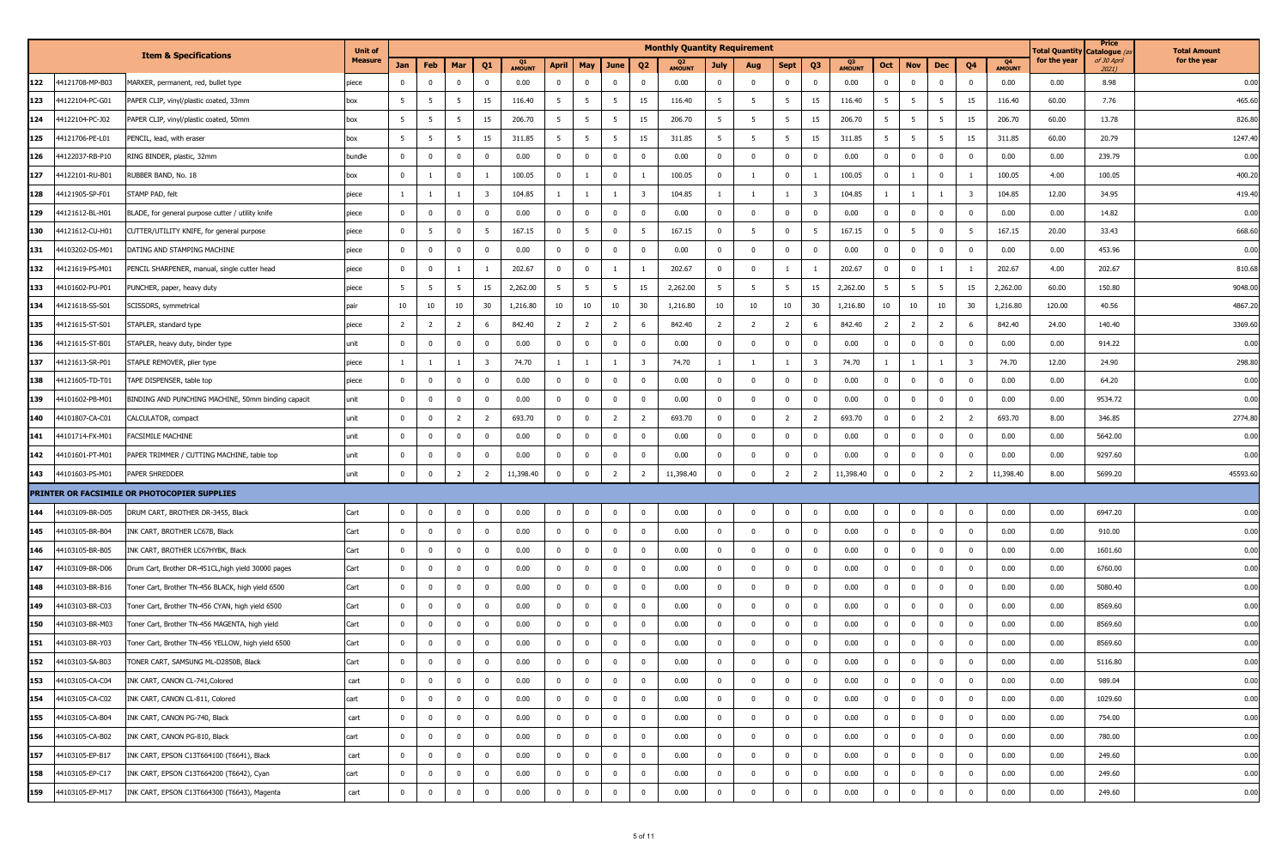|     |                 |                                                     | <b>Unit of</b> |                |                                  |                         |                     |                |                                  |                         | <b>Monthly Quantity Requirement</b> |                |                |                         |                         |                                 |                         |                |                |                         |                     | <b>Total Quantity</b> | Price<br>Catalogue ( | <b>Total Amount</b> |
|-----|-----------------|-----------------------------------------------------|----------------|----------------|----------------------------------|-------------------------|---------------------|----------------|----------------------------------|-------------------------|-------------------------------------|----------------|----------------|-------------------------|-------------------------|---------------------------------|-------------------------|----------------|----------------|-------------------------|---------------------|-----------------------|----------------------|---------------------|
|     |                 | <b>Item &amp; Specifications</b>                    | <b>Measure</b> | Jan            | Feb<br>Mar                       | Q1                      | Q1<br><b>AMOUNT</b> | April          | May<br>June                      | Q <sub>2</sub>          | <b>AMOUNT</b>                       | <b>July</b>    | Aug            | Sept                    | Q3                      | Q <sub>3</sub><br><b>AMOUNT</b> | Oct                     | <b>Nov</b>     | Dec            | Q4                      | Q4<br><b>AMOUNT</b> | for the year          | of 30 April<br>2021) | for the year        |
| 122 | 44121708-MP-B03 | MARKER, permanent, red, bullet type                 | piece          | $^{\circ}$     | $\mathbf{0}$                     | $\mathbf 0$             | 0.00                | $\mathbf{0}$   | $\bf{0}$<br>$\mathbf 0$          | $\overline{\mathbf{0}}$ | 0.00                                | $\mathbf{0}$   | $\mathbf 0$    | $\mathbf 0$             | $\mathbf 0$             | 0.00                            | $\mathbf 0$             | $^{\circ}$     | $\mathbf 0$    | $^{\circ}$              | 0.00                | 0.00                  | 8.98                 | 0.00                |
| 123 | 44122104-PC-G01 | PAPER CLIP, vinyl/plastic coated, 33mm              | box            | 5              | 5<br>5                           | 15                      | 116.40              | 5              | 5<br>5                           | 15                      | 116.40                              | 5              | 5              | 5                       | 15                      | 116.40                          | 5                       | 5              | 5              | 15                      | 116.40              | 60.00                 | 7.76                 | 465.60              |
| 124 | 44122104-PC-J02 | PAPER CLIP, vinyl/plastic coated, 50mm              | box            | - 5            | -5<br>- 5                        | 15                      | 206.70              | 5              | - 5<br>-5                        | 15                      | 206.70                              | 5              | 5              | 5                       | 15                      | 206.70                          | 5                       | 5              | - 5            | 15                      | 206.70              | 60.00                 | 13.78                | 826.80              |
| 125 | 44121706-PE-L01 | PENCIL, lead, with eraser                           | box            | 5              | 5<br>5                           | 15                      | 311.85              | 5              | 5<br>5                           | 15                      | 311.85                              | 5 <sup>5</sup> | 5              | 5                       | 15                      | 311.85                          | 5                       | 5              | - 5            | 15                      | 311.85              | 60.00                 | 20.79                | 1247.40             |
| 126 | 44122037-RB-P10 | RING BINDER, plastic, 32mm                          | bundle         | $\mathbf 0$    | $\overline{0}$<br>$^{\circ}$     | $\mathbf{0}$            | 0.00                | $\mathbf{0}$   | $\mathbf 0$<br>$\mathbf 0$       | $\mathbf 0$             | 0.00                                | $\mathbf{0}$   | $\mathbf 0$    | $\overline{0}$          | $\bf{0}$                | 0.00                            | $\mathbf 0$             | $^{\circ}$     | $\mathbf 0$    | $^{\circ}$              | 0.00                | 0.00                  | 239.79               | 0.00                |
| 127 | 44122101-RU-B01 | RUBBER BAND, No. 18                                 | box            | $\mathbf 0$    | $\overline{0}$                   |                         | 100.05              | $\bf{0}$       | $\mathbf{0}$                     | -1                      | 100.05                              | $\overline{0}$ |                | $\mathbf 0$             |                         | 100.05                          | $\overline{0}$          | $\overline{1}$ | $\overline{0}$ | $\overline{1}$          | 100.05              | 4.00                  | 100.05               | 400.20              |
| 128 | 44121905-SP-F01 | STAMP PAD, felt                                     | piece          |                | 1                                | 3                       | 104.85              | 1              | $\overline{1}$                   | $\overline{\mathbf{3}}$ | 104.85                              |                |                |                         | 3                       | 104.85                          |                         |                |                | $\overline{\mathbf{3}}$ | 104.85              | 12.00                 | 34.95                | 419.40              |
| 129 | 44121612-BL-H01 | BLADE, for general purpose cutter / utility knife   | piece          | $\mathbf 0$    | $\overline{0}$<br>$\Omega$       | $\overline{0}$          | 0.00                | $\mathbf{0}$   | $\overline{0}$<br>$\mathbf{0}$   | $\mathbf 0$             | 0.00                                | $\overline{0}$ | $\mathbf 0$    | $\mathbf 0$             | $\mathbf 0$             | 0.00                            | $\mathbf 0$             | $^{\circ}$     | $\mathbf 0$    | $^{\circ}$              | 0.00                | 0.00                  | 14.82                | 0.00                |
| 130 | 44121612-CU-H01 | CUTTER/UTILITY KNIFE, for general purpose           | piece          | $\mathbf 0$    | $\overline{0}$<br>5              | -5                      | 167.15              | $\mathbf{0}$   | $\bf{0}$<br>5                    | 5                       | 167.15                              | $\mathbf{0}$   | 5              | $\mathbf 0$             | 5                       | 167.15                          | $\bf{0}$                | 5              | $\bf{0}$       | 5                       | 167.15              | 20.00                 | 33.43                | 668.60              |
| 131 | 44103202-DS-M01 | DATING AND STAMPING MACHINE                         | piece          | $\mathbf{0}$   | $\mathbf{0}$<br>$\Omega$         | $\mathbf 0$             | 0.00                | $\mathbf 0$    | $\mathbf{0}$<br>$\Omega$         | $\overline{\mathbf{0}}$ | 0.00                                | $\mathbf{0}$   | $\overline{0}$ | $\mathbf 0$             | $\mathbf 0$             | 0.00                            | $\mathbf 0$             | $\Omega$       | $\mathbf 0$    | $\Omega$                | 0.00                | 0.00                  | 453.96               | 0.00                |
| 132 | 44121619-PS-M01 | PENCIL SHARPENER, manual, single cutter head        | piece          | $\mathbf 0$    | $\Omega$                         |                         | 202.67              | $\mathbf{0}$   | $\mathbf{0}$                     |                         | 202.67                              | $\mathbf{0}$   | $\mathbf 0$    | - 1                     |                         | 202.67                          | $\overline{\mathbf{0}}$ | $^{\circ}$     |                | -1                      | 202.67              | 4.00                  | 202.67               | 810.68              |
| 133 | 44101602-PU-P01 | PUNCHER, paper, heavy duty                          | piece          | 5              | 5<br>-5                          | 15                      | 2,262.00            | 5              | 5<br>5                           | 15                      | 2,262.00                            | $5^{\circ}$    | 5 <sup>5</sup> | 5                       | 15                      | 2,262.00                        | 5                       | 5              | 5              | 15                      | 2,262.00            | 60.00                 | 150.80               | 9048.00             |
| 134 | 44121618-SS-S01 | SCISSORS, symmetrical                               | pair           | 10             | 10<br>10                         | 30                      | 1,216.80            | 10             | 10<br>10                         | 30                      | 1,216.80                            | 10             | 10             | 10                      | 30                      | 1,216.80                        | 10                      | 10             | 10             | 30                      | 1,216.80            | 120.00                | 40.56                | 4867.20             |
| 135 | 44121615-ST-S01 | STAPLER, standard type                              | piece          | $\overline{2}$ | $\overline{2}$<br>$\overline{2}$ | -6                      | 842.40              | $\overline{2}$ | $\overline{2}$<br>$\overline{2}$ | 6                       | 842.40                              | $\overline{2}$ | $\overline{2}$ | $\overline{2}$          | 6                       | 842.40                          | $\overline{2}$          | $\overline{2}$ | $\overline{2}$ | -6                      | 842.40              | 24.00                 | 140.40               | 3369.60             |
| 136 | 44121615-ST-B01 | STAPLER, heavy duty, binder type                    | unit           | $\mathbf{0}$   | $^{\circ}$<br>$\mathbf{0}$       | $\mathbf 0$             | 0.00                | $\mathbf{0}$   | $\bf{0}$<br>$\mathbf{0}$         | $\bf{0}$                | 0.00                                | $\overline{0}$ | $\mathbf 0$    | $\overline{0}$          | $\bf{0}$                | 0.00                            | $\bf{0}$                | $^{\circ}$     | $\mathbf{0}$   | $^{\circ}$              | 0.00                | 0.00                  | 914.22               | 0.00                |
| 137 | 44121613-SR-P01 | STAPLE REMOVER, plier type                          | piece          | -1             | $\mathbf{1}$<br><sup>1</sup>     | $\overline{\mathbf{3}}$ | 74.70               | $\mathbf{1}$   | $\mathbf{1}$                     | $\overline{\mathbf{3}}$ | 74.70                               | $\mathbf{1}$   | 1              | $\overline{1}$          | $\overline{\mathbf{3}}$ | 74.70                           | $\overline{1}$          | $\mathbf{1}$   | -1             | $\overline{\mathbf{3}}$ | 74.70               | 12.00                 | 24.90                | 298.80              |
| 138 | 44121605-TD-T01 | TAPE DISPENSER, table top                           | piece          | $\mathbf{0}$   | $^{\circ}$<br>$\overline{0}$     | $\mathbf{0}$            | 0.00                | $\mathbf{0}$   | $\overline{0}$<br>$\mathbf{0}$   | $\overline{0}$          | 0.00                                | $\overline{0}$ | $\mathbf 0$    | $\overline{0}$          | $\bf{0}$                | 0.00                            | $\overline{0}$          | $\mathbf 0$    | $\mathbf{0}$   | $\mathbf 0$             | 0.00                | 0.00                  | 64.20                | 0.00                |
| 139 | 44101602-PB-M01 | BINDING AND PUNCHING MACHINE, 50mm binding capacit  | unit           | $\mathbf{0}$   | $\mathbf{0}$<br>$\Omega$         | $^{\circ}$              | 0.00                | $\mathbf 0$    | $\mathbf{0}$<br>$^{\circ}$       | $\mathbf 0$             | 0.00                                | $\mathbf{0}$   | $\mathbf 0$    | $\overline{0}$          | $\mathbf 0$             | 0.00                            | $\mathbf 0$             | $^{\circ}$     | $\mathbf 0$    | $^{\circ}$              | 0.00                | 0.00                  | 9534.72              | 0.00                |
| 140 | 44101807-CA-C01 | CALCULATOR, compact                                 | unit           | $\mathbf{0}$   | $^{\circ}$<br>2                  | $\overline{2}$          | 693.70              | $^{\circ}$     | $\overline{2}$<br>$\mathbf 0$    | $\overline{2}$          | 693.70                              | $\mathbf{0}$   | $\mathbf 0$    | $\overline{2}$          | $\overline{2}$          | 693.70                          | $\overline{0}$          | $^{\circ}$     | $\overline{2}$ | $\overline{2}$          | 693.70              | 8.00                  | 346.85               | 2774.80             |
| 141 | 44101714-FX-M01 | FACSIMILE MACHINE                                   | unit           | $\mathbf{0}$   | $\overline{0}$<br>$\Omega$       | $\mathbf{0}$            | 0.00                | $\mathbf{0}$   | $\overline{0}$<br>$\mathbf 0$    | $\mathbf 0$             | 0.00                                | $\overline{0}$ | $\mathbf 0$    | $\overline{0}$          | $\mathbf 0$             | 0.00                            | $\mathbf 0$             | $^{\circ}$     | $\mathbf 0$    | $\mathbf 0$             | 0.00                | 0.00                  | 5642.00              | 0.00                |
| 142 | 44101601-PT-M01 | PAPER TRIMMER / CUTTING MACHINE, table top          | unit           | $\mathbf{0}$   | $\overline{0}$<br>$^{\circ}$     | $\mathbf{0}$            | 0.00                | $\mathbf 0$    | $\mathbf 0$<br>$\mathbf 0$       | $\overline{0}$          | 0.00                                | $\overline{0}$ | $\mathbf 0$    | $\overline{0}$          | $\mathbf 0$             | 0.00                            | $\mathbf 0$             | $^{\circ}$     | $\overline{0}$ | $\mathbf 0$             | 0.00                | 0.00                  | 9297.60              | 0.00                |
| 143 | 44101603-PS-M01 | PAPER SHREDDER                                      | unit           | $\mathbf 0$    | $\overline{2}$<br>$^{\circ}$     | $\overline{2}$          | 11,398.40           | $^{\circ}$     | $\overline{2}$<br>$\mathbf 0$    | $\overline{2}$          | 11,398.40                           | $\mathbf 0$    | $\mathbf 0$    | $\overline{2}$          | $\overline{2}$          | 11,398.40                       | $\mathbf 0$             | $^{\circ}$     | $\overline{2}$ | $\overline{2}$          | 11,398.40           | 8.00                  | 5699.20              | 45593.60            |
|     |                 | PRINTER OR FACSIMILE OR PHOTOCOPIER SUPPLIES        |                |                |                                  |                         |                     |                |                                  |                         |                                     |                |                |                         |                         |                                 |                         |                |                |                         |                     |                       |                      |                     |
| 144 | 44103109-BR-D05 | DRUM CART, BROTHER DR-3455, Black                   | Cart           | $\mathbf 0$    | $^{\circ}$<br>$\overline{0}$     | $\mathbf 0$             | 0.00                | $\mathbf{0}$   | $\bf{0}$<br>$\mathbf{0}$         | $\bf{0}$                | 0.00                                | $\mathbf{0}$   | $\mathbf 0$    | $\overline{0}$          | $\bf{0}$                | 0.00                            | $\overline{0}$          | $\mathbf{0}$   | $\mathbf{0}$   | $\mathbf 0$             | 0.00                | 0.00                  | 6947.20              | 0.00                |
| 145 | 44103105-BR-B04 | INK CART, BROTHER LC67B, Black                      | Cart           | $\mathbf 0$    | $\mathbf{0}$<br>$^{\circ}$       | $\mathbf{0}$            | 0.00                | $\mathbf{0}$   | $\mathbf{0}$<br>$\mathbf 0$      | $\overline{\mathbf{0}}$ | 0.00                                | $\mathbf{0}$   | $\mathbf 0$    | $\overline{0}$          | $\bf{0}$                | 0.00                            | $\overline{0}$          | $^{\circ}$     | $\mathbf 0$    | $^{\circ}$              | 0.00                | 0.00                  | 910.00               | 0.00                |
| 146 | 44103105-BR-B05 | INK CART, BROTHER LC67HYBK, Black                   | Cart           | $\mathbf{0}$   | $^{\circ}$<br>$\mathbf{0}$       | $\mathbf{0}$            | 0.00                | $\mathbf 0$    | $\mathbf 0$<br>$\mathbf{0}$      | $\mathbf 0$             | 0.00                                | $\mathbf{0}$   | $\mathbf 0$    | $\bf{0}$                | $\bf{0}$                | 0.00                            | $\overline{0}$          | $^{\circ}$     | $\mathbf 0$    | $^{\circ}$              | 0.00                | 0.00                  | 1601.60              | 0.00                |
| 147 | 44103109-BR-D06 | Drum Cart, Brother DR-451CL, high yield 30000 pages | Cart           | $\mathbf 0$    | $\overline{0}$<br>$^{\circ}$     | $\mathbf{0}$            | 0.00                | $\mathbf{0}$   | $\overline{0}$<br>$\mathbf 0$    | $\overline{0}$          | 0.00                                | $\overline{0}$ | $\mathbf 0$    | $\mathbf 0$             | $\mathbf 0$             | 0.00                            | $\mathbf 0$             | $\mathbf 0$    | $\mathbf 0$    | $^{\circ}$              | 0.00                | 0.00                  | 6760.00              | 0.00                |
| 148 | 44103103-BR-B16 | Toner Cart, Brother TN-456 BLACK, high yield 6500   | Cart           | $\overline{0}$ | $\mathbf 0$<br>$^{\circ}$        | $\mathbf{0}$            | 0.00                | $\mathbf{0}$   | $\overline{0}$<br>$\mathbf 0$    | $\overline{0}$          | 0.00                                | $\overline{0}$ | $\mathbf 0$    | $\overline{0}$          | $\mathbf{0}$            | 0.00                            | $\overline{0}$          | $\mathbf 0$    | $\overline{0}$ | $\mathbf 0$             | 0.00                | 0.00                  | 5080.40              | 0.00                |
| 149 | 44103103-BR-C03 | Toner Cart, Brother TN-456 CYAN, high yield 6500    | Cart           | $\mathbf{0}$   | $\mathbf{0}$<br>$^{\circ}$       | $\mathbf{0}$            | 0.00                | $\mathbf{0}$   | $\mathbf 0$<br>$\mathbf 0$       | $\overline{\mathbf{0}}$ | 0.00                                | $\mathbf{0}$   | $\mathbf 0$    | $\overline{\mathbf{0}}$ | $\bf{0}$                | 0.00                            | $\mathbf 0$             | $^{\circ}$     | $\mathbf 0$    | $\mathbf 0$             | 0.00                | 0.00                  | 8569.60              | 0.00                |
| 150 | 44103103-BR-M03 | Toner Cart, Brother TN-456 MAGENTA, high yield      | Cart           | $\mathbf{0}$   | $^{\circ}$<br>$\mathbf{0}$       | $\overline{0}$          | 0.00                | $^{\circ}$     | $\mathbf 0$<br>$\mathbf 0$       | $\overline{0}$          | 0.00                                | $\overline{0}$ | $\mathbf 0$    | $\overline{\mathbf{0}}$ | $\bf{0}$                | 0.00                            | $\overline{0}$          | $^{\circ}$     | $\mathbf 0$    | $^{\circ}$              | 0.00                | 0.00                  | 8569.60              | 0.00                |
| 151 | 44103103-BR-Y03 | Toner Cart, Brother TN-456 YELLOW, high yield 6500  | Cart           | $\mathbf{0}$   | $\mathbf 0$<br>$\Omega$          | $\mathbf{0}$            | 0.00                | $\mathbf{0}$   | $\mathbf 0$<br>$\overline{0}$    | $\mathbf 0$             | 0.00                                | $\mathbf{0}$   | $\overline{0}$ | $\Omega$                | $\mathbf 0$             | 0.00                            | $\mathbf{0}$            | $^{\circ}$     | $\overline{0}$ | $\Omega$                | 0.00                | 0.00                  | 8569.60              | 0.00                |
| 152 | 44103103-SA-B03 | TONER CART, SAMSUNG ML-D2850B, Black                | Cart           | $\mathbf 0$    | $^{\circ}$<br>$\mathbf{0}$       | $\mathbf 0$             | 0.00                | $\bf{0}$       | $\overline{0}$<br>$\mathbf 0$    | $\mathbf 0$             | 0.00                                | $^{\circ}$     | $\mathbf 0$    | $\mathbf 0$             | $\bf{0}$                | 0.00                            | $\mathbf 0$             | $^{\circ}$     | $\bf{0}$       | $^{\circ}$              | 0.00                | 0.00                  | 5116.80              | 0.00                |
| 153 | 44103105-CA-C04 | INK CART, CANON CL-741, Colored                     | cart           | $\overline{0}$ | $\mathbf 0$                      | $\mathbf 0$             | 0.00                | $\mathbf 0$    | $\overline{0}$<br>$\mathbf 0$    | $\mathbf 0$             | 0.00                                | $\overline{0}$ | $\mathbf 0$    | $\overline{0}$          | $\bf{0}$                | 0.00                            | $\mathbf 0$             | $\Omega$       | $\bf{0}$       | $\Omega$                | 0.00                | 0.00                  | 989.04               | 0.00                |
| 154 | 44103105-CA-C02 | INK CART, CANON CL-811, Colored                     | cart           | $\overline{0}$ | $\overline{0}$<br>$^{\circ}$     | $\bf{0}$                | 0.00                | $\bf{0}$       | $\bf{0}$<br>$\overline{0}$       | $\overline{\mathbf{0}}$ | 0.00                                | $\overline{0}$ | $\mathbf 0$    | $\overline{0}$          | $\mathbf{0}$            | 0.00                            | $\bf{0}$                | $^{\circ}$     | $\overline{0}$ | $\mathbf 0$             | 0.00                | 0.00                  | 1029.60              | 0.00                |
| 155 | 44103105-CA-B04 | INK CART, CANON PG-740, Black                       | cart           | $\mathbf 0$    | $\mathbf 0$<br>$^{\circ}$        | $\mathbf 0$             | 0.00                | $\mathbf 0$    | $\bf{0}$<br>$\overline{0}$       | $\pmb{0}$               | 0.00                                | $\overline{0}$ | $\mathbf 0$    | $\mathbf 0$             | $\mathbf{0}$            | 0.00                            | $\overline{0}$          | $\mathbf 0$    | $\bf{0}$       | $\mathbf 0$             | 0.00                | 0.00                  | 754.00               | 0.00                |
| 156 | 44103105-CA-B02 | INK CART, CANON PG-810, Black                       | cart           | $\overline{0}$ | $\mathbf 0$<br>$\mathbf 0$       | $\bf{0}$                | 0.00                | $\mathbf 0$    | $\bf{0}$<br>$\overline{0}$       | $\overline{0}$          | 0.00                                | $\mathbf 0$    | $\bf{0}$       | $\overline{0}$          | $\mathbf 0$             | 0.00                            | $\overline{0}$          | $^{\circ}$     | $\mathbf 0$    | $\mathbf 0$             | 0.00                | 0.00                  | 780.00               | 0.00                |
| 157 | 44103105-EP-B17 | INK CART, EPSON C13T664100 (T6641), Black           | cart           | $\bf{0}$       | $\overline{0}$<br>$^{\circ}$     | $\mathbf 0$             | 0.00                | $\bf{0}$       | $\mathbf 0$<br>$\mathbf{0}$      | $\bf{0}$                | 0.00                                | $\overline{0}$ | $\mathbf 0$    | $\overline{\mathbf{0}}$ | $\bf{0}$                | 0.00                            | $\overline{0}$          | $^{\circ}$     | $\mathbf{0}$   | $\mathbf 0$             | 0.00                | 0.00                  | 249.60               | 0.00                |
| 158 | 44103105-EP-C17 | INK CART, EPSON C13T664200 (T6642), Cyan            | cart           | $\bf{0}$       | $\overline{0}$<br>$^{\circ}$     | $\mathbf 0$             | 0.00                | $\bf{0}$       | $\bf{0}$<br>$\overline{0}$       | $\mathbf 0$             | 0.00                                | $\overline{0}$ | $\mathbf 0$    | $\bf{0}$                | $\bf{0}$                | 0.00                            | $\bf{0}$                | $\mathbf 0$    | $\bf{0}$       | $\bf{0}$                | 0.00                | 0.00                  | 249.60               | 0.00                |
| 159 | 44103105-EP-M17 | INK CART, EPSON C13T664300 (T6643), Magenta         | cart           | $\bf{0}$       | $\mathbf 0$<br>$\mathbf 0$       | $\bf{0}$                | 0.00                | $\mathbf 0$    | $\mathbf 0$<br>$\mathbf 0$       | $\mathbf 0$             | 0.00                                | $\overline{0}$ | $\mathbf 0$    | $\overline{\mathbf{0}}$ | $\overline{0}$          | 0.00                            | $\pmb{0}$               | $\mathbf 0$    | $\mathbf 0$    | $\mathbf 0$             | 0.00                | 0.00                  | 249.60               | 0.00                |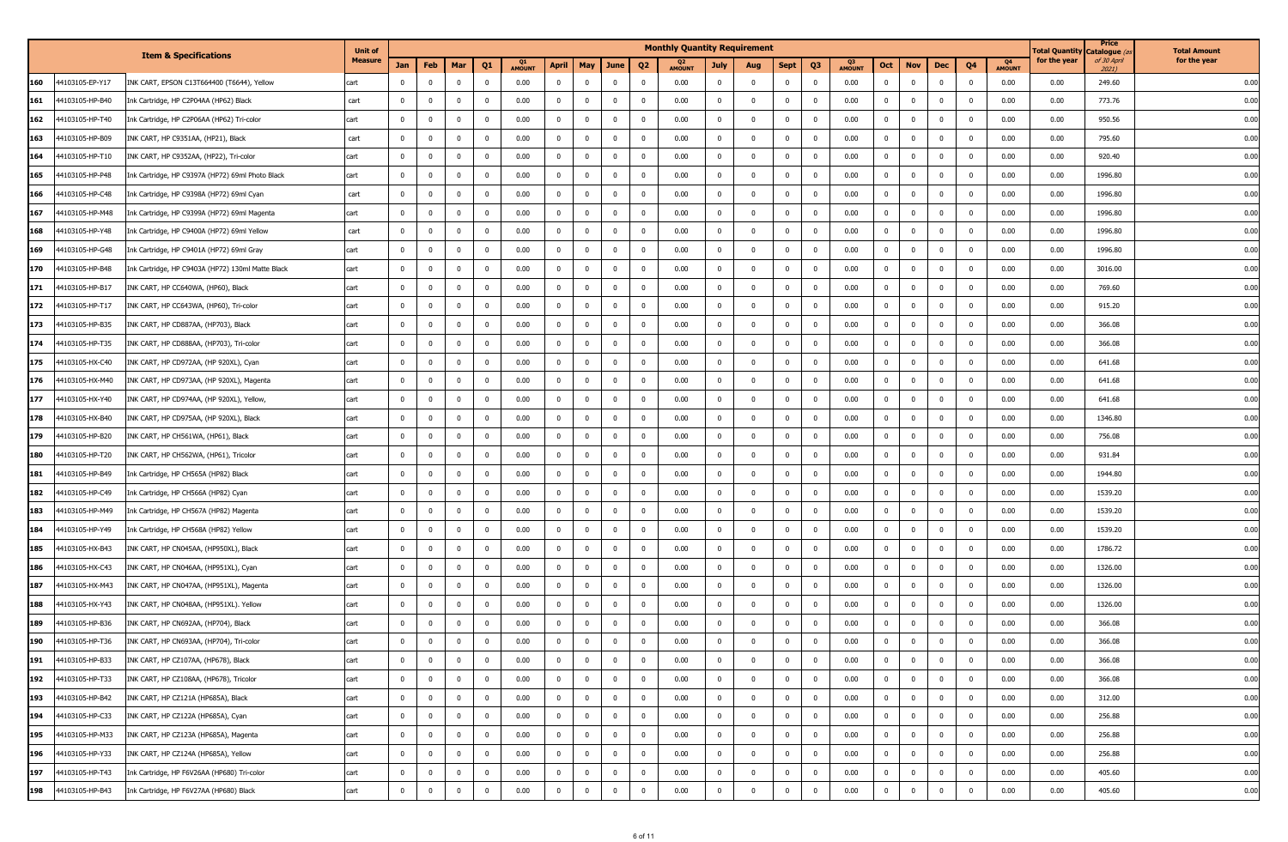|     |                 |                                                   | <b>Unit of</b> |                |                               |                |               |              |                                  |                         | <b>Monthly Quantity Requirement</b> |                |                         |                         |                |               |                         |              |                |             |                       | <b>Total Quantity</b> | Price<br>) catalogue | <b>Total Amount</b> |
|-----|-----------------|---------------------------------------------------|----------------|----------------|-------------------------------|----------------|---------------|--------------|----------------------------------|-------------------------|-------------------------------------|----------------|-------------------------|-------------------------|----------------|---------------|-------------------------|--------------|----------------|-------------|-----------------------|-----------------------|----------------------|---------------------|
|     |                 | <b>Item &amp; Specifications</b>                  | <b>Measure</b> | Jan            | Feb<br>Mar                    | Q1             | <b>AMOUNT</b> | April        | May<br>June                      | Q <sub>2</sub>          | <b>AMOUNT</b>                       | <b>July</b>    | Aug                     | Sept                    | Q3             | <b>AMOUNT</b> | Oct                     | <b>Nov</b>   | Dec            | Q4          | - 04<br><b>AMOUNT</b> | for the year          | of 30 April<br>2021) | for the year        |
| 160 | 44103105-EP-Y17 | INK CART, EPSON C13T664400 (T6644), Yellow        | cart           | $\mathbf{0}$   | $\mathbf{0}$<br>$\Omega$      | 0              | 0.00          | $\mathbf{0}$ | $\overline{0}$<br>$\mathbf 0$    | $\mathbf 0$             | 0.00                                | $\mathbf{0}$   | $\mathbf 0$             | $\overline{0}$          | $\mathbf 0$    | 0.00          | $\bf{0}$                | $\mathbf 0$  | $\mathbf 0$    | $^{\circ}$  | 0.00                  | 0.00                  | 249.60               | 0.00                |
| 161 | 44103105-HP-B40 | Ink Cartridge, HP C2P04AA (HP62) Black            | cart           | $\mathbf 0$    | $\Omega$<br>$\mathbf{0}$      | $\Omega$       | 0.00          | $\mathbf 0$  | $\mathbf{0}$<br>$^{\circ}$       | $\mathbf 0$             | 0.00                                | $^{\circ}$     | $\overline{0}$          | $\mathbf 0$             | $\mathbf 0$    | 0.00          | $\overline{0}$          | $^{\circ}$   | $\mathbf 0$    | $\Omega$    | 0.00                  | 0.00                  | 773.76               | 0.00                |
| 162 | 44103105-HP-T40 | Ink Cartridge, HP C2P06AA (HP62) Tri-color        | cart           | $\mathbf{0}$   | $^{\circ}$<br>$\Omega$        | 0              | 0.00          | $\mathbf 0$  | $\mathbf{0}$<br>0                | $\bf{0}$                | 0.00                                | $\mathbf{0}$   | $\mathbf 0$             | $\overline{\mathbf{0}}$ | $\bf{0}$       | 0.00          | $\overline{\mathbf{0}}$ | $^{\circ}$   | $\mathbf{0}$   | $^{\circ}$  | 0.00                  | 0.00                  | 950.56               | 0.00                |
| 163 | 44103105-HP-B09 | INK CART, HP C9351AA, (HP21), Black               | cart           | $\mathbf 0$    | $\Omega$<br>$\mathbf{0}$      | $\mathbf{0}$   | 0.00          | $\mathbf{0}$ | $\mathbf{0}$<br>$\mathbf{0}$     | $\mathbf 0$             | 0.00                                | $\mathbf{0}$   | $\mathbf 0$             | $\mathbf 0$             | $\mathbf 0$    | 0.00          | $\overline{0}$          | $\mathbf 0$  | $\mathbf 0$    | $\mathbf 0$ | 0.00                  | 0.00                  | 795.60               | 0.00                |
| 164 | 44103105-HP-T10 | INK CART, HP C9352AA, (HP22), Tri-color           | cart           | $\mathbf 0$    | $^{\circ}$<br>$\mathbf{0}$    | $\mathbf 0$    | 0.00          | $\mathbf{0}$ | $\bf{0}$<br>$\mathbf 0$          | $\mathbf 0$             | 0.00                                | $\mathbf{0}$   | $\mathbf 0$             | $\overline{0}$          | $\bf{0}$       | 0.00          | $\overline{0}$          | $^{\circ}$   | $\mathbf{0}$   | $^{\circ}$  | 0.00                  | 0.00                  | 920.40               | 0.00                |
| 165 | 44103105-HP-P48 | Ink Cartridge, HP C9397A (HP72) 69ml Photo Black  | cart           | $\mathbf 0$    | $^{\circ}$<br>$\Omega$        | $^{\circ}$     | 0.00          | $\mathbf{0}$ | $\mathbf{0}$<br>$^{\circ}$       | $\overline{\mathbf{0}}$ | 0.00                                | $\mathbf{0}$   | $\mathbf 0$             | $\overline{0}$          | $\mathbf 0$    | 0.00          | $\mathbf 0$             | $^{\circ}$   | $\mathbf 0$    | $^{\circ}$  | 0.00                  | 0.00                  | 1996.80              | 0.00                |
| 166 | 44103105-HP-C48 | Ink Cartridge, HP C9398A (HP72) 69ml Cyan         | cart           | $\mathbf{0}$   | $\mathbf{0}$<br>$^{\circ}$    | 0              | 0.00          | $\mathbf{0}$ | $\mathbf{0}$<br>0                | $\overline{\mathbf{0}}$ | 0.00                                | $\bf{0}$       | $\mathbf 0$             | $\overline{\mathbf{0}}$ | $\bf{0}$       | 0.00          | $\overline{\mathbf{0}}$ | $^{\circ}$   | $\mathbf{0}$   | $\mathbf 0$ | 0.00                  | 0.00                  | 1996.80              | 0.00                |
| 167 | 44103105-HP-M48 | Ink Cartridge, HP C9399A (HP72) 69ml Magenta      | cart           | $\mathbf{0}$   | $\mathbf{0}$<br>$\Omega$      | $\overline{0}$ | 0.00          | $\mathbf{0}$ | $\overline{0}$<br>$\mathbf{0}$   | $\overline{0}$          | 0.00                                | $\mathbf{0}$   | $\mathbf 0$             | $\overline{0}$          | $\mathbf 0$    | 0.00          | $\bf{0}$                | $\mathbf 0$  | $\mathbf 0$    | $\mathbf 0$ | 0.00                  | 0.00                  | 1996.80              | 0.00                |
| 168 | 44103105-HP-Y48 | Ink Cartridge, HP C9400A (HP72) 69ml Yellow       | cart           | $^{\circ}$     | $^{\circ}$<br>$\mathbf{0}$    | - 0            | 0.00          | $\mathbf{0}$ | $\mathbf{0}$<br>$\mathbf 0$      | $\overline{\mathbf{0}}$ | 0.00                                | $\mathbf{0}$   | $\mathbf 0$             | $\overline{\mathbf{0}}$ | $\bf{0}$       | 0.00          | $\bf{0}$                | $^{\circ}$   | $\mathbf{0}$   | $\mathbf 0$ | 0.00                  | 0.00                  | 1996.80              | 0.00                |
| 169 | 44103105-HP-G48 | Ink Cartridge, HP C9401A (HP72) 69ml Gray         | cart           | $\mathbf{0}$   | $\mathbf{0}$<br>$^{\circ}$    | $\Omega$       | 0.00          | $\mathbf 0$  | $\mathbf{0}$<br>$^{\circ}$       | $\mathbf 0$             | 0.00                                | $^{\circ}$     | $\mathbf 0$             | $\overline{0}$          | $\mathbf 0$    | 0.00          | $\bf{0}$                | $^{\circ}$   | $\mathbf 0$    | $^{\circ}$  | 0.00                  | 0.00                  | 1996.80              | 0.00                |
| 170 | 44103105-HP-B48 | Ink Cartridge, HP C9403A (HP72) 130ml Matte Black | cart           | $^{\circ}$     | $^{\circ}$<br>$\mathbf{0}$    | $\mathbf 0$    | 0.00          | $^{\circ}$   | $\mathbf 0$<br>$\mathbf{0}$      | $\bf{0}$                | 0.00                                | $\bf{0}$       | $\mathbf 0$             | $\overline{\mathbf{0}}$ | $\bf{0}$       | 0.00          | $\bf{0}$                | $^{\circ}$   | $\mathbf 0$    | $\mathbf 0$ | 0.00                  | 0.00                  | 3016.00              | 0.00                |
| 171 | 44103105-HP-B17 | INK CART, HP CC640WA, (HP60), Black               | cart           | $\mathbf{0}$   | $\mathbf{0}$                  | $\mathbf 0$    | 0.00          | $\bf{0}$     | $\overline{0}$<br>$^{\circ}$     | $\mathbf 0$             | 0.00                                | $\mathbf{0}$   | $\mathbf 0$             | $\mathbf 0$             | $\mathbf 0$    | 0.00          | $\mathbf 0$             | $^{\circ}$   | $\mathbf 0$    | $^{\circ}$  | 0.00                  | 0.00                  | 769.60               | 0.00                |
| 172 | 44103105-HP-T17 | INK CART, HP CC643WA, (HP60), Tri-color           | cart           | $^{\circ}$     | $\mathbf{0}$<br>$^{\circ}$    | 0              | 0.00          | $^{\circ}$   | $\mathbf 0$<br>$\mathbf 0$       | $\mathbf 0$             | 0.00                                | $\mathbf{0}$   | $\mathbf 0$             | $\mathbf 0$             | $\mathbf 0$    | 0.00          | $\overline{0}$          | $^{\circ}$   | $\mathbf 0$    | $^{\circ}$  | 0.00                  | 0.00                  | 915.20               | 0.00                |
| 173 | 44103105-HP-B35 | INK CART, HP CD887AA, (HP703), Black              | cart           | $^{\circ}$     | $\mathbf{0}$                  | 0              | 0.00          | $\bf{0}$     | $^{\circ}$<br>$^{\circ}$         | $\overline{\mathbf{0}}$ | 0.00                                | $\mathbf{0}$   | $\overline{0}$          | $\overline{0}$          | $\mathbf 0$    | 0.00          | $\mathbf 0$             | $\Omega$     | $\mathbf 0$    | $^{\circ}$  | 0.00                  | 0.00                  | 366.08               | 0.00                |
| 174 | 44103105-HP-T35 | INK CART, HP CD888AA, (HP703), Tri-color          | cart           | $^{\circ}$     | $\mathbf{0}$<br>$^{\circ}$    | - 0            | 0.00          | $^{\circ}$   | $\mathbf 0$<br>$\mathbf 0$       | $\mathbf 0$             | 0.00                                | $\mathbf{0}$   | $\mathbf 0$             | $\mathbf 0$             | $\bf{0}$       | 0.00          | $\mathbf 0$             | $^{\circ}$   | $\mathbf 0$    | $^{\circ}$  | 0.00                  | 0.00                  | 366.08               | 0.00                |
| 175 | 44103105-HX-C40 | INK CART, HP CD972AA, (HP 920XL), Cyan            | cart           | $\mathbf{0}$   | $\overline{0}$                | $\Omega$       | 0.00          | $\mathbf 0$  | $\overline{0}$<br>$\Omega$       | $\overline{0}$          | 0.00                                | $\Omega$       | $\mathbf 0$             | $\overline{0}$          | $\mathbf 0$    | 0.00          | $\mathbf 0$             | $\Omega$     | $\mathbf 0$    | $\mathbf 0$ | 0.00                  | 0.00                  | 641.68               | 0.00                |
| 176 | 44103105-HX-M40 | INK CART, HP CD973AA, (HP 920XL), Magenta         | cart           | $\mathbf{0}$   | $^{\circ}$<br>$\mathbf{0}$    | - 0            | 0.00          | $^{\circ}$   | $\mathbf 0$<br>$\mathbf 0$       | $\overline{\mathbf{0}}$ | 0.00                                | $\mathbf{0}$   | $\mathbf 0$             | $\overline{0}$          | $\mathbf 0$    | 0.00          | $\overline{0}$          | $\mathbf 0$  | $\mathbf 0$    | $\mathbf 0$ | 0.00                  | 0.00                  | 641.68               | 0.00                |
| 177 | 44103105-HX-Y40 | INK CART, HP CD974AA, (HP 920XL), Yellow,         | cart           | $^{\circ}$     | $\Omega$                      |                | 0.00          | $^{\circ}$   | $\Omega$<br>$^{\circ}$           | $\mathbf{0}$            | 0.00                                | $\Omega$       | $\Omega$                | $\Omega$                | 0              | 0.00          | $\mathbf 0$             | $\Omega$     | $\mathbf 0$    | $^{\circ}$  | 0.00                  | 0.00                  | 641.68               | 0.00                |
| 178 | 44103105-HX-B40 | INK CART, HP CD975AA, (HP 920XL), Black           | cart           | $\mathbf{0}$   | $\Omega$<br>$\mathbf{0}$      | $\mathbf 0$    | 0.00          | $^{\circ}$   | $^{\circ}$<br>$\mathbf{0}$       | $\mathbf 0$             | 0.00                                | $\mathbf{0}$   | $\mathbf 0$             | $\bf{0}$                | $\mathbf 0$    | 0.00          | $\mathbf 0$             | $^{\circ}$   | $\mathbf 0$    | $^{\circ}$  | 0.00                  | 0.00                  | 1346.80              | 0.00                |
| 179 | 44103105-HP-B20 | INK CART, HP CH561WA, (HP61), Black               | cart           | $\mathbf{0}$   | $\mathbf{0}$                  | $\mathbf 0$    | 0.00          | $\mathbf{0}$ | $\mathbf 0$<br>$\mathbf{0}$      | $\mathbf 0$             | 0.00                                | $\mathbf{0}$   | $\mathbf 0$             | $\overline{0}$          | $\bf{0}$       | 0.00          | $\mathbf 0$             | $^{\circ}$   | $\mathbf 0$    | $^{\circ}$  | 0.00                  | 0.00                  | 756.08               | 0.00                |
| 180 | 44103105-HP-T20 | INK CART, HP CH562WA, (HP61), Tricolor            | cart           | $\mathbf 0$    | $^{\circ}$<br>$\mathbf{0}$    | $\Omega$       | 0.00          | $\mathbf 0$  | $\overline{0}$<br>$\mathbf{0}$   | $\overline{0}$          | 0.00                                | $\mathbf{0}$   | $\mathbf 0$             | $\overline{0}$          | $\mathbf 0$    | 0.00          | $\overline{0}$          | $^{\circ}$   | $\mathbf 0$    | $^{\circ}$  | 0.00                  | 0.00                  | 931.84               | 0.00                |
| 181 | 44103105-HP-B49 | Ink Cartridge, HP CH565A (HP82) Black             | cart           | $^{\circ}$     | $^{\circ}$                    | 0              | 0.00          | $\bf{0}$     | $\mathbf 0$<br>$^{\circ}$        | $\overline{\mathbf{0}}$ | 0.00                                | $^{\circ}$     | $\overline{\mathbf{0}}$ | $\overline{\mathbf{0}}$ | $\mathbf 0$    | 0.00          | $\bf{0}$                | $^{\circ}$   | $\mathbf{0}$   | $^{\circ}$  | 0.00                  | 0.00                  | 1944.80              | 0.00                |
| 182 | 44103105-HP-C49 | Ink Cartridge, HP CH566A (HP82) Cyan              | cart           | $\mathbf{0}$   | $\Omega$<br>$\mathbf{0}$      | $\mathbf 0$    | 0.00          | $\bf{0}$     | $\mathbf 0$<br>$\mathbf 0$       | $\overline{\mathbf{0}}$ | 0.00                                | $\mathbf{0}$   | $\mathbf 0$             | $\mathbf 0$             | $\bf{0}$       | 0.00          | $\bf{0}$                | $^{\circ}$   | $\mathbf 0$    | $^{\circ}$  | 0.00                  | 0.00                  | 1539.20              | 0.00                |
| 183 | 44103105-HP-M49 | Ink Cartridge, HP CH567A (HP82) Magenta           | cart           | $\mathbf{0}$   | $\mathbf{0}$                  | 0              | 0.00          | $\mathbf 0$  | $\mathbf 0$<br>$\mathbf 0$       | $\mathbf 0$             | 0.00                                | $\Omega$       | $\mathbf 0$             | $^{\circ}$              | $\mathbf 0$    | 0.00          | $\mathbf 0$             | $\Omega$     | $\mathbf 0$    | $^{\circ}$  | 0.00                  | 0.00                  | 1539.20              | 0.00                |
| 184 | 44103105-HP-Y49 | Ink Cartridge, HP CH568A (HP82) Yellow            | cart           | $\mathbf 0$    | $\mathbf{0}$<br>$^{\circ}$    | $\Omega$       | 0.00          | $\mathbf 0$  | $\mathbf{0}$<br>$\Omega$         | $\overline{\mathbf{0}}$ | 0.00                                | $\mathbf{0}$   | $\mathbf 0$             | $^{\circ}$              | $\mathbf 0$    | 0.00          | $\overline{0}$          | $\Omega$     | $\mathbf 0$    | $^{\circ}$  | 0.00                  | 0.00                  | 1539.20              | 0.00                |
| 185 | 44103105-HX-B43 | INK CART, HP CN045AA, (HP950XL), Black            | cart           | $^{\circ}$     | $\Omega$<br>$\Omega$          | 0              | 0.00          | $\mathbf 0$  | $\mathbf 0$<br>$^{\circ}$        | $\overline{\mathbf{0}}$ | 0.00                                | $^{\circ}$     | $\mathbf 0$             | $\overline{0}$          | $\bf{0}$       | 0.00          | $\overline{0}$          | $\Omega$     | $\mathbf 0$    | $^{\circ}$  | 0.00                  | 0.00                  | 1786.72              | 0.00                |
| 186 | 44103105-HX-C43 | INK CART, HP CN046AA, (HP951XL), Cyan             | cart           | $\mathbf 0$    | $\Omega$<br>$\mathbf{0}$      | $\Omega$       | 0.00          | $\mathbf 0$  | $\overline{0}$<br>$\mathbf{0}$   | $\overline{\mathbf{0}}$ | 0.00                                | $\mathbf{0}$   | $\mathbf 0$             | $\mathbf 0$             | $\mathbf 0$    | 0.00          | $\overline{0}$          | $\mathbf 0$  | $\mathbf 0$    | $\mathbf 0$ | 0.00                  | 0.00                  | 1326.00              | 0.00                |
| 187 | 44103105-HX-M43 | INK CART, HP CN047AA, (HP951XL), Magenta          | cart           | $\mathbf 0$    | $\mathbf{0}$<br>$^{\circ}$    | - 0            | 0.00          | $\mathbf{0}$ | $\overline{0}$<br>$\mathbf 0$    | $\overline{\mathbf{0}}$ | 0.00                                | $\mathbf{0}$   | $\mathbf 0$             | $\overline{\mathbf{0}}$ | $\bf{0}$       | 0.00          | $\overline{0}$          | $\mathbf 0$  | $\mathbf 0$    | $\mathbf 0$ | 0.00                  | 0.00                  | 1326.00              | 0.00                |
| 188 | 44103105-HX-Y43 | INK CART, HP CN048AA, (HP951XL). Yellow           | cart           | $\mathbf 0$    | $^{\circ}$<br>$\Omega$        | $\Omega$       | 0.00          | $\mathbf 0$  | $\mathbf 0$<br>$\mathbf{0}$      | $\overline{\mathbf{0}}$ | 0.00                                | $^{\circ}$     | $\overline{0}$          | $\mathbf{0}$            | $\mathbf 0$    | 0.00          | $\overline{0}$          | $\mathbf{0}$ | $\mathbf{0}$   | $\Omega$    | 0.00                  | 0.00                  | 1326.00              | 0.00                |
| 189 | 44103105-HP-B36 | INK CART, HP CN692AA, (HP704), Black              | cart           | $^{\circ}$     | $\mathbf{0}$<br>$\Omega$      | $\mathbf 0$    | 0.00          | $^{\circ}$   | $\mathbf 0$<br>$\mathbf 0$       | $\mathbf 0$             | 0.00                                | $\mathbf{0}$   | $\overline{\mathbf{0}}$ | $\overline{0}$          | $\bf{0}$       | 0.00          | $\overline{0}$          | $\Omega$     | $\mathbf{0}$   | $^{\circ}$  | 0.00                  | 0.00                  | 366.08               | 0.00                |
| 190 | 44103105-HP-T36 | INK CART, HP CN693AA, (HP704), Tri-color          | cart           | $\mathbf{0}$   | $\mathbf{0}$                  | $\mathbf 0$    | 0.00          | $\mathbf 0$  | $\mathbf 0$<br>$\Omega$          | $\mathbf 0$             | 0.00                                | $\Omega$       | $\Omega$                | $\mathbf 0$             | $\mathbf 0$    | 0.00          | $\mathbf 0$             |              | $\overline{0}$ | $\Omega$    | 0.00                  | 0.00                  | 366.08               | 0.00                |
| 191 | 44103105-HP-B33 | INK CART, HP CZ107AA, (HP678), Black              | cart           | $\mathbf 0$    | $\overline{0}$<br>$\mathbf 0$ | $\mathbf 0$    | 0.00          | $\mathbf{0}$ | $\bf{0}$<br>$\mathbf 0$          | $\mathbf{0}$            | 0.00                                | $^{\circ}$     | $\bf{0}$                | $\mathbf 0$             | $\bf{0}$       | 0.00          | $\overline{\mathbf{0}}$ | $^{\circ}$   | $\bf{0}$       | $\mathbf 0$ | 0.00                  | 0.00                  | 366.08               | 0.00                |
| 192 | 44103105-HP-T33 | INK CART, HP CZ108AA, (HP678), Tricolor           | cart           | $\overline{0}$ | $\overline{0}$<br>$^{\circ}$  | $\mathbf{0}$   | 0.00          | $\mathbf{0}$ | $\overline{0}$<br>$\overline{0}$ | $\overline{0}$          | 0.00                                | $\overline{0}$ | $\bf{0}$                | $\overline{0}$          | $\bf{0}$       | 0.00          | $\bf{0}$                | $^{\circ}$   | $\overline{0}$ | $\mathbf 0$ | 0.00                  | 0.00                  | 366.08               | 0.00                |
| 193 | 44103105-HP-B42 | INK CART, HP CZ121A (HP685A), Black               | cart           | $\overline{0}$ | $\overline{0}$<br>$\mathbf 0$ | $\mathbf{0}$   | 0.00          | $\mathbf{0}$ | $\bf{0}$<br>$\overline{0}$       | $\overline{0}$          | 0.00                                | $\overline{0}$ | $\mathbf 0$             | $\overline{0}$          | $\mathbf{0}$   | 0.00          | $\bf{0}$                | $\mathbf 0$  | $\bf{0}$       | $\mathbf 0$ | 0.00                  | 0.00                  | 312.00               | 0.00                |
| 194 | 44103105-HP-C33 | INK CART, HP CZ122A (HP685A), Cyan                | cart           | $\bf{0}$       | $\mathbf 0$<br>$^{\circ}$     | $\bf{0}$       | 0.00          | $\bf{0}$     | $\overline{0}$<br>$\overline{0}$ | $\overline{0}$          | 0.00                                | $\overline{0}$ | $\mathbf 0$             | $\overline{0}$          | $\mathbf{0}$   | 0.00          | $\overline{0}$          | $\bf{0}$     | $\bf{0}$       | $\mathbf 0$ | 0.00                  | 0.00                  | 256.88               | 0.00                |
| 195 | 44103105-HP-M33 | INK CART, HP CZ123A (HP685A), Magenta             | cart           | $\overline{0}$ | $\bf{0}$<br>$\mathbf 0$       | $\mathbf{0}$   | 0.00          | $\bf{0}$     | $\overline{0}$<br>$\bf{0}$       | $\overline{0}$          | 0.00                                | $\overline{0}$ | $\bf{0}$                | $\overline{0}$          | $\mathbf{0}$   | 0.00          | $\overline{0}$          | $^{\circ}$   | $\bf{0}$       | $\bf{0}$    | 0.00                  | 0.00                  | 256.88               | 0.00                |
| 196 | 44103105-HP-Y33 | INK CART, HP CZ124A (HP685A), Yellow              | cart           | $\bf{0}$       | $\overline{0}$<br>$\Omega$    | $\mathbf 0$    | 0.00          | $\bf{0}$     | $\mathbf 0$<br>$\overline{0}$    | $\mathbf 0$             | 0.00                                | $\overline{0}$ | $\mathbf 0$             | $\overline{0}$          | $\mathbf{0}$   | 0.00          | $\overline{0}$          | $^{\circ}$   | $\mathbf 0$    | $\mathbf 0$ | 0.00                  | 0.00                  | 256.88               | 0.00                |
| 197 | 44103105-HP-T43 | Ink Cartridge, HP F6V26AA (HP680) Tri-color       | cart           | $\bf{0}$       | $\mathbf 0$<br>$\overline{0}$ | $\bf{0}$       | 0.00          | $\mathbf{0}$ | $\bf{0}$<br>$\overline{0}$       | $\mathbf{0}$            | 0.00                                | $\overline{0}$ | $\bf{0}$                | $\overline{0}$          | $\overline{0}$ | 0.00          | $\overline{0}$          | $^{\circ}$   | $\bf{0}$       | $\mathbf 0$ | 0.00                  | 0.00                  | 405.60               | 0.00                |
| 198 | 44103105-HP-B43 | Ink Cartridge, HP F6V27AA (HP680) Black           | cart           | $\mathbf 0$    | $\mathbf 0$<br>$\mathbf 0$    | $\mathbf 0$    | 0.00          | $\mathbf 0$  | $\overline{0}$<br>$\mathbf 0$    | $\overline{0}$          | 0.00                                | $\mathbf 0$    | $\mathbf 0$             | $\overline{0}$          | $\overline{0}$ | 0.00          | $\mathbf 0$             | $\mathbf 0$  | $\mathbf 0$    | $\mathbf 0$ | 0.00                  | 0.00                  | 405.60               | 0.00                |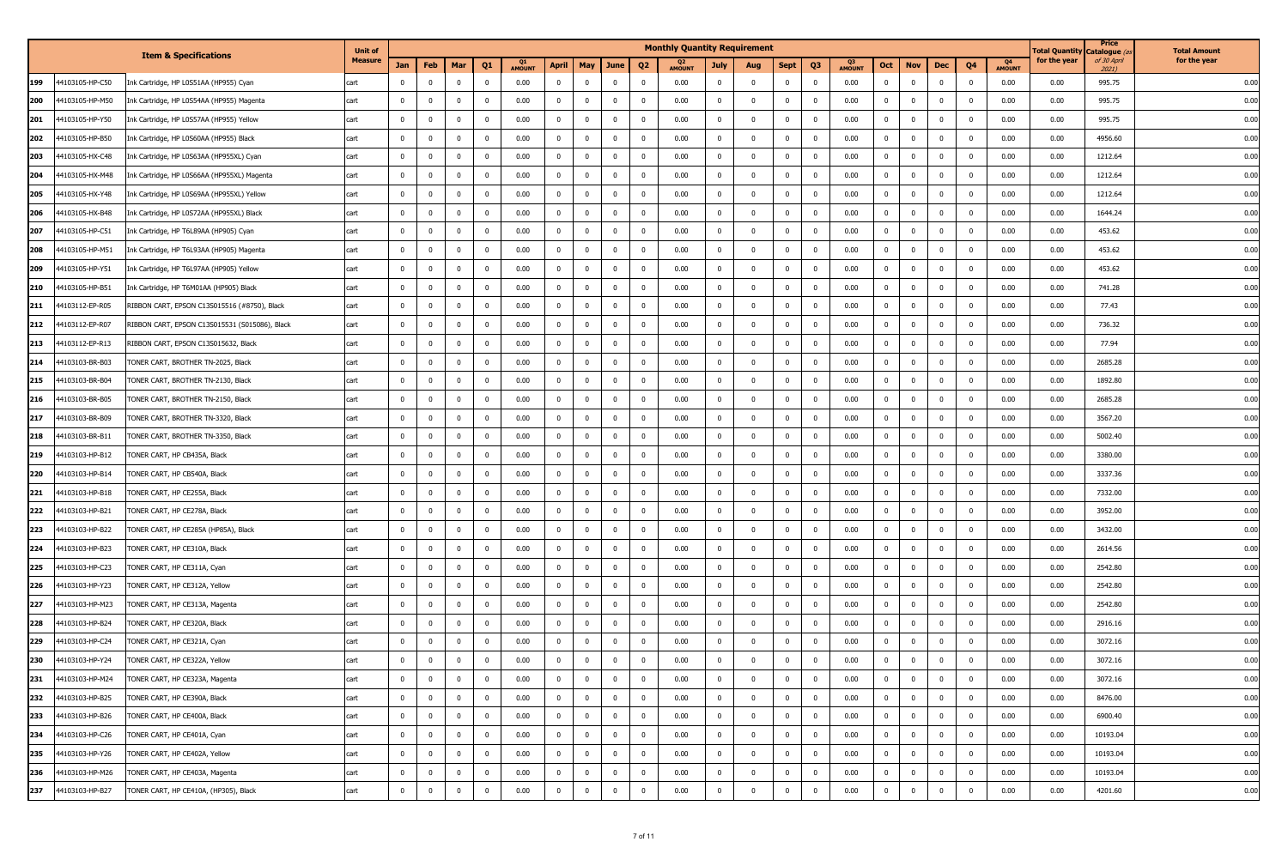|     |                 |                                                | <b>Unit of</b> |                |                |                |              |               |                |                |                |                         | <b>Monthly Quantity Requirement</b> |                |                |                |                |               |                         |                |                |                |                       | <b>Total Quantity</b> | Price<br>) catalogue | <b>Total Amount</b> |
|-----|-----------------|------------------------------------------------|----------------|----------------|----------------|----------------|--------------|---------------|----------------|----------------|----------------|-------------------------|-------------------------------------|----------------|----------------|----------------|----------------|---------------|-------------------------|----------------|----------------|----------------|-----------------------|-----------------------|----------------------|---------------------|
|     |                 | <b>Item &amp; Specifications</b>               | <b>Measure</b> | Jan            | Feb            | Mar            | Q1           | <b>AMOUNT</b> | April          | <b>May</b>     | June           | Q <sub>2</sub>          | <b>AMOUNT</b>                       | <b>July</b>    | Aug            | <b>Sept</b>    | Q3             | <b>AMOUNT</b> | Oct                     | <b>Nov</b>     | Dec            | Q4             | - 04<br><b>AMOUNT</b> | for the year          | of 30 April<br>2021) | for the year        |
| 199 | 44103105-HP-C50 | Ink Cartridge, HP L0S51AA (HP955) Cyan         | cart           | $\Omega$       | $\Omega$       | $\mathbf 0$    | $^{\circ}$   | 0.00          | $\mathbf{0}$   | $^{\circ}$     | $\mathbf{0}$   | $\overline{\mathbf{0}}$ | 0.00                                | $\mathbf{0}$   | $\mathbf 0$    | $\overline{0}$ | $\mathbf 0$    | 0.00          | $\overline{0}$          | $\mathbf 0$    | $\mathbf 0$    | $\bf{0}$       | 0.00                  | 0.00                  | 995.75               | 0.00                |
| 200 | 44103105-HP-M50 | Ink Cartridge, HP L0S54AA (HP955) Magenta      | cart           | $\mathbf 0$    | $\mathbf{0}$   | $\mathbf 0$    | $\Omega$     | 0.00          | $\mathbf{0}$   | $\Omega$       | $\mathbf{0}$   | $\overline{\mathbf{0}}$ | 0.00                                | $\mathbf{0}$   | $\mathbf 0$    | $\mathbf 0$    | $\mathbf 0$    | 0.00          | $\mathbf{0}$            | $\mathbf 0$    | $\mathbf 0$    | $\mathbf 0$    | 0.00                  | 0.00                  | 995.75               | 0.00                |
| 201 | 44103105-HP-Y50 | Ink Cartridge, HP L0S57AA (HP955) Yellow       | cart           | $^{\circ}$     | $\Omega$       | $\mathbf 0$    | $^{\circ}$   | 0.00          | $\mathbf 0$    | $^{\circ}$     | $\mathbf{0}$   | $\overline{\mathbf{0}}$ | 0.00                                | $\mathbf{0}$   | $\mathbf 0$    | $\overline{0}$ | $\bf{0}$       | 0.00          | $\overline{0}$          | $^{\circ}$     | $\mathbf{0}$   | $\mathbf 0$    | 0.00                  | 0.00                  | 995.75               | 0.00                |
| 202 | 44103105-HP-B50 | Ink Cartridge, HP L0S60AA (HP955) Black        | cart           | $\mathbf{0}$   | $\mathbf 0$    | $\mathbf 0$    | $\bf{0}$     | 0.00          | $\mathbf 0$    | $\mathbf{0}$   | $\mathbf 0$    | $\overline{\mathbf{0}}$ | 0.00                                | $\mathbf{0}$   | $\mathbf 0$    | $\overline{0}$ | $\mathbf 0$    | 0.00          | $\mathbf{0}$            | $\mathbf 0$    | $\mathbf 0$    | $\mathbf 0$    | 0.00                  | 0.00                  | 4956.60              | 0.00                |
| 203 | 44103105-HX-C48 | Ink Cartridge, HP L0S63AA (HP955XL) Cyan       | cart           | $\mathbf 0$    | $\mathbf{0}$   | $\mathbf 0$    | $\mathbf 0$  | 0.00          | $\mathbf{0}$   | $^{\circ}$     | $\mathbf 0$    | $\overline{\mathbf{0}}$ | 0.00                                | $\mathbf{0}$   | $\bf{0}$       | $\overline{0}$ | $\bf{0}$       | 0.00          | $\overline{0}$          | $\mathbf 0$    | $\bf{0}$       | $\mathbf 0$    | 0.00                  | 0.00                  | 1212.64              | 0.00                |
| 204 | 44103105-HX-M48 | Ink Cartridge, HP L0S66AA (HP955XL) Magenta    | cart           | $\mathbf 0$    | $\Omega$       | $\mathbf 0$    | $^{\circ}$   | 0.00          | $\mathbf 0$    | $\Omega$       | $\overline{0}$ | $\overline{\mathbf{0}}$ | 0.00                                | $\mathbf{0}$   | $\mathbf 0$    | $\mathbf 0$    | $\mathbf 0$    | 0.00          | $\overline{0}$          | $^{\circ}$     | $\mathbf 0$    | $\Omega$       | 0.00                  | 0.00                  | 1212.64              | 0.00                |
| 205 | 44103105-HX-Y48 | Ink Cartridge, HP L0S69AA (HP955XL) Yellow     | cart           | $^{\circ}$     | $\Omega$       | $^{\circ}$     | $^{\circ}$   | 0.00          | $\bf{0}$       | $^{\circ}$     | $\overline{0}$ | 0                       | 0.00                                | $\mathbf{0}$   | $\mathbf 0$    | $\overline{0}$ | $\bf{0}$       | 0.00          | $\bf{0}$                | $^{\circ}$     | $\mathbf{0}$   | $^{\circ}$     | 0.00                  | 0.00                  | 1212.64              | 0.00                |
| 206 | 44103105-HX-B48 | Ink Cartridge, HP L0S72AA (HP955XL) Black      | cart           | $\Omega$       | $\Omega$       | $\mathbf 0$    | $^{\circ}$   | 0.00          | $\bf{0}$       | $\Omega$       | $\overline{0}$ | $\overline{\mathbf{0}}$ | 0.00                                | $\mathbf{0}$   | $\bf{0}$       | $\mathbf 0$    | $\mathbf 0$    | 0.00          | $\mathbf{0}$            | $\mathbf 0$    | $\mathbf 0$    | $\mathbf 0$    | 0.00                  | 0.00                  | 1644.24              | 0.00                |
| 207 | 44103105-HP-C51 | Ink Cartridge, HP T6L89AA (HP905) Cyan         | cart           | $^{\circ}$     | $\mathbf{0}$   | $\mathbf{0}$   | $^{\circ}$   | 0.00          | $\mathbf 0$    | $^{\circ}$     | $\overline{0}$ | $\overline{\mathbf{0}}$ | 0.00                                | $\bf{0}$       | $\mathbf 0$    | $\overline{0}$ | $\bf{0}$       | 0.00          | $\overline{0}$          | $^{\circ}$     | $\mathbf 0$    | $\mathbf 0$    | 0.00                  | 0.00                  | 453.62               | 0.00                |
| 208 | 44103105-HP-M51 | Ink Cartridge, HP T6L93AA (HP905) Magenta      | cart           | $^{\circ}$     | $\Omega$       | $\mathbf 0$    | $^{\circ}$   | 0.00          | $\mathbf 0$    | $\Omega$       | $\mathbf{0}$   | $\overline{\mathbf{0}}$ | 0.00                                | $\mathbf{0}$   | $\mathbf 0$    | $\mathbf 0$    | - 0            | 0.00          | $\overline{0}$          | $^{\circ}$     | $\mathbf 0$    | $^{\circ}$     | 0.00                  | 0.00                  | 453.62               | 0.00                |
| 209 | 44103105-HP-Y51 | Ink Cartridge, HP T6L97AA (HP905) Yellow       | cart           | $^{\circ}$     | $\Omega$       | $\mathbf{0}$   | $^{\circ}$   | 0.00          | $\mathbf 0$    | $\mathbf 0$    | $\bf{0}$       | $\overline{\mathbf{0}}$ | 0.00                                | $\mathbf{0}$   | $\mathbf 0$    | $\overline{0}$ | $\bf{0}$       | 0.00          | $\overline{0}$          | $^{\circ}$     | $\mathbf 0$    | $\mathbf 0$    | 0.00                  | 0.00                  | 453.62               | 0.00                |
| 210 | 44103105-HP-B51 | Ink Cartridge, HP T6M01AA (HP905) Black        | cart           | $^{\circ}$     | $\mathbf{0}$   | $\mathbf 0$    | $\mathbf 0$  | 0.00          | $\bf{0}$       | $^{\circ}$     | $\overline{0}$ | $\overline{\mathbf{0}}$ | 0.00                                | $\overline{0}$ | $\bf{0}$       | $\overline{0}$ | $\mathbf{0}$   | 0.00          | $\mathbf{0}$            | $\mathbf 0$    | $\mathbf 0$    | $\mathbf 0$    | 0.00                  | 0.00                  | 741.28               | 0.00                |
| 211 | 44103112-EP-R05 | RIBBON CART, EPSON C13S015516 (#8750), Black   | cart           | $\mathbf{0}$   | $\mathbf{0}$   | $\mathbf 0$    | $\mathbf 0$  | 0.00          | $\mathbf 0$    | $^{\circ}$     | $\mathbf{0}$   | $\overline{\mathbf{0}}$ | 0.00                                | $\mathbf{0}$   | $\mathbf 0$    | $\overline{0}$ | $\mathbf 0$    | 0.00          | $\overline{0}$          | $\mathbf 0$    | $\mathbf 0$    | $\mathbf 0$    | 0.00                  | 0.00                  | 77.43                | 0.00                |
| 212 | 44103112-EP-R07 | RIBBON CART, EPSON C13S015531 (S015086), Black | cart           | $^{\circ}$     | $\Omega$       | $\mathbf 0$    | $\mathbf 0$  | 0.00          | $\mathbf 0$    | $^{\circ}$     | $\mathbf{0}$   | $\overline{\mathbf{0}}$ | 0.00                                | $\mathbf{0}$   | $\mathbf 0$    | $\overline{0}$ | $\mathbf 0$    | 0.00          | $\overline{0}$          | $^{\circ}$     | $\mathbf 0$    | $\mathbf 0$    | 0.00                  | 0.00                  | 736.32               | 0.00                |
| 213 | 44103112-EP-R13 | RIBBON CART, EPSON C13S015632, Black           | cart           | $^{\circ}$     | $\mathbf{0}$   | $\mathbf 0$    | $\mathbf 0$  | 0.00          | $\bf{0}$       | $^{\circ}$     | $\mathbf{0}$   | $\overline{\mathbf{0}}$ | 0.00                                | $\mathbf{0}$   | $\mathbf 0$    | $\overline{0}$ | $\mathbf 0$    | 0.00          | $\overline{0}$          | $\mathbf 0$    | $\mathbf 0$    | $\mathbf 0$    | 0.00                  | 0.00                  | 77.94                | 0.00                |
| 214 | 44103103-BR-B03 | TONER CART, BROTHER TN-2025, Black             | cart           | $\Omega$       | $\mathbf{0}$   | $\mathbf 0$    | $^{\circ}$   | 0.00          | $\bf{0}$       | $\Omega$       | $\mathbf 0$    | $\overline{\mathbf{0}}$ | 0.00                                | $\overline{0}$ | $\bf{0}$       | $\mathbf 0$    | $\mathbf 0$    | 0.00          | $\overline{0}$          | $\mathbf 0$    | $\overline{0}$ | $\mathbf 0$    | 0.00                  | 0.00                  | 2685.28              | 0.00                |
| 215 | 44103103-BR-B04 | TONER CART, BROTHER TN-2130, Black             | cart           | $\mathbf 0$    | $\mathbf{0}$   | $\mathbf 0$    | $\mathbf 0$  | 0.00          | $\bf{0}$       | $^{\circ}$     | $\mathbf{0}$   | $\overline{\mathbf{0}}$ | 0.00                                | $\overline{0}$ | $\bf{0}$       | $\overline{0}$ | $\mathbf 0$    | 0.00          | $\overline{0}$          | $^{\circ}$     | $\mathbf 0$    | $\mathbf 0$    | 0.00                  | 0.00                  | 1892.80              | 0.00                |
| 216 | 44103103-BR-B05 | FONER CART, BROTHER TN-2150, Black             | cart           |                |                | $\Omega$       | 0            | 0.00          | $\mathbf 0$    |                | $^{\circ}$     | $\overline{0}$          | 0.00                                | $^{\circ}$     | $\Omega$       | $\overline{0}$ | 0              | 0.00          | $\mathbf 0$             | $\Omega$       | $\mathbf 0$    | $\Omega$       | 0.00                  | 0.00                  | 2685.28              | 0.00                |
| 217 | 44103103-BR-B09 | TONER CART, BROTHER TN-3320, Black             | cart           | $^{\circ}$     | $\Omega$       | $^{\circ}$     | $^{\circ}$   | 0.00          | $\mathbf 0$    | $^{\circ}$     | $\mathbf 0$    | $\overline{\mathbf{0}}$ | 0.00                                | $\overline{0}$ | $\mathbf 0$    | $\mathbf 0$    | $\mathbf 0$    | 0.00          | $\overline{0}$          | $^{\circ}$     | $\mathbf 0$    | $^{\circ}$     | 0.00                  | 0.00                  | 3567.20              | 0.00                |
| 218 | 44103103-BR-B11 | FONER CART, BROTHER TN-3350, Black             | cart           |                | $\Omega$       | $\mathbf 0$    | $^{\circ}$   | 0.00          | $\bf{0}$       |                | $\mathbf 0$    | $\overline{\mathbf{0}}$ | 0.00                                | $\mathbf{0}$   | $\mathbf 0$    | $\mathbf 0$    | $\mathbf{0}$   | 0.00          | $\mathbf 0$             | $\Omega$       | $\overline{0}$ | $\mathbf 0$    | 0.00                  | 0.00                  | 5002.40              | 0.00                |
| 219 | 44103103-HP-B12 | TONER CART, HP CB435A, Black                   | cart           | $\mathbf 0$    | $\Omega$       | $\mathbf 0$    | $^{\circ}$   | 0.00          | $\bf{0}$       | $\Omega$       | $\overline{0}$ | $\overline{\mathbf{0}}$ | 0.00                                | $\mathbf{0}$   | $\mathbf 0$    | $\overline{0}$ | $\mathbf 0$    | 0.00          | $\mathbf{0}$            | $^{\circ}$     | $\mathbf 0$    | $\mathbf 0$    | 0.00                  | 0.00                  | 3380.00              | 0.00                |
| 220 | 44103103-HP-B14 | TONER CART, HP CB540A, Black                   | cart           | $^{\circ}$     |                | $^{\circ}$     | $^{\circ}$   | 0.00          | $\mathbf 0$    | $^{\circ}$     | $\mathbf{0}$   | 0                       | 0.00                                | $^{\circ}$     | $^{\circ}$     | $\overline{0}$ | 0              | 0.00          | $\mathbf 0$             | $^{\circ}$     | $\mathbf{0}$   | $^{\circ}$     | 0.00                  | 0.00                  | 3337.36              | 0.00                |
| 221 | 44103103-HP-B18 | FONER CART, HP CE255A, Black                   | cart           | $^{\circ}$     | $\Omega$       | $\mathbf 0$    | $^{\circ}$   | 0.00          | $\mathbf 0$    | $\Omega$       | $\mathbf{0}$   | $\overline{\mathbf{0}}$ | 0.00                                | $\overline{0}$ | $\mathbf 0$    | $\mathbf 0$    | $^{\circ}$     | 0.00          | $\overline{0}$          | $^{\circ}$     | $\mathbf{0}$   | $^{\circ}$     | 0.00                  | 0.00                  | 7332.00              | 0.00                |
| 222 | 44103103-HP-B21 | FONER CART, HP CE278A, Black                   | cart           | $^{\circ}$     | $\Omega$       | $\mathbf 0$    | $^{\circ}$   | 0.00          | $\mathbf 0$    |                | $\overline{0}$ | $\overline{\mathbf{0}}$ | 0.00                                | $\mathbf{0}$   | $\mathbf 0$    | $\mathbf 0$    | $^{\circ}$     | 0.00          | $\overline{0}$          | $\Omega$       | $\mathbf 0$    | $^{\circ}$     | 0.00                  | 0.00                  | 3952.00              | 0.00                |
| 223 | 44103103-HP-B22 | TONER CART, HP CE285A (HP85A), Black           | cart           | $\mathbf{0}$   | $\Omega$       | $\mathbf 0$    | $\Omega$     | 0.00          | $\mathbf 0$    | $\Omega$       | $\mathbf{0}$   | $\overline{\mathbf{0}}$ | 0.00                                | $\mathbf{0}$   | $\mathbf 0$    | $\mathbf 0$    | $\mathbf 0$    | 0.00          | $\mathbf{0}$            | $^{\circ}$     | $\mathbf 0$    | $\mathbf 0$    | 0.00                  | 0.00                  | 3432.00              | 0.00                |
| 224 | 44103103-HP-B23 | TONER CART, HP CE310A, Black                   | cart           | $\Omega$       | $\Omega$       | $\mathbf 0$    | $^{\circ}$   | 0.00          | $\mathbf 0$    | $^{\circ}$     | $\mathbf{0}$   | $\overline{\mathbf{0}}$ | 0.00                                | $^{\circ}$     | $\mathbf 0$    | $\overline{0}$ | $\mathbf 0$    | 0.00          | $\overline{\mathbf{0}}$ | $^{\circ}$     | $\mathbf 0$    | $\mathbf 0$    | 0.00                  | 0.00                  | 2614.56              | 0.00                |
| 225 | 44103103-HP-C23 | TONER CART, HP CE311A, Cyan                    | cart           | $\mathbf{0}$   | $\mathbf 0$    | $\mathbf 0$    | $\mathbf{0}$ | 0.00          | $\mathbf 0$    | $\Omega$       | $\mathbf 0$    | $\overline{\mathbf{0}}$ | 0.00                                | $\mathbf{0}$   | $\mathbf 0$    | $\overline{0}$ | $\mathbf 0$    | 0.00          | $\mathbf{0}$            | $\mathbf 0$    | $\mathbf 0$    | $\mathbf 0$    | 0.00                  | 0.00                  | 2542.80              | 0.00                |
| 226 | 44103103-HP-Y23 | FONER CART, HP CE312A, Yellow                  | cart           | $\mathbf 0$    | $\mathbf{0}$   | $\mathbf 0$    | $^{\circ}$   | 0.00          | $\mathbf 0$    | $^{\circ}$     | $\mathbf 0$    | $\overline{\mathbf{0}}$ | 0.00                                | $\mathbf{0}$   | $\mathbf 0$    | $\overline{0}$ | $\bf{0}$       | 0.00          | $\overline{0}$          | $\mathbf 0$    | $\mathbf{0}$   | $\mathbf 0$    | 0.00                  | 0.00                  | 2542.80              | 0.00                |
| 227 | 44103103-HP-M23 | TONER CART, HP CE313A, Magenta                 | cart           | $\mathbf{0}$   | $\Omega$       | $\mathbf{0}$   | $\mathbf{0}$ | 0.00          | $\mathbf{0}$   | $\Omega$       | $\mathbf{0}$   | $\overline{\mathbf{0}}$ | 0.00                                | $\mathbf{0}$   | $\overline{0}$ | $\mathbf 0$    | $\mathbf 0$    | 0.00          | $\mathbf{0}$            | $\mathbf 0$    | $\mathbf{0}$   | $\overline{0}$ | 0.00                  | 0.00                  | 2542.80              | 0.00                |
| 228 | 44103103-HP-B24 | TONER CART, HP CE320A, Black                   | cart           | $\Omega$       | $\Omega$       | $^{\circ}$     | $^{\circ}$   | 0.00          | $\mathbf 0$    | $^{\circ}$     | $\mathbf{0}$   | 0                       | 0.00                                | $^{\circ}$     | $\mathbf 0$    | $\overline{0}$ | $\bf{0}$       | 0.00          | $\mathbf 0$             | $^{\circ}$     | $\mathbf{0}$   | $\mathbf 0$    | 0.00                  | 0.00                  | 2916.16              | 0.00                |
| 229 | 44103103-HP-C24 | TONER CART, HP CE321A, Cyan                    | cart           | $\Omega$       | $\Omega$       | $\mathbf 0$    | $\Omega$     | 0.00          | $\bf{0}$       |                | $\mathbf{0}$   | $\overline{0}$          | 0.00                                | $\overline{0}$ | $\Omega$       | $\mathbf 0$    | $\mathbf 0$    | 0.00          | $\mathbf 0$             | $\Omega$       | $\overline{0}$ | $\Omega$       | 0.00                  | 0.00                  | 3072.16              | 0.00                |
| 230 | 44103103-HP-Y24 | TONER CART, HP CE322A, Yellow                  | cart           | $\overline{0}$ | $\mathbf{0}$   | $\bf{0}$       | $\mathbf 0$  | 0.00          | $\mathbf 0$    | $\mathbf 0$    | $\overline{0}$ | $\overline{0}$          | 0.00                                | $^{\circ}$     | $\bf{0}$       | $\overline{0}$ | $\bf{0}$       | 0.00          | $\bf{0}$                | $^{\circ}$     | $\bf{0}$       | $\mathbf 0$    | 0.00                  | 0.00                  | 3072.16              | 0.00                |
| 231 | 44103103-HP-M24 | TONER CART, HP CE323A, Magenta                 | cart           | $\mathbf 0$    | $\Omega$       | $\mathbf 0$    | $\mathbf{0}$ | 0.00          | $\overline{0}$ | $^{\circ}$     | $\overline{0}$ | $\overline{\mathbf{0}}$ | 0.00                                | $\overline{0}$ | $\mathbf{0}$   | $\overline{0}$ | $\mathbf{0}$   | 0.00          | $\overline{0}$          | $\mathbf 0$    | $\overline{0}$ | $\mathbf 0$    | 0.00                  | 0.00                  | 3072.16              | 0.00                |
| 232 | 44103103-HP-B25 | TONER CART, HP CE390A, Black                   | cart           | $\overline{0}$ | $\mathbf{0}$   | $\bf{0}$       | $\bf{0}$     | 0.00          | $\mathbf{0}$   | $\overline{0}$ | $\mathbf{0}$   | $\overline{\mathbf{0}}$ | 0.00                                | $\bf{0}$       | $\bf{0}$       | $\overline{0}$ | $\overline{0}$ | 0.00          | $\overline{0}$          | $\mathbf 0$    | $\bf{0}$       | $\bf{0}$       | 0.00                  | 0.00                  | 8476.00              | 0.00                |
| 233 | 44103103-HP-B26 | TONER CART, HP CE400A, Black                   | cart           | $\overline{0}$ | $\overline{0}$ | $\bf{0}$       | $\mathbf{0}$ | 0.00          | $\mathbf{0}$   | $\mathbf{0}$   | $\overline{0}$ | $\overline{\mathbf{0}}$ | 0.00                                | $\overline{0}$ | $\mathbf 0$    | $\overline{0}$ | $\mathbf 0$    | 0.00          | $\overline{0}$          | $\bf{0}$       | $\bf{0}$       | $\bf{0}$       | 0.00                  | 0.00                  | 6900.40              | 0.00                |
| 234 | 44103103-HP-C26 | TONER CART, HP CE401A, Cyan                    | cart           | $\overline{0}$ | $\overline{0}$ | $\overline{0}$ | $\mathbf{0}$ | 0.00          | $\mathbf{0}$   | $\overline{0}$ | $\mathbf{0}$   | $\overline{\mathbf{0}}$ | 0.00                                | $\overline{0}$ | $\bf{0}$       | $\overline{0}$ | $\overline{0}$ | 0.00          | $\overline{0}$          | $\mathbf 0$    | $\overline{0}$ | $\bf{0}$       | 0.00                  | 0.00                  | 10193.04             | 0.00                |
| 235 | 44103103-HP-Y26 | TONER CART, HP CE402A, Yellow                  | cart           | $\mathbf 0$    | $\mathbf{0}$   | $\bf{0}$       | $\bf{0}$     | 0.00          | $\mathbf{0}$   | $^{\circ}$     | $\overline{0}$ | $\overline{\mathbf{0}}$ | 0.00                                | $\overline{0}$ | $\bf{0}$       | $\overline{0}$ | $\mathbf{0}$   | 0.00          | $\mathbf{0}$            | $\mathbf 0$    | $\overline{0}$ | $\bf{0}$       | 0.00                  | 0.00                  | 10193.04             | 0.00                |
| 236 | 44103103-HP-M26 | TONER CART, HP CE403A, Magenta                 | cart           | $\overline{0}$ | $\overline{0}$ | $\mathbf{0}$   | $\mathbf{0}$ | 0.00          | $\bf{0}$       | $\overline{0}$ | $\overline{0}$ | $\overline{\mathbf{0}}$ | 0.00                                | $\overline{0}$ | $\mathbf 0$    | $\overline{0}$ | $\overline{0}$ | 0.00          | $\overline{0}$          | $\mathbf{0}$   | $\bf{0}$       | $\bf{0}$       | 0.00                  | 0.00                  | 10193.04             | 0.00                |
| 237 | 44103103-HP-B27 | TONER CART, HP CE410A, (HP305), Black          | cart           | $\mathbf 0$    | $\overline{0}$ | $\pmb{0}$      | $\mathbf 0$  | 0.00          | $\mathbf 0$    | $\mathbf 0$    | $\bf{0}$       | $\overline{0}$          | 0.00                                | $\mathbf 0$    | $\mathbf 0$    | $\mathbf 0$    | $\overline{0}$ | 0.00          | $\overline{0}$          | $\overline{0}$ | $\mathbf 0$    | $\mathbf 0$    | 0.00                  | 0.00                  | 4201.60              | 0.00                |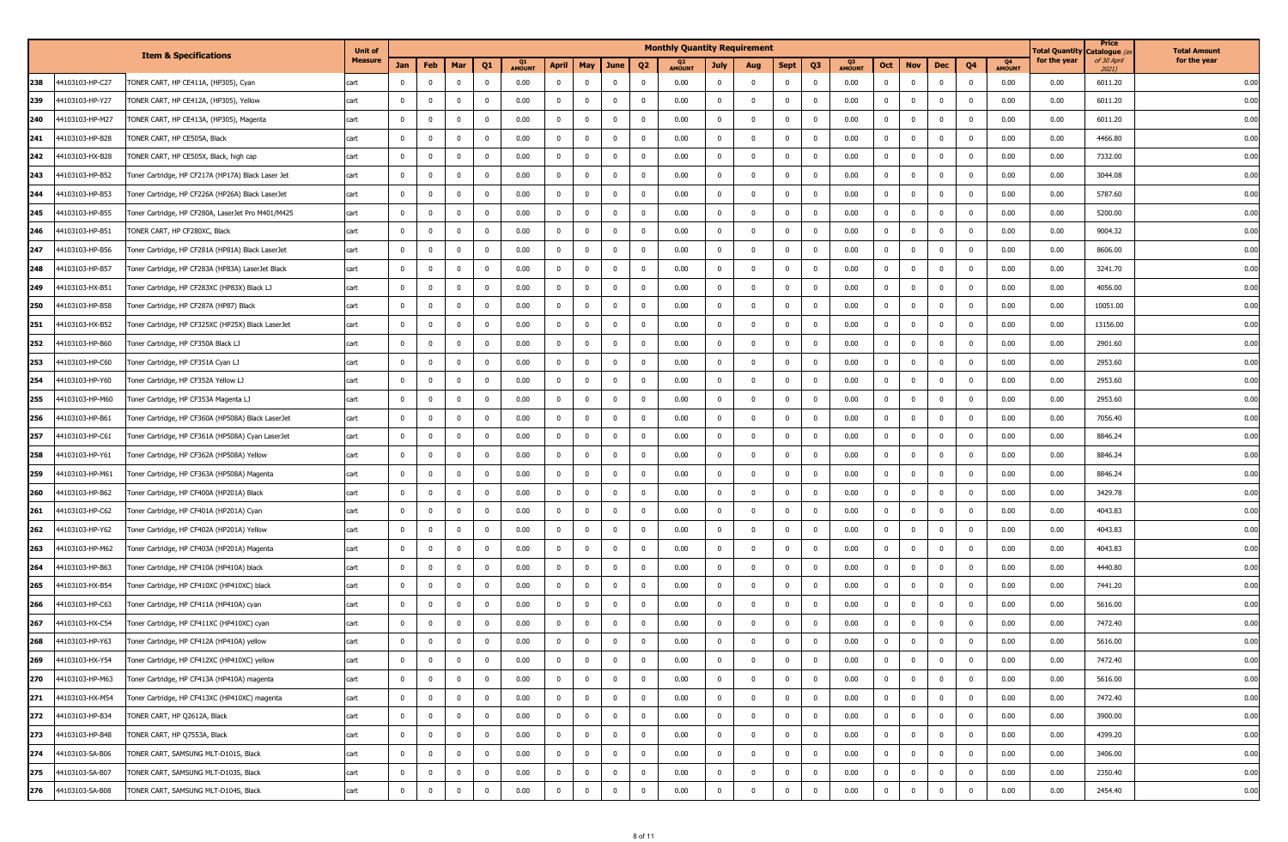|     |                 |                                                    | <b>Unit of</b> |                |              |                |              |                     |              |                |                |                         | <b>Monthly Quantity Requirement</b> |                |                |                         |                |                                 |                |             |                |                |                                 | otal Quantity | Price<br>Catalogue <i>(</i> | <b>Total Amount</b> |
|-----|-----------------|----------------------------------------------------|----------------|----------------|--------------|----------------|--------------|---------------------|--------------|----------------|----------------|-------------------------|-------------------------------------|----------------|----------------|-------------------------|----------------|---------------------------------|----------------|-------------|----------------|----------------|---------------------------------|---------------|-----------------------------|---------------------|
|     |                 | <b>Item &amp; Specifications</b>                   | <b>Measure</b> | Jan            | Feb          | Mar            | Q1           | Q1<br><b>AMOUNT</b> | April        | <b>May</b>     | June           | Q <sub>2</sub>          | <b>AMOUNT</b>                       | <b>July</b>    | Aug            | <b>Sept</b>             | Q3             | Q <sub>3</sub><br><b>AMOUNT</b> | Oct            | <b>Nov</b>  | <b>Dec</b>     | Q <sub>4</sub> | Q <sub>4</sub><br><b>AMOUNT</b> | for the year  | of 30 April<br>2021)        | for the year        |
| 238 | 44103103-HP-C27 | 'ONER CART, HP CE411A, (HP305), Cyan               | cart           |                | $\Omega$     | $^{\circ}$     | $^{\circ}$   | 0.00                | $\mathbf 0$  | $\Omega$       | $\mathbf{0}$   | $\Omega$                | 0.00                                | $\mathbf{0}$   | $^{\circ}$     | $\mathbf 0$             | 0              | 0.00                            | $\mathbf 0$    | $^{\circ}$  | $\mathbf 0$    | $\mathbf 0$    | 0.00                            | 0.00          | 6011.20                     | 0.00                |
| 239 | 44103103-HP-Y27 | TONER CART, HP CE412A, (HP305), Yellow             | cart           | $^{\circ}$     | $\Omega$     | $\mathbf 0$    | 0            | 0.00                | $\mathbf 0$  | $\Omega$       | $\mathbf{0}$   | $\overline{\mathbf{0}}$ | 0.00                                | $\mathbf{0}$   | $\mathbf 0$    | $\mathbf 0$             | $^{\circ}$     | 0.00                            | $\overline{0}$ | $\Omega$    | $\mathbf{0}$   | $^{\circ}$     | 0.00                            | 0.00          | 6011.20                     | 0.00                |
| 240 | 44103103-HP-M27 | TONER CART, HP CE413A, (HP305), Magenta            | cart           | 0              |              | $\mathbf 0$    | 0            | 0.00                | $\mathbf 0$  | 0              | $\mathbf{0}$   | 0                       | 0.00                                | $^{\circ}$     | $^{\circ}$     | $^{\circ}$              | 0              | 0.00                            | $\mathbf 0$    | $^{\circ}$  | $\mathbf{0}$   | $^{\circ}$     | 0.00                            | 0.00          | 6011.20                     | 0.00                |
| 241 | 44103103-HP-B28 | FONER CART, HP CE505A, Black                       | cart           | $^{\circ}$     | $\Omega$     | $^{\circ}$     | $^{\circ}$   | 0.00                | $\mathbf 0$  | $^{\circ}$     | $\mathbf{0}$   | $\overline{\mathbf{0}}$ | 0.00                                | $\mathbf{0}$   | $\mathbf 0$    | $\mathbf 0$             | $\mathbf 0$    | 0.00                            | $\overline{0}$ | $^{\circ}$  | $\mathbf{0}$   | $^{\circ}$     | 0.00                            | 0.00          | 4466.80                     | 0.00                |
| 242 | 44103103-HX-B28 | FONER CART, HP CE505X, Black, high cap             | cart           | $^{\circ}$     | $\Omega$     | $^{\circ}$     | $^{\circ}$   | 0.00                | $\mathbf 0$  | $\Omega$       | $\overline{0}$ | $\overline{\mathbf{0}}$ | 0.00                                | $\mathbf{0}$   | $\bf{0}$       | $\mathbf 0$             | $\mathbf{0}$   | 0.00                            | $\mathbf{0}$   | $^{\circ}$  | $\mathbf 0$    | $^{\circ}$     | 0.00                            | 0.00          | 7332.00                     | 0.00                |
| 243 | 44103103-HP-B52 | Toner Cartridge, HP CF217A (HP17A) Black Laser Jet | cart           | $\mathbf{0}$   | $\Omega$     | $\mathbf 0$    | $\Omega$     | 0.00                | $\mathbf 0$  | $\Omega$       | $\mathbf{0}$   | $\overline{\mathbf{0}}$ | 0.00                                | $\mathbf{0}$   | $\mathbf 0$    | $\mathbf 0$             | $\mathbf 0$    | 0.00                            | $\mathbf{0}$   | $^{\circ}$  | $\mathbf 0$    | $\mathbf 0$    | 0.00                            | 0.00          | 3044.08                     | 0.00                |
| 244 | 44103103-HP-B53 | Toner Cartridge, HP CF226A (HP26A) Black LaserJet  | cart           | $^{\circ}$     | $\Omega$     | $\mathbf 0$    | $^{\circ}$   | 0.00                | $\mathbf 0$  | $^{\circ}$     | $\mathbf{0}$   | $\overline{\mathbf{0}}$ | 0.00                                | $\mathbf{0}$   | $\mathbf 0$    | $\overline{0}$          | $\mathbf 0$    | 0.00                            | $\overline{0}$ | $^{\circ}$  | $\mathbf{0}$   | $\mathbf 0$    | 0.00                            | 0.00          | 5787.60                     | 0.00                |
| 245 | 44103103-HP-B55 | Toner Cartridge, HP CF280A, LaserJet Pro M401/M425 | cart           | $\Omega$       | $\mathbf{0}$ | $\mathbf 0$    | $\Omega$     | 0.00                | $\mathbf 0$  | $\Omega$       | $\mathbf{0}$   | $\overline{\mathbf{0}}$ | 0.00                                | $\mathbf{0}$   | $\mathbf 0$    | $\overline{0}$          | $\mathbf 0$    | 0.00                            | $\mathbf{0}$   | $\mathbf 0$ | $\mathbf 0$    | $\mathbf 0$    | 0.00                            | 0.00          | 5200.00                     | 0.00                |
| 246 | 44103103-HP-B51 | FONER CART, HP CF280XC, Black                      | cart           | $\mathbf 0$    | $\Omega$     | $\mathbf 0$    | $^{\circ}$   | 0.00                | $\mathbf 0$  | $\Omega$       | $\mathbf 0$    | $\overline{\mathbf{0}}$ | 0.00                                | $\mathbf{0}$   | $\mathbf 0$    | $\mathbf 0$             | $\mathbf 0$    | 0.00                            | $\overline{0}$ | $^{\circ}$  | $\mathbf 0$    | $\mathbf 0$    | 0.00                            | 0.00          | 9004.32                     | 0.00                |
| 247 | 44103103-HP-B56 | Toner Cartridge, HP CF281A (HP81A) Black LaserJet  | cart           | $\mathbf{0}$   | $\Omega$     | $\mathbf{0}$   | $\Omega$     | 0.00                | $\mathbf 0$  | $\Omega$       | $\mathbf{0}$   | $\overline{0}$          | 0.00                                | $\mathbf{0}$   | $\overline{0}$ | $\mathbf 0$             | $\mathbf 0$    | 0.00                            | $\overline{0}$ | $^{\circ}$  | $\mathbf{0}$   | $\overline{0}$ | 0.00                            | 0.00          | 8606.00                     | 0.00                |
| 248 | 44103103-HP-B57 | Toner Cartridge, HP CF283A (HP83A) LaserJet Black  | cart           | $^{\circ}$     | $\Omega$     | $\mathbf 0$    | $^{\circ}$   | 0.00                | $\mathbf 0$  | $^{\circ}$     | $\mathbf{0}$   | $\overline{\mathbf{0}}$ | 0.00                                | $^{\circ}$     | $\mathbf 0$    | $\overline{\mathbf{0}}$ | $\bf{0}$       | 0.00                            | $\bf{0}$       | $^{\circ}$  | $\mathbf 0$    | $\mathbf 0$    | 0.00                            | 0.00          | 3241.70                     | 0.00                |
| 249 | 44103103-HX-B51 | Toner Cartridge, HP CF283XC (HP83X) Black LJ       | cart           | $\Omega$       | $\Omega$     | $^{\circ}$     | $\Omega$     | 0.00                | $\bf{0}$     | $\Omega$       | $\overline{0}$ | $\overline{\mathbf{0}}$ | 0.00                                | $\overline{0}$ | $\mathbf 0$    | $\mathbf 0$             | $\mathbf 0$    | 0.00                            | $\mathbf{0}$   | $^{\circ}$  | $\mathbf 0$    | $\mathbf 0$    | 0.00                            | 0.00          | 4056.00                     | 0.00                |
| 250 | 44103103-HP-B58 | Toner Cartridge, HP CF287A (HP87) Black            | cart           | $^{\circ}$     | $\Omega$     | $\mathbf{0}$   | $^{\circ}$   | 0.00                | $\mathbf 0$  | $^{\circ}$     | $\overline{0}$ | $\overline{\mathbf{0}}$ | 0.00                                | $\mathbf{0}$   | $\bf{0}$       | $\overline{0}$          | $\bf{0}$       | 0.00                            | $\overline{0}$ | $^{\circ}$  | $\mathbf{0}$   | $\mathbf 0$    | 0.00                            | 0.00          | 10051.00                    | 0.00                |
| 251 | 44103103-HX-B52 | Toner Cartridge, HP CF325XC (HP25X) Black LaserJet | cart           | $\Omega$       | $\Omega$     | $\mathbf 0$    | $^{\circ}$   | 0.00                | $\bf{0}$     | $\Omega$       | $\mathbf{0}$   | $\overline{\mathbf{0}}$ | 0.00                                | $^{\circ}$     | $\mathbf 0$    | $\mathbf 0$             | - 0            | 0.00                            | $\overline{0}$ | $^{\circ}$  | $\mathbf{0}$   | $^{\circ}$     | 0.00                            | 0.00          | 13156.00                    | 0.00                |
| 252 | 44103103-HP-B60 | Toner Cartridge, HP CF350A Black LJ                | cart           | $^{\circ}$     | $\Omega$     | $\mathbf{0}$   | $^{\circ}$   | 0.00                | $\bf{0}$     | $^{\circ}$     | $\overline{0}$ | $\overline{\mathbf{0}}$ | 0.00                                | $\overline{0}$ | $\mathbf 0$    | $\overline{0}$          | $\bf{0}$       | 0.00                            | $\overline{0}$ | $^{\circ}$  | $\mathbf{0}$   | $\mathbf 0$    | 0.00                            | 0.00          | 2901.60                     | 0.00                |
| 253 | 44103103-HP-C60 | Toner Cartridge, HP CF351A Cyan LJ                 | cart           | $\Omega$       | $\Omega$     | $\mathbf 0$    | $\Omega$     | 0.00                | $\bf{0}$     | $\Omega$       | $\overline{0}$ | $\overline{\mathbf{0}}$ | 0.00                                | $\mathbf{0}$   | $\bf{0}$       | $\mathbf 0$             | $\mathbf 0$    | 0.00                            | $\mathbf{0}$   | $\mathbf 0$ | $\mathbf 0$    | $\mathbf 0$    | 0.00                            | 0.00          | 2953.60                     | 0.00                |
| 254 | 44103103-HP-Y60 | Toner Cartridge, HP CF352A Yellow LJ               | cart           | $^{\circ}$     | $\mathbf{0}$ | $\mathbf{0}$   | $\mathbf 0$  | 0.00                | $\bf{0}$     | $^{\circ}$     | $\overline{0}$ | $\overline{\mathbf{0}}$ | 0.00                                | $\mathbf{0}$   | $\mathbf 0$    | $\overline{0}$          | $\mathbf 0$    | 0.00                            | $\overline{0}$ | $\Omega$    | $\mathbf{0}$   | $\mathbf 0$    | 0.00                            | 0.00          | 2953.60                     | 0.00                |
| 255 | 44103103-HP-M60 | Toner Cartridge, HP CF353A Magenta LJ              | cart           | $\Omega$       | $^{\circ}$   | $\mathbf 0$    | $^{\circ}$   | 0.00                | $\mathbf 0$  | $^{\circ}$     | $\mathbf{0}$   | - 0                     | 0.00                                | $\mathbf{0}$   | $\mathbf 0$    | $\mathbf 0$             | - 0            | 0.00                            | $\overline{0}$ | $^{\circ}$  | $\mathbf 0$    | $\mathbf 0$    | 0.00                            | 0.00          | 2953.60                     | 0.00                |
| 256 | 44103103-HP-B61 | Toner Cartridge, HP CF360A (HP508A) Black LaserJet | cart           | $^{\circ}$     | $\Omega$     | $^{\circ}$     | $^{\circ}$   | 0.00                | $\mathbf 0$  | $^{\circ}$     | $\mathbf{0}$   | $\overline{\mathbf{0}}$ | 0.00                                | $\mathbf{0}$   | $\mathbf 0$    | $\mathbf 0$             | $\mathbf 0$    | 0.00                            | $\mathbf{0}$   | $^{\circ}$  | $\mathbf 0$    | $\mathbf 0$    | 0.00                            | 0.00          | 7056.40                     | 0.00                |
| 257 | 44103103-HP-C61 | Toner Cartridge, HP CF361A (HP508A) Cyan LaserJet  | cart           | $\Omega$       | $\mathbf{0}$ | $\mathbf 0$    | $\mathbf 0$  | 0.00                | $\bf{0}$     | $\Omega$       | $\overline{0}$ | $\overline{0}$          | 0.00                                | $\overline{0}$ | $\bf{0}$       | $\mathbf 0$             | $\mathbf 0$    | 0.00                            | $\mathbf{0}$   | $\mathbf 0$ | $\mathbf 0$    | $\mathbf 0$    | 0.00                            | 0.00          | 8846.24                     | 0.00                |
| 258 | 44103103-HP-Y61 | Toner Cartridge, HP CF362A (HP508A) Yellow         | cart           | $\mathbf 0$    | $\mathbf{0}$ | $\mathbf 0$    | $\mathbf 0$  | 0.00                | $\mathbf 0$  | $^{\circ}$     | $\mathbf 0$    | $\overline{\mathbf{0}}$ | 0.00                                | $\overline{0}$ | $\bf{0}$       | $\overline{0}$          | $\mathbf 0$    | 0.00                            | $\overline{0}$ | $\mathbf 0$ | $\mathbf 0$    | $\mathbf 0$    | 0.00                            | 0.00          | 8846.24                     | 0.00                |
| 259 | 44103103-HP-M61 | Toner Cartridge, HP CF363A (HP508A) Magenta        | cart           | $^{\circ}$     | $\Omega$     | $\mathbf 0$    | $\mathbf 0$  | 0.00                | $\mathbf 0$  | $^{\circ}$     | $\mathbf{0}$   | $\overline{\mathbf{0}}$ | 0.00                                | $^{\circ}$     | $\mathbf 0$    | $\overline{0}$          | $\mathbf 0$    | 0.00                            | $\overline{0}$ | $^{\circ}$  | $\mathbf 0$    | $\mathbf 0$    | 0.00                            | 0.00          | 8846.24                     | 0.00                |
| 260 | 44103103-HP-B62 | Toner Cartridge, HP CF400A (HP201A) Black          | cart           | $\mathbf 0$    | $\mathbf{0}$ | $\mathbf 0$    | $^{\circ}$   | 0.00                | $\mathbf 0$  | $^{\circ}$     | $\mathbf{0}$   | $\overline{\mathbf{0}}$ | 0.00                                | $\mathbf{0}$   | $\mathbf 0$    | $\bf{0}$                | $\mathbf 0$    | 0.00                            | $\overline{0}$ | $\mathbf 0$ | $\mathbf 0$    | $\mathbf 0$    | 0.00                            | 0.00          | 3429.78                     | 0.00                |
| 261 | 44103103-HP-C62 | Toner Cartridge, HP CF401A (HP201A) Cyan           | cart           | $\Omega$       | $\mathbf{0}$ | $\mathbf 0$    | $\Omega$     | 0.00                | $\bf{0}$     | $\Omega$       | $\mathbf 0$    | $\overline{\mathbf{0}}$ | 0.00                                | $\overline{0}$ | $\mathbf 0$    | $\mathbf 0$             | $\mathbf 0$    | 0.00                            | $\overline{0}$ | $\mathbf 0$ | $\mathbf 0$    | $\mathbf 0$    | 0.00                            | 0.00          | 4043.83                     | 0.00                |
| 262 | 44103103-HP-Y62 | Toner Cartridge, HP CF402A (HP201A) Yellow         | cart           | $^{\circ}$     | $\Omega$     | $^{\circ}$     | $\Omega$     | 0.00                | $\mathbf 0$  | $\Omega$       | $\mathbf{0}$   | $\overline{\mathbf{0}}$ | 0.00                                | $\mathbf{0}$   | $\mathbf 0$    | $\mathbf 0$             | 0              | 0.00                            | $\overline{0}$ | $\Omega$    | $\mathbf 0$    | $\Omega$       | 0.00                            | 0.00          | 4043.83                     | 0.00                |
| 263 | 44103103-HP-M62 | Toner Cartridge, HP CF403A (HP201A) Magenta        | cart           | 0              |              | $\Omega$       | $\mathbf 0$  | 0.00                | $\mathbf{0}$ |                | $\mathbf{0}$   | $\overline{0}$          | 0.00                                | $\mathbf 0$    | $\Omega$       | $\mathbf 0$             |                | 0.00                            | $\mathbf 0$    |             | $\mathbf 0$    | $\Omega$       | 0.00                            | 0.00          | 4043.83                     | 0.00                |
| 264 | 44103103-HP-B63 | Toner Cartridge, HP CF410A (HP410A) black          | cart           | $^{\circ}$     | $\Omega$     | $^{\circ}$     | $^{\circ}$   | 0.00                | $\mathbf 0$  | $^{\circ}$     | $\mathbf{0}$   | $\overline{\mathbf{0}}$ | 0.00                                | $\mathbf{0}$   | $\mathbf 0$    | $\mathbf 0$             | $\mathbf 0$    | 0.00                            | $\mathbf{0}$   | $^{\circ}$  | $\mathbf 0$    | $^{\circ}$     | 0.00                            | 0.00          | 4440.80                     | 0.00                |
| 265 | 44103103-HX-B54 | Toner Cartridge, HP CF410XC (HP410XC) black        | cart           | $\mathbf 0$    | $\Omega$     | $^{\circ}$     | $^{\circ}$   | 0.00                | $\mathbf 0$  |                | $\overline{0}$ | $\overline{\mathbf{0}}$ | 0.00                                | $^{\circ}$     | $\mathbf 0$    | $\mathbf 0$             | $\mathbf{0}$   | 0.00                            | $\overline{0}$ | $^{\circ}$  | $\mathbf 0$    | $^{\circ}$     | 0.00                            | 0.00          | 7441.20                     | 0.00                |
| 266 | 44103103-HP-C63 | Toner Cartridge, HP CF411A (HP410A) cyan           | cart           | $^{\circ}$     | $\Omega$     | $\mathbf 0$    | 0            | 0.00                | $\mathbf 0$  | $\Omega$       | $\mathbf{0}$   | $\overline{\mathbf{0}}$ | 0.00                                | $\mathbf{0}$   | $\mathbf 0$    | $\mathbf 0$             | $^{\circ}$     | 0.00                            | $\overline{0}$ | $\Omega$    | $\mathbf{0}$   | $^{\circ}$     | 0.00                            | 0.00          | 5616.00                     | 0.00                |
| 267 | 44103103-HX-C54 | Toner Cartridge, HP CF411XC (HP410XC) cyan         | cart           | 0              |              | $\mathbf 0$    | 0            | 0.00                | $\mathbf{0}$ |                | $\mathbf{0}$   | 0                       | 0.00                                | $^{\circ}$     | $\mathbf 0$    | $^{\circ}$              | 0              | 0.00                            | $\mathbf 0$    |             | $\mathbf 0$    | $^{\circ}$     | 0.00                            | 0.00          | 7472.40                     | 0.00                |
| 268 | 44103103-HP-Y63 | Toner Cartridge, HP CF412A (HP410A) yellow         | cart           | $\Omega$       | $\mathbf{0}$ | $\mathbf 0$    | $\Omega$     | 0.00                | $\mathbf 0$  | $\Omega$       | $^{\circ}$     | $\overline{\mathbf{0}}$ | 0.00                                | $\overline{0}$ | $^{\circ}$     | $\mathbf 0$             | $\mathbf 0$    | 0.00                            | $\mathbf{0}$   | $^{\circ}$  | $\overline{0}$ | $\Omega$       | 0.00                            | 0.00          | 5616.00                     | 0.00                |
| 269 | 44103103-HX-Y54 | Toner Cartridge, HP CF412XC (HP410XC) yellow       | cart           | $\overline{0}$ | $\mathbf{0}$ | $\bf{0}$       | $\mathbf{0}$ | 0.00                | $\mathbf 0$  | $^{\circ}$     | $\mathbf{0}$   | $\overline{0}$          | 0.00                                | $\mathbf{0}$   | $\mathbf 0$    | $\overline{0}$          | $\bf{0}$       | 0.00                            | $\bf{0}$       | $\bf{0}$    | $\bf{0}$       | $\mathbf{0}$   | 0.00                            | 0.00          | 7472.40                     | 0.00                |
| 270 | 44103103-HP-M63 | Toner Cartridge, HP CF413A (HP410A) magenta        | cart           | $\bf{0}$       | $\mathbf 0$  | $\mathbf 0$    | $\bf{0}$     | 0.00                | $\mathbf 0$  | $\bf{0}$       | $\mathbf 0$    | $\overline{\mathbf{0}}$ | 0.00                                | $\mathbf{0}$   | $\mathbf{0}$   | $\overline{0}$          | $\overline{0}$ | 0.00                            | $\mathbf{0}$   | $\bf{0}$    | $\overline{0}$ | $\mathbf 0$    | 0.00                            | 0.00          | 5616.00                     | 0.00                |
| 271 | 44103103-HX-M54 | Toner Cartridge, HP CF413XC (HP410XC) magenta      | cart           | $\overline{0}$ | $\mathbf{0}$ | $\bf{0}$       | $\mathbf{0}$ | 0.00                | $\mathbf{0}$ | $\overline{0}$ | $\overline{0}$ | $\overline{0}$          | 0.00                                | $\bf{0}$       | $\mathbf 0$    | $\overline{0}$          | $\bf{0}$       | 0.00                            | $\overline{0}$ | $\mathbf 0$ | $\bf{0}$       | $\bf{0}$       | 0.00                            | 0.00          | 7472.40                     | 0.00                |
| 272 | 44103103-HP-B34 | TONER CART, HP Q2612A, Black                       | cart           | $\mathbf 0$    | $\mathbf 0$  | $\bf{0}$       | $\mathbf{0}$ | 0.00                | $\mathbf{0}$ | $\overline{0}$ | $\overline{0}$ | $\overline{\mathbf{0}}$ | 0.00                                | $\overline{0}$ | $\mathbf 0$    | $\overline{0}$          | $\mathbf 0$    | 0.00                            | $\mathbf{0}$   | $\mathbf 0$ | $\bf{0}$       | $\mathbf 0$    | 0.00                            | 0.00          | 3900.00                     | 0.00                |
| 273 | 44103103-HP-B48 | TONER CART, HP Q7553A, Black                       | cart           | $\overline{0}$ | $\mathbf{0}$ | $\overline{0}$ | $\mathbf{0}$ | 0.00                | $\mathbf{0}$ | $^{\circ}$     | $\overline{0}$ | $\overline{\mathbf{0}}$ | 0.00                                | $\overline{0}$ | $\bf{0}$       | $\overline{0}$          | $\overline{0}$ | 0.00                            | $\bf{0}$       | $\mathbf 0$ | $\bf{0}$       | $\bf{0}$       | 0.00                            | 0.00          | 4399.20                     | 0.00                |
| 274 | 44103103-SA-B06 | TONER CART, SAMSUNG MLT-D101S, Black               | cart           | $\mathbf 0$    | $\Omega$     | $\bf{0}$       | $\mathbf 0$  | 0.00                | $\mathbf{0}$ | $^{\circ}$     | $\overline{0}$ | $\overline{\mathbf{0}}$ | 0.00                                | $\overline{0}$ | $\mathbf 0$    | $\overline{0}$          | $\mathbf 0$    | 0.00                            | $\bf{0}$       | $^{\circ}$  | $\overline{0}$ | $\mathbf 0$    | 0.00                            | 0.00          | 3406.00                     | 0.00                |
| 275 | 44103103-SA-B07 | TONER CART, SAMSUNG MLT-D103S, Black               | cart           | $\overline{0}$ | $\mathbf{0}$ | $\mathbf{0}$   | $\mathbf{0}$ | 0.00                | $\bf{0}$     | $\mathbf 0$    | $\overline{0}$ | $\overline{\mathbf{0}}$ | 0.00                                | $\overline{0}$ | $\mathbf 0$    | $\overline{0}$          | $\bf{0}$       | 0.00                            | $\bf{0}$       | $\mathbf 0$ | $\bf{0}$       | $\mathbf 0$    | 0.00                            | 0.00          | 2350.40                     | 0.00                |
| 276 | 44103103-SA-B08 | TONER CART, SAMSUNG MLT-D104S, Black               | cart           | $\overline{0}$ | $\bf{0}$     | $\mathbf 0$    | $\bf{0}$     | 0.00                | $\bf{0}$     | $\mathbf 0$    | $\bf{0}$       | $\overline{0}$          | 0.00                                | $\overline{0}$ | $\mathbf 0$    | $\mathbf 0$             | $\overline{0}$ | 0.00                            | $\mathbf 0$    | $\bf{0}$    | $\mathbf 0$    | $\mathbf 0$    | 0.00                            | 0.00          | 2454.40                     | 0.00                |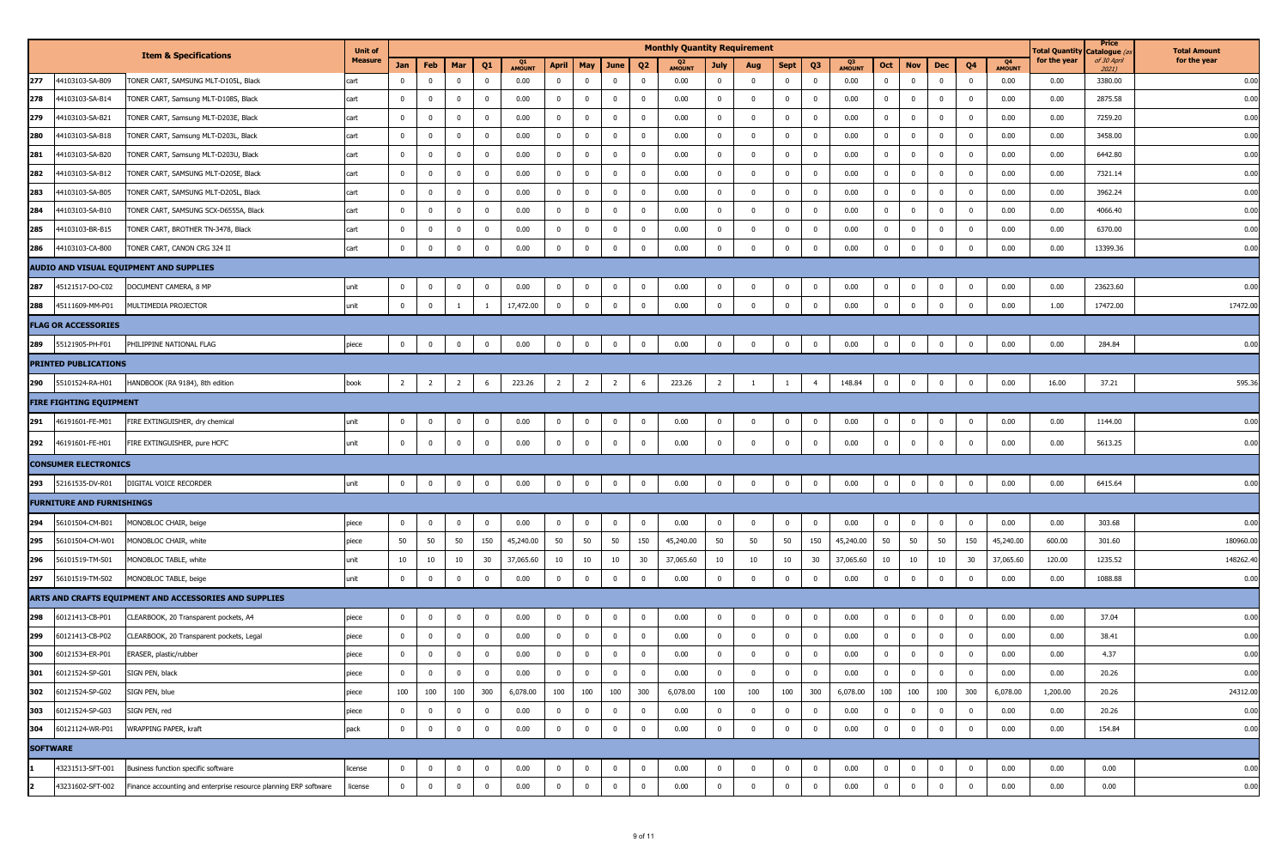|     |                                  |                                                                  | <b>Unit of</b> |                |                |                         |                         |               |                |                |                         |                         | <b>Monthly Quantity Requirement</b> |                |              |                |                |                     |                         |              |                |                |                                 | <b>Total Quantity</b> | Price<br>) Catalogue | <b>Total Amount</b> |
|-----|----------------------------------|------------------------------------------------------------------|----------------|----------------|----------------|-------------------------|-------------------------|---------------|----------------|----------------|-------------------------|-------------------------|-------------------------------------|----------------|--------------|----------------|----------------|---------------------|-------------------------|--------------|----------------|----------------|---------------------------------|-----------------------|----------------------|---------------------|
|     |                                  | <b>Item &amp; Specifications</b>                                 | Measure        | Jan            | Feb            | Mar                     | Q1                      | <b>AMOUNT</b> | April          | May            | June                    | Q <sub>2</sub>          | <b>AMOUNT</b>                       | July           | Aug          | Sept           | Q3             | Q3<br><b>AMOUNT</b> | Oct                     | <b>Nov</b>   | Dec            | Q <sub>4</sub> | Q <sub>4</sub><br><b>AMOUNT</b> | for the year          | of 30 April<br>2021) | for the year        |
| 277 | 44103103-SA-B09                  | FONER CART, SAMSUNG MLT-D105L, Black                             | cart           | $^{\circ}$     | $\mathbf 0$    | $\overline{0}$          | $\overline{0}$          | 0.00          | $\mathbf{0}$   | $\mathbf 0$    | $\overline{0}$          | $\overline{\mathbf{0}}$ | 0.00                                | $\mathbf{0}$   | $\bf{0}$     | $\overline{0}$ | $\mathbf 0$    | 0.00                | $\overline{0}$          | $\mathbf 0$  | $\mathbf 0$    | $\mathbf 0$    | 0.00                            | 0.00                  | 3380.00              | 0.00                |
| 278 | 44103103-SA-B14                  | TONER CART, Samsung MLT-D108S, Black                             | cart           | $\mathbf{0}$   | $\mathbf 0$    | $\overline{0}$          | $\mathbf 0$             | 0.00          | $\bf{0}$       | $\mathbf 0$    | $\overline{\mathbf{0}}$ | $\overline{\mathbf{0}}$ | 0.00                                | $\mathbf{0}$   | $\bf{0}$     | $\overline{0}$ | $\mathbf{0}$   | 0.00                | $\bf{0}$                | $\mathbf 0$  | $\bf{0}$       | $\mathbf 0$    | 0.00                            | 0.00                  | 2875.58              | 0.00                |
| 279 | 44103103-SA-B21                  | TONER CART, Samsung MLT-D203E, Black                             | cart           | $\mathbf{0}$   | $\mathbf 0$    | $\mathbf 0$             | $\overline{0}$          | 0.00          | $\bf{0}$       | $\overline{0}$ | $\mathbf 0$             | $\overline{\mathbf{0}}$ | 0.00                                | $^{\circ}$     | $\bf{0}$     | $\overline{0}$ | $\mathbf 0$    | 0.00                | $\bf{0}$                | $\Omega$     | $\overline{0}$ | $\mathbf 0$    | 0.00                            | 0.00                  | 7259.20              | 0.00                |
| 280 | 14103103-SA-B18                  | TONER CART, Samsung MLT-D203L, Black                             | cart           | $^{\circ}$     | $\bf{0}$       | $\mathbf 0$             | $\mathbf 0$             | 0.00          | $\bf{0}$       | $\bf{0}$       | $\overline{\mathbf{0}}$ | $\overline{\mathbf{0}}$ | 0.00                                | 0              | $\mathbf 0$  | $\overline{0}$ | $\mathbf{0}$   | 0.00                | $\overline{\mathbf{0}}$ | $\Omega$     | $\bf{0}$       | $\mathbf 0$    | 0.00                            | 0.00                  | 3458.00              | 0.00                |
| 281 | 44103103-SA-B20                  | TONER CART, Samsung MLT-D203U, Black                             | cart           | $^{\circ}$     | $\mathbf 0$    | $\overline{0}$          | $\overline{0}$          | 0.00          | $\bf{0}$       | $\overline{0}$ | $\overline{0}$          | $\overline{\mathbf{0}}$ | 0.00                                | $\mathbf{0}$   | $\bf{0}$     | $\overline{0}$ | $\mathbf 0$    | 0.00                | $\overline{0}$          | $\Omega$     | $\overline{0}$ | $\mathbf 0$    | 0.00                            | 0.00                  | 6442.80              | 0.00                |
| 282 | 44103103-SA-B12                  | TONER CART, SAMSUNG MLT-D205E, Black                             | cart           | $^{\circ}$     | $\mathbf 0$    | $\mathbf{0}$            | $\mathbf 0$             | 0.00          | $\bf{0}$       | $\bf{0}$       | $\overline{\mathbf{0}}$ | $\overline{0}$          | 0.00                                | $\mathbf{0}$   | $\bf{0}$     | $\overline{0}$ | $\bf{0}$       | 0.00                | $\overline{0}$          | $\mathbf 0$  | $\bf{0}$       | $\mathbf 0$    | 0.00                            | 0.00                  | 7321.14              | 0.00                |
| 283 | 44103103-SA-B05                  | TONER CART, SAMSUNG MLT-D205L, Black                             | cart           | $\overline{0}$ | $\bf{0}$       | $\mathbf{0}$            | $\mathbf{0}$            | 0.00          | $\bf{0}$       | $\overline{0}$ | $\overline{\mathbf{0}}$ | $\overline{\mathbf{0}}$ | 0.00                                | $^{\circ}$     | $\bf{0}$     | $\overline{0}$ | $\mathbf{0}$   | 0.00                | $\overline{0}$          | $^{\circ}$   | $\mathbf 0$    | $\mathbf 0$    | 0.00                            | 0.00                  | 3962.24              | 0.00                |
| 284 | 44103103-SA-B10                  | TONER CART, SAMSUNG SCX-D6555A, Black                            | cart           | $^{\circ}$     | $\mathbf 0$    | $\mathbf{0}$            | $\mathbf 0$             | 0.00          | $\bf{0}$       | $\bf{0}$       | $\overline{\mathbf{0}}$ | $\overline{0}$          | 0.00                                | $\mathbf{0}$   | $\mathbf 0$  | $\overline{0}$ | $\mathbf{0}$   | 0.00                | $\overline{\mathbf{0}}$ | $^{\circ}$   | $\bf{0}$       | $\mathbf 0$    | 0.00                            | 0.00                  | 4066.40              | 0.00                |
| 285 | 44103103-BR-B15                  | TONER CART, BROTHER TN-3478, Black                               | cart           | $\mathbf{0}$   | $\mathbf 0$    | $\overline{0}$          | $\overline{0}$          | 0.00          | $\bf{0}$       | $\overline{0}$ | $\overline{0}$          | $\overline{\mathbf{0}}$ | 0.00                                | $\mathbf{0}$   | $\bf{0}$     | $\overline{0}$ | $\mathbf 0$    | 0.00                | $\mathbf 0$             | $\mathbf 0$  | $\overline{0}$ | $\mathbf 0$    | 0.00                            | 0.00                  | 6370.00              | 0.00                |
| 286 | 44103103-CA-B00                  | TONER CART, CANON CRG 324 II                                     | cart           | $\overline{0}$ | $\pmb{0}$      | $\overline{0}$          | $\bf{0}$                | 0.00          | $\bf{0}$       | $\overline{0}$ | $\overline{\mathbf{0}}$ | $\overline{0}$          | 0.00                                | $\mathbf{0}$   | $\bf{0}$     | $\overline{0}$ | $\mathbf 0$    | 0.00                | $\overline{\mathbf{0}}$ | $^{\circ}$   | $\overline{0}$ | $\mathbf 0$    | 0.00                            | 0.00                  | 13399.36             | 0.00                |
|     |                                  | AUDIO AND VISUAL EQUIPMENT AND SUPPLIES                          |                |                |                |                         |                         |               |                |                |                         |                         |                                     |                |              |                |                |                     |                         |              |                |                |                                 |                       |                      |                     |
| 287 | 45121517-DO-C02                  | DOCUMENT CAMERA, 8 MP                                            | unit           | $^{\circ}$     | $\mathbf 0$    | $\overline{0}$          | $\mathbf 0$             | 0.00          | $\mathbf{0}$   | $\overline{0}$ | $\overline{\mathbf{0}}$ | $\overline{0}$          | 0.00                                | $^{\circ}$     | $\mathbf 0$  | $\overline{0}$ | $\bf{0}$       | 0.00                | $\bf{0}$                | $\mathbf 0$  | $\overline{0}$ | $\bf{0}$       | 0.00                            | 0.00                  | 23623.60             | 0.00                |
| 288 | 45111609-MM-P01                  | MULTIMEDIA PROJECTOR                                             | unit           | $\Omega$       | $\mathbf 0$    | $\overline{1}$          | 1                       | 17,472.00     | $\mathbf 0$    | $\mathbf 0$    | $\overline{\mathbf{0}}$ | $\overline{0}$          | 0.00                                | $\mathbf 0$    | $\mathbf 0$  | $\mathbf 0$    | $\mathbf 0$    | 0.00                | $\mathbf 0$             | $\mathbf 0$  | $\mathbf 0$    | $\mathbf 0$    | 0.00                            | 1.00                  | 17472.00             | 17472.00            |
|     | <b>FLAG OR ACCESSORIES</b>       |                                                                  |                |                |                |                         |                         |               |                |                |                         |                         |                                     |                |              |                |                |                     |                         |              |                |                |                                 |                       |                      |                     |
| 289 | 55121905-PH-F01                  | PHILIPPINE NATIONAL FLAG                                         | piece          | $^{\circ}$     | $\mathbf 0$    | $\mathbf 0$             | $\mathbf{0}$            | 0.00          | $\mathbf 0$    | $\bf{0}$       | $\overline{\mathbf{0}}$ | $\overline{\mathbf{0}}$ | 0.00                                | $\mathbf{0}$   | $\mathbf 0$  | $\pmb{0}$      | $\bf{0}$       | 0.00                | $\mathbf 0$             | $\mathbf 0$  | $\bf{0}$       | $\mathbf 0$    | 0.00                            | 0.00                  | 284.84               | 0.00                |
|     | <b>PRINTED PUBLICATIONS</b>      |                                                                  |                |                |                |                         |                         |               |                |                |                         |                         |                                     |                |              |                |                |                     |                         |              |                |                |                                 |                       |                      |                     |
| 290 | 55101524-RA-H01                  | HANDBOOK (RA 9184), 8th edition                                  | book           | $\overline{2}$ | $\overline{2}$ | $\overline{2}$          | 6                       | 223.26        | $\overline{2}$ | $\overline{2}$ | $\overline{2}$          | 6                       | 223.26                              | $\overline{2}$ |              |                | $\overline{4}$ | 148.84              | $\mathbf 0$             | $\mathbf 0$  | $\mathbf 0$    | $\mathbf 0$    | 0.00                            | 16.00                 | 37.21                | 595.36              |
|     | <b>FIRE FIGHTING EQUIPMENT</b>   |                                                                  |                |                |                |                         |                         |               |                |                |                         |                         |                                     |                |              |                |                |                     |                         |              |                |                |                                 |                       |                      |                     |
| 291 | 46191601-FE-M01                  | FIRE EXTINGUISHER, dry chemical                                  | unit           | $^{\circ}$     | $\mathbf 0$    | $\bf{0}$                | $\mathbf 0$             | 0.00          | $\mathbf 0$    | $\mathbf{0}$   | $\overline{\mathbf{0}}$ | $\overline{\mathbf{0}}$ | 0.00                                | $\mathbf 0$    | $\bf{0}$     | $\overline{0}$ | $\mathbf{0}$   | 0.00                | $\overline{\mathbf{0}}$ | $\mathbf 0$  | $\mathbf{0}$   | $\mathbf 0$    | 0.00                            | 0.00                  | 1144.00              | 0.00                |
| 292 | 46191601-FE-H01                  | FIRE EXTINGUISHER, pure HCFC                                     | unit           | $^{\circ}$     | $\mathbf 0$    | $\overline{0}$          | $\overline{0}$          | 0.00          | $\bf{0}$       | $\bf{0}$       | $\overline{\mathbf{0}}$ | $\overline{0}$          | 0.00                                | $\mathbf{0}$   | $\bf{0}$     | $\overline{0}$ | $\mathbf 0$    | 0.00                | $\mathbf 0$             | $\mathbf 0$  | $\overline{0}$ | $^{\circ}$     | 0.00                            | 0.00                  | 5613.25              | 0.00                |
|     | <b>CONSUMER ELECTRONICS</b>      |                                                                  |                |                |                |                         |                         |               |                |                |                         |                         |                                     |                |              |                |                |                     |                         |              |                |                |                                 |                       |                      |                     |
| 293 | 52161535-DV-R01                  | DIGITAL VOICE RECORDER                                           | unit           | $\mathbf 0$    | $\pmb{0}$      | $\overline{0}$          | $\mathbf 0$             | 0.00          | $\mathbf 0$    | $\mathbf 0$    | $\overline{\mathbf{0}}$ | $\overline{0}$          | 0.00                                | $\bf{0}$       | $\mathbf 0$  | $\overline{0}$ | $\overline{0}$ | 0.00                | $\overline{\mathbf{0}}$ | $\mathbf 0$  | $\mathbf 0$    | $\mathbf 0$    | 0.00                            | 0.00                  | 6415.64              | 0.00                |
|     | <b>FURNITURE AND FURNISHINGS</b> |                                                                  |                |                |                |                         |                         |               |                |                |                         |                         |                                     |                |              |                |                |                     |                         |              |                |                |                                 |                       |                      |                     |
| 294 | 56101504-CM-B01                  | MONOBLOC CHAIR, beige                                            | piece          | $\overline{0}$ | $\mathbf 0$    | $\mathbf{0}$            | $\mathbf{0}$            | 0.00          | $\bf{0}$       | $\mathbf{0}$   | $\overline{0}$          | $\overline{\mathbf{0}}$ | 0.00                                | $^{\circ}$     | $\mathbf{0}$ | $\overline{0}$ | $\bf{0}$       | 0.00                | $\overline{0}$          | $\mathbf{0}$ | $\mathbf{0}$   | $\mathbf 0$    | 0.00                            | 0.00                  | 303.68               | 0.00                |
| 295 | 56101504-CM-W01                  | MONOBLOC CHAIR, white                                            | piece          | 50             | 50             | 50                      | 150                     | 45,240.00     | 50             | 50             | 50                      | 150                     | 45,240.00                           | 50             | 50           | 50             | 150            | 45,240.00           | 50                      | 50           | 50             | 150            | 45,240.00                       | 600.00                | 301.60               | 180960.00           |
| 296 | 56101519-TM-S01                  | MONOBLOC TABLE, white                                            | unit           | 10             | 10             | 10                      | 30                      | 37,065.60     | 10             | 10             | 10                      | 30                      | 37,065.60                           | 10             | 10           | 10             | 30             | 37,065.60           | 10                      | 10           | 10             | 30             | 37,065.60                       | 120.00                | 1235.52              | 148262.40           |
| 297 | 56101519-TM-S02                  | MONOBLOC TABLE, beige                                            | unit           | $\mathbf 0$    | $\pmb{0}$      | $\overline{0}$          | $\overline{0}$          | 0.00          | $\mathbf 0$    | $\mathbf 0$    | $\overline{\mathbf{0}}$ | $\bf{0}$                | 0.00                                | $\mathbf 0$    | $\mathbf 0$  | $\mathbf 0$    | $\bf{0}$       | 0.00                | $\mathbf 0$             | $\mathbf 0$  | $\mathbf 0$    | $\mathbf 0$    | 0.00                            | 0.00                  | 1088.88              | 0.00                |
|     |                                  | ARTS AND CRAFTS EQUIPMENT AND ACCESSORIES AND SUPPLIES           |                |                |                |                         |                         |               |                |                |                         |                         |                                     |                |              |                |                |                     |                         |              |                |                |                                 |                       |                      |                     |
| 298 | 60121413-CB-P01                  | CLEARBOOK, 20 Transparent pockets, A4                            | piece          | $^{\circ}$     | $\mathbf 0$    | $\overline{0}$          | $\mathbf 0$             | 0.00          | $\mathbf{0}$   | $\overline{0}$ | $\overline{\mathbf{0}}$ | $\overline{\mathbf{0}}$ | 0.00                                | $^{\circ}$     | $\mathbf 0$  | $\bf{0}$       | $\bf{0}$       | 0.00                | $\bf{0}$                | $\Omega$     | $\overline{0}$ | $\mathbf 0$    | 0.00                            | 0.00                  | 37.04                | 0.00                |
| 299 | 60121413-CB-P02                  | CLEARBOOK, 20 Transparent pockets, Legal                         | piece          | $\mathbf{0}$   | $\bf{0}$       | $\overline{0}$          | $\mathbf{0}$            | 0.00          | $\bf{0}$       | $\bf{0}$       | $\overline{\mathbf{0}}$ | $\overline{0}$          | 0.00                                | $\mathbf{0}$   | $\bf{0}$     | $\overline{0}$ | $\bf{0}$       | 0.00                | $\overline{\mathbf{0}}$ | $\mathbf 0$  | $\bf{0}$       | $\mathbf 0$    | 0.00                            | 0.00                  | 38.41                | 0.00                |
| 300 | 60121534-ER-P01                  | ERASER, plastic/rubber                                           | piece          |                | $\mathbf{0}$   | $\mathbf{0}$            | $\mathbf{0}$            | 0.00          | $\mathbf{0}$   | $\mathbf{0}$   | $\mathbf{0}$            | 0                       | 0.00                                | $\mathbf{0}$   | 0            | 0              | 0              | 0.00                | $\mathbf{0}$            |              | $\mathbf{0}$   | $\mathbf{0}$   | 0.00                            | 0.00                  | 4.37                 | 0.00                |
| 301 | 60121524-SP-G01                  | SIGN PEN, black                                                  | piece          | $\mathbf{0}$   | $\bf{0}$       | $\overline{0}$          | $\overline{\mathbf{0}}$ | 0.00          | $\bf{0}$       | $\bf{0}$       | $\overline{0}$          | $\overline{0}$          | 0.00                                | $\overline{0}$ | $\mathbf 0$  | $\mathbf{0}$   | $\overline{0}$ | 0.00                | $\overline{0}$          | $\mathbf 0$  | $\overline{0}$ | $\bf{0}$       | 0.00                            | 0.00                  | 20.26                | 0.00                |
| 302 | 60121524-SP-G02                  | SIGN PEN, blue                                                   | piece          | 100            | 100            | 100                     | 300                     | 6,078.00      | 100            | 100            | 100                     | 300                     | 6,078.00                            | 100            | 100          | 100            | 300            | 6,078.00            | 100                     | 100          | 100            | 300            | 6,078.00                        | 1,200.00              | 20.26                | 24312.00            |
| 303 | 60121524-SP-G03                  | SIGN PEN, red                                                    | piece          | $\bf{0}$       | $\pmb{0}$      | $\overline{\mathbf{0}}$ | $\overline{\mathbf{0}}$ | 0.00          | $\bf{0}$       | $\bf{0}$       | $\overline{\mathbf{0}}$ | $\overline{\mathbf{0}}$ | 0.00                                | $\overline{0}$ | $\mathbf{0}$ | $\overline{0}$ | $\overline{0}$ | 0.00                | $\bf{0}$                | $\mathbf 0$  | $\overline{0}$ | $\bf{0}$       | 0.00                            | 0.00                  | 20.26                | 0.00                |
| 304 | 60121124-WR-P01                  | WRAPPING PAPER, kraft                                            | pack           | $\bf{0}$       | $\pmb{0}$      | $\mathbf 0$             | $\mathbf{0}$            | 0.00          | $\bf{0}$       | $\overline{0}$ | $\overline{\mathbf{0}}$ | $\overline{\mathbf{0}}$ | 0.00                                | $\mathbf 0$    | $\mathbf 0$  | $\mathbf 0$    | $\bf{0}$       | 0.00                | $\mathbf 0$             | $\mathbf 0$  | $\bf{0}$       | $\mathbf 0$    | 0.00                            | 0.00                  | 154.84               | 0.00                |
|     | <b>SOFTWARE</b>                  |                                                                  |                |                |                |                         |                         |               |                |                |                         |                         |                                     |                |              |                |                |                     |                         |              |                |                |                                 |                       |                      |                     |
|     | 43231513-SFT-001                 | Business function specific software                              | license        | $\overline{0}$ | $\mathbf 0$    | $\bf{0}$                | $\mathbf{0}$            | 0.00          | $\bf{0}$       | $\overline{0}$ | $\overline{\mathbf{0}}$ | $\overline{0}$          | 0.00                                | $\mathbf{0}$   | $\mathbf{0}$ | $\overline{0}$ | $\bf{0}$       | 0.00                | $\overline{0}$          | $\mathbf 0$  | $\bf{0}$       | $\bf{0}$       | 0.00                            | 0.00                  | 0.00                 | 0.00                |
|     | 43231602-SFT-002                 | Finance accounting and enterprise resource planning ERP software | license        | $\bf{0}$       | $\mathbf 0$    | $\overline{0}$          | $\bf{0}$                | 0.00          | $\mathbf{0}$   | $\bf{0}$       | $\overline{\mathbf{0}}$ | $\overline{\mathbf{0}}$ | 0.00                                | $\mathbf 0$    | $\mathbf 0$  | $\overline{0}$ | $\bf{0}$       | 0.00                | $\mathbf 0$             | $^{\circ}$   | $\bf{0}$       | $\mathbf 0$    | 0.00                            | 0.00                  | 0.00                 | 0.00                |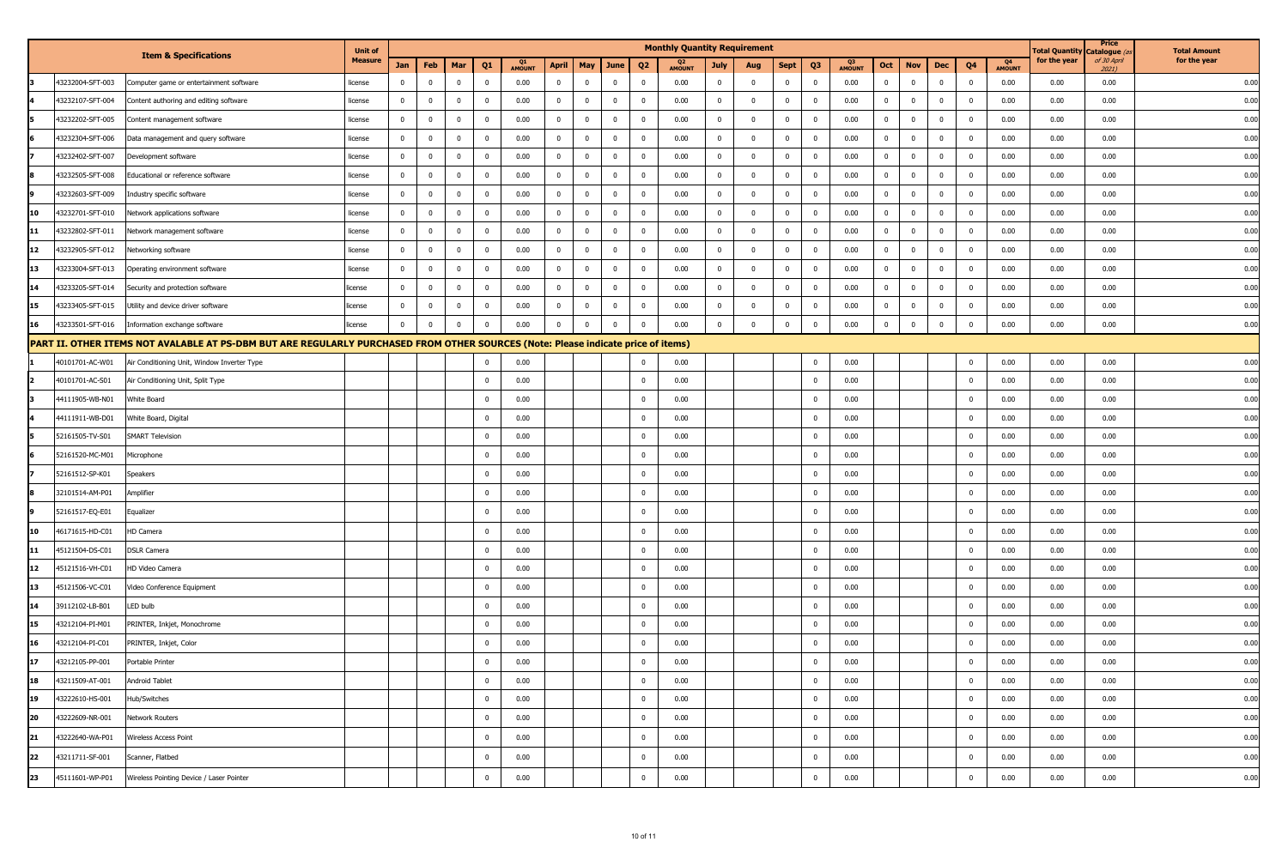|    |                  |                                                                                                                                   | <b>Unit of</b> |              |                |                |                |              |                |                |              |                | <b>Monthly Quantity Requirement</b> |                |                |                |                         |                     |                |                |                |                |                     | <b>Total Quantity</b> | Price<br>Catalogue (a | <b>Total Amount</b> |
|----|------------------|-----------------------------------------------------------------------------------------------------------------------------------|----------------|--------------|----------------|----------------|----------------|--------------|----------------|----------------|--------------|----------------|-------------------------------------|----------------|----------------|----------------|-------------------------|---------------------|----------------|----------------|----------------|----------------|---------------------|-----------------------|-----------------------|---------------------|
|    |                  | <b>Item &amp; Specifications</b>                                                                                                  | <b>Measure</b> | Jan          | Feb            | Mar            | Q <sub>1</sub> | Q1<br>AMOUNT | <b>April</b>   | May            | June         | Q <sub>2</sub> | <b>AMOUNT</b>                       | July           | Aug            | Sept           | Q <sub>3</sub>          | Q3<br><b>AMOUNT</b> | Oct            | <b>Nov</b>     | Dec            | Q <sub>4</sub> | Q4<br><b>AMOUNT</b> | for the year          | of 30 April<br>2021)  | for the year        |
|    | 43232004-SFT-003 | Computer game or entertainment software                                                                                           | license        | $\mathbf 0$  | $\mathbf 0$    | $\bf{0}$       | $\bf{0}$       | 0.00         | $\overline{0}$ | $\mathbf 0$    | $\mathbf 0$  | $\mathbf 0$    | 0.00                                | $\mathbf{0}$   | $\overline{0}$ | $\overline{0}$ | $\mathbf{0}$            | 0.00                | $\mathbf{0}$   | $\mathbf 0$    | $\mathbf 0$    | $\mathbf 0$    | 0.00                | 0.00                  | 0.00                  | 0.00                |
|    | 43232107-SFT-004 | Content authoring and editing software                                                                                            | license        | $\mathbf{0}$ | $\mathbf 0$    | $\bf{0}$       | $\mathbf 0$    | 0.00         | $\overline{0}$ | $\mathbf 0$    | $\bf{0}$     | $\bf{0}$       | 0.00                                | $\overline{0}$ | $\bf{0}$       | $\overline{0}$ | $\overline{0}$          | 0.00                | $\overline{0}$ | $\mathbf{0}$   | $\overline{0}$ | $\mathbf 0$    | 0.00                | 0.00                  | 0.00                  | 0.00                |
|    | 43232202-SFT-005 | Content management software                                                                                                       | license        | $\mathbf 0$  | $\mathbf 0$    | $\bf{0}$       | $\Omega$       | 0.00         | $\mathbf{0}$   | $\mathbf 0$    | $\mathbf 0$  | $\mathbf{0}$   | 0.00                                | $\overline{0}$ | $\mathbf 0$    | $\overline{0}$ | - 0                     | 0.00                | $\mathbf 0$    | $\mathbf{0}$   | $\Omega$       | $\mathbf 0$    | 0.00                | 0.00                  | 0.00                  | 0.00                |
|    | 43232304-SFT-006 | Data management and query software                                                                                                | license        | $\mathbf 0$  | $\mathbf 0$    | $\overline{0}$ | $\mathbf{0}$   | 0.00         | $\overline{0}$ | $\mathbf 0$    | $\mathbf 0$  | $\mathbf{0}$   | 0.00                                | $\overline{0}$ | $\mathbf 0$    | $\overline{0}$ | $\overline{\mathbf{0}}$ | 0.00                | $\overline{0}$ | $\mathbf 0$    | $\mathbf 0$    | $\mathbf 0$    | 0.00                | 0.00                  | 0.00                  | 0.00                |
|    | 43232402-SFT-007 | Development software                                                                                                              | license        | $\Omega$     | $\mathbf 0$    | $\mathbf 0$    | $\mathbf 0$    | 0.00         | $\mathbf{0}$   | $\mathbf 0$    | $\mathbf 0$  | $\mathbf 0$    | 0.00                                | $\overline{0}$ | $\mathbf 0$    | $\overline{0}$ | $\overline{0}$          | 0.00                | $\mathbf 0$    | $\mathbf 0$    | $\mathbf 0$    | $\mathbf 0$    | 0.00                | 0.00                  | 0.00                  | 0.00                |
|    | 43232505-SFT-008 | Educational or reference software                                                                                                 | license        | $\mathbf 0$  | $\mathbf 0$    | $\mathbf 0$    | $\mathbf 0$    | 0.00         | $\mathbf{0}$   | $\mathbf 0$    | $\mathbf 0$  | $\mathbf 0$    | 0.00                                | $\mathbf{0}$   | $\mathbf 0$    | $\overline{0}$ | $\overline{0}$          | 0.00                | $\mathbf 0$    | $\mathbf 0$    | $\mathbf 0$    | $\mathbf 0$    | 0.00                | 0.00                  | 0.00                  | 0.00                |
|    | 43232603-SFT-009 | Industry specific software                                                                                                        | license        | 0            | $\mathbf 0$    | $\mathbf{0}$   |                | 0.00         | $\mathbf{0}$   | $\overline{0}$ | $^{\circ}$   | $\mathbf{0}$   | 0.00                                | $\bf{0}$       | $\overline{0}$ | $\mathbf 0$    | 0                       | 0.00                | $\mathbf 0$    | $\mathbf{0}$   |                | $\overline{0}$ | 0.00                | 0.00                  | 0.00                  | 0.00                |
|    | 43232701-SFT-010 | Network applications software                                                                                                     | license        | $\mathbf 0$  | $\mathbf 0$    | $\overline{0}$ | $^{\circ}$     | 0.00         | $\overline{0}$ | $\mathbf 0$    | $\mathbf 0$  | $\mathbf{0}$   | 0.00                                | $\overline{0}$ | $\overline{0}$ | $\overline{0}$ | $\overline{0}$          | 0.00                | $\mathbf 0$    | $\overline{0}$ | $\Omega$       | $\overline{0}$ | 0.00                | 0.00                  | 0.00                  | 0.00                |
| 11 | 43232802-SFT-011 | Network management software                                                                                                       | license        | $^{\circ}$   | $\overline{0}$ | $\mathbf{0}$   | $\Omega$       | 0.00         | $\bf{0}$       | $\mathbf 0$    | $\mathbf{0}$ | $\mathbf{0}$   | 0.00                                | $\mathbf 0$    | $\overline{0}$ | $\overline{0}$ | $\mathbf 0$             | 0.00                | $\mathbf{0}$   | $\mathbf 0$    | $^{\circ}$     | $\overline{0}$ | 0.00                | 0.00                  | 0.00                  | 0.00                |
| 12 | 43232905-SFT-012 | Networking software                                                                                                               | license        | $\mathbf 0$  | $\mathbf 0$    | $\bf{0}$       | $\Omega$       | 0.00         | $\bf{0}$       | $\mathbf 0$    | $\mathbf 0$  | $\mathbf{0}$   | 0.00                                | $\mathbf 0$    | $\overline{0}$ | $\overline{0}$ | $\overline{0}$          | 0.00                | $\mathbf 0$    | $\overline{0}$ | $^{\circ}$     | $\overline{0}$ | 0.00                | 0.00                  | 0.00                  | 0.00                |
| 13 | 43233004-SFT-013 | Operating environment software                                                                                                    | license        | 0            | $\mathbf 0$    | $\overline{0}$ |                | 0.00         | $\bf{0}$       | $\mathbf 0$    | $^{\circ}$   | $\mathbf 0$    | 0.00                                | $\overline{0}$ | $\mathbf{0}$   | $\overline{0}$ | 0                       | 0.00                | $\mathbf{0}$   | $\mathbf{0}$   | $\Omega$       | $\overline{0}$ | 0.00                | 0.00                  | 0.00                  | 0.00                |
| 14 | 43233205-SFT-014 | Security and protection software                                                                                                  | license        | $\mathbf 0$  | $\overline{0}$ | $\bf{0}$       | $\mathbf{0}$   | 0.00         | $\overline{0}$ | $\mathbf 0$    | $\mathbf 0$  | $\mathbf{0}$   | 0.00                                | $\overline{0}$ | $\mathbf 0$    | $\bf{0}$       | $\bf{0}$                | 0.00                | $\mathbf{0}$   | $\mathbf 0$    | $\Omega$       | $\mathbf 0$    | 0.00                | 0.00                  | 0.00                  | 0.00                |
| 15 | 43233405-SFT-015 | Utility and device driver software                                                                                                | license        | $^{\circ}$   | $\overline{0}$ | $\bf{0}$       | $^{\circ}$     | 0.00         | $\overline{0}$ | $\mathbf 0$    | $\bf{0}$     | $\bf{0}$       | 0.00                                | $\overline{0}$ | $\mathbf{0}$   | $\overline{0}$ | $\overline{0}$          | 0.00                | $\overline{0}$ | $\mathbf 0$    | $^{\circ}$     | $\mathbf 0$    | 0.00                | 0.00                  | 0.00                  | 0.00                |
| 16 | 43233501-SFT-016 | Information exchange software                                                                                                     | icense         | $\Omega$     | $\mathbf 0$    | $\Omega$       |                | 0.00         | $\mathbf 0$    | $\Omega$       | $\Omega$     | $\mathbf{0}$   | 0.00                                | $\overline{0}$ | $\Omega$       | $\mathbf 0$    | $\mathbf 0$             | 0.00                | $\mathbf{0}$   | $\mathbf{0}$   | $\Omega$       | $\overline{0}$ | 0.00                | 0.00                  | 0.00                  | 0.00                |
|    |                  | PART II. OTHER ITEMS NOT AVALABLE AT PS-DBM BUT ARE REGULARLY PURCHASED FROM OTHER SOURCES (Note: Please indicate price of items) |                |              |                |                |                |              |                |                |              |                |                                     |                |                |                |                         |                     |                |                |                |                |                     |                       |                       |                     |
|    | 40101701-AC-W01  | Air Conditioning Unit, Window Inverter Type                                                                                       |                |              |                |                | $\Omega$       | 0.00         |                |                |              | $\mathbf 0$    | 0.00                                |                |                |                | $\mathbf 0$             | 0.00                |                |                |                | $\mathbf 0$    | 0.00                | 0.00                  | 0.00                  | 0.00                |
|    | 40101701-AC-S01  | Air Conditioning Unit, Split Type                                                                                                 |                |              |                |                | $\Omega$       | 0.00         |                |                |              | $\mathbf{0}$   | 0.00                                |                |                |                | $\overline{0}$          | 0.00                |                |                |                | $\mathbf 0$    | 0.00                | 0.00                  | 0.00                  | 0.00                |
|    | 44111905-WB-N01  | White Board                                                                                                                       |                |              |                |                | $\Omega$       | 0.00         |                |                |              | $\mathbf{0}$   | 0.00                                |                |                |                | $\mathbf 0$             | 0.00                |                |                |                | $\mathbf 0$    | 0.00                | 0.00                  | 0.00                  | 0.00                |
|    | 44111911-WB-D01  | White Board, Digital                                                                                                              |                |              |                |                | $\Omega$       | 0.00         |                |                |              | $\bf{0}$       | 0.00                                |                |                |                | 0                       | 0.00                |                |                |                | $\overline{0}$ | 0.00                | 0.00                  | 0.00                  | 0.00                |
|    | 52161505-TV-S01  | <b>SMART Television</b>                                                                                                           |                |              |                |                | $\Omega$       | 0.00         |                |                |              | $\mathbf{0}$   | 0.00                                |                |                |                | $\mathbf 0$             | 0.00                |                |                |                | $\mathbf 0$    | 0.00                | 0.00                  | 0.00                  | 0.00                |
|    | 52161520-MC-M01  | Microphone                                                                                                                        |                |              |                |                | $^{\circ}$     | 0.00         |                |                |              | $\bf{0}$       | 0.00                                |                |                |                | $\mathbf 0$             | 0.00                |                |                |                | $\mathbf 0$    | 0.00                | 0.00                  | 0.00                  | 0.00                |
|    | 52161512-SP-K01  | Speakers                                                                                                                          |                |              |                |                | $\Omega$       | 0.00         |                |                |              | $\mathbf{0}$   | 0.00                                |                |                |                | $\mathbf 0$             | 0.00                |                |                |                | $\mathbf 0$    | 0.00                | 0.00                  | 0.00                  | 0.00                |
|    | 32101514-AM-P01  | Amplifier                                                                                                                         |                |              |                |                | $^{\circ}$     | 0.00         |                |                |              | $\bf{0}$       | 0.00                                |                |                |                | 0                       | 0.00                |                |                |                | $\mathbf{0}$   | 0.00                | 0.00                  | 0.00                  | 0.00                |
|    | 52161517-EQ-E01  | Equalizer                                                                                                                         |                |              |                |                |                | 0.00         |                |                |              | $\mathbf{0}$   | 0.00                                |                |                |                | $\mathbf 0$             | 0.00                |                |                |                | $\mathbf{0}$   | 0.00                | 0.00                  | 0.00                  | 0.00                |
|    | 46171615-HD-C01  | HD Camera                                                                                                                         |                |              |                |                |                | 0.00         |                |                |              | $\mathbf{0}$   | 0.00                                |                |                |                | $\mathbf 0$             | 0.00                |                |                |                | $\mathbf 0$    | 0.00                | 0.00                  | 0.00                  | 0.00                |
| 11 | 45121504-DS-C01  | <b>DSLR Camera</b>                                                                                                                |                |              |                |                | $\Omega$       | 0.00         |                |                |              | $\bf{0}$       | 0.00                                |                |                |                | 0                       | 0.00                |                |                |                | $\overline{0}$ | 0.00                | 0.00                  | 0.00                  | 0.00                |
|    | 45121516-VH-C01  | HD Video Camera                                                                                                                   |                |              |                |                | $\Omega$       | 0.00         |                |                |              | $\mathbf{0}$   | 0.00                                |                |                |                | $\mathbf 0$             | 0.00                |                |                |                | $\mathbf 0$    | 0.00                | 0.00                  | 0.00                  | 0.00                |
| 13 | 45121506-VC-C01  | Video Conference Equipment                                                                                                        |                |              |                |                | $^{\circ}$     | 0.00         |                |                |              | $\bf{0}$       | 0.00                                |                |                |                | $\mathbf 0$             | 0.00                |                |                |                | $\mathbf 0$    | 0.00                | 0.00                  | 0.00                  | 0.00                |
| 14 | 39112102-LB-B01  | LED bulb                                                                                                                          |                |              |                |                | $\Omega$       | 0.00         |                |                |              | $\mathbf{0}$   | 0.00                                |                |                |                | $\mathbf 0$             | 0.00                |                |                |                | $\mathbf 0$    | 0.00                | 0.00                  | 0.00                  | 0.00                |
|    | 43212104-PI-M01  | PRINTER, Inkjet, Monochrome                                                                                                       |                |              |                |                | $^{\circ}$     | 0.00         |                |                |              | $\bf{0}$       | 0.00                                |                |                |                | 0                       | 0.00                |                |                |                | $\mathbf 0$    | 0.00                | 0.00                  | 0.00                  | 0.00                |
|    | 43212104-PI-C01  | PRINTER, Inkjet, Color                                                                                                            |                |              |                |                | $\Omega$       | 0.00         |                |                |              | $\mathbf{0}$   | 0.00                                |                |                |                | $\mathbf 0$             | 0.00                |                |                |                | $\bf{0}$       | 0.00                | 0.00                  | 0.00                  | 0.00                |
| 17 | 43212105-PP-001  | Portable Printer                                                                                                                  |                |              |                |                | $^{\circ}$     | 0.00         |                |                |              | $\bf{0}$       | 0.00                                |                |                |                | $\pmb{0}$               | 0.00                |                |                |                | $\mathbf 0$    | 0.00                | 0.00                  | 0.00                  | 0.00                |
| 18 | 43211509-AT-001  | Android Tablet                                                                                                                    |                |              |                |                | $\mathbf 0$    | 0.00         |                |                |              | $\mathbf{0}$   | 0.00                                |                |                |                | $\overline{0}$          | 0.00                |                |                |                | $\mathbf 0$    | 0.00                | 0.00                  | 0.00                  | 0.00                |
| 19 | 43222610-HS-001  | Hub/Switches                                                                                                                      |                |              |                |                | $\mathbf 0$    | 0.00         |                |                |              | $\bf{0}$       | 0.00                                |                |                |                | $\bf{0}$                | 0.00                |                |                |                | $\mathbf 0$    | 0.00                | 0.00                  | 0.00                  | 0.00                |
| 20 | 43222609-NR-001  | Network Routers                                                                                                                   |                |              |                |                | $\mathbf 0$    | 0.00         |                |                |              | $\mathbf 0$    | 0.00                                |                |                |                | $\overline{0}$          | 0.00                |                |                |                | $\mathbf 0$    | 0.00                | 0.00                  | 0.00                  | 0.00                |
| 21 | 43222640-WA-P01  | Wireless Access Point                                                                                                             |                |              |                |                | $\mathbf{0}$   | 0.00         |                |                |              | $\mathbf 0$    | 0.00                                |                |                |                | $\mathbf 0$             | 0.00                |                |                |                | $\mathbf 0$    | 0.00                | 0.00                  | 0.00                  | 0.00                |
| 22 | 43211711-SF-001  | Scanner, Flatbed                                                                                                                  |                |              |                |                | $^{\circ}$     | 0.00         |                |                |              | $\bf{0}$       | 0.00                                |                |                |                | $\pmb{0}$               | 0.00                |                |                |                | $\mathbf 0$    | 0.00                | 0.00                  | 0.00                  | 0.00                |
| 23 | 45111601-WP-P01  | Wireless Pointing Device / Laser Pointer                                                                                          |                |              |                |                | $\mathbf{0}$   | 0.00         |                |                |              | $\mathbf 0$    | 0.00                                |                |                |                | $\mathbf 0$             | 0.00                |                |                |                | $\bf{0}$       | 0.00                | 0.00                  | 0.00                  | 0.00                |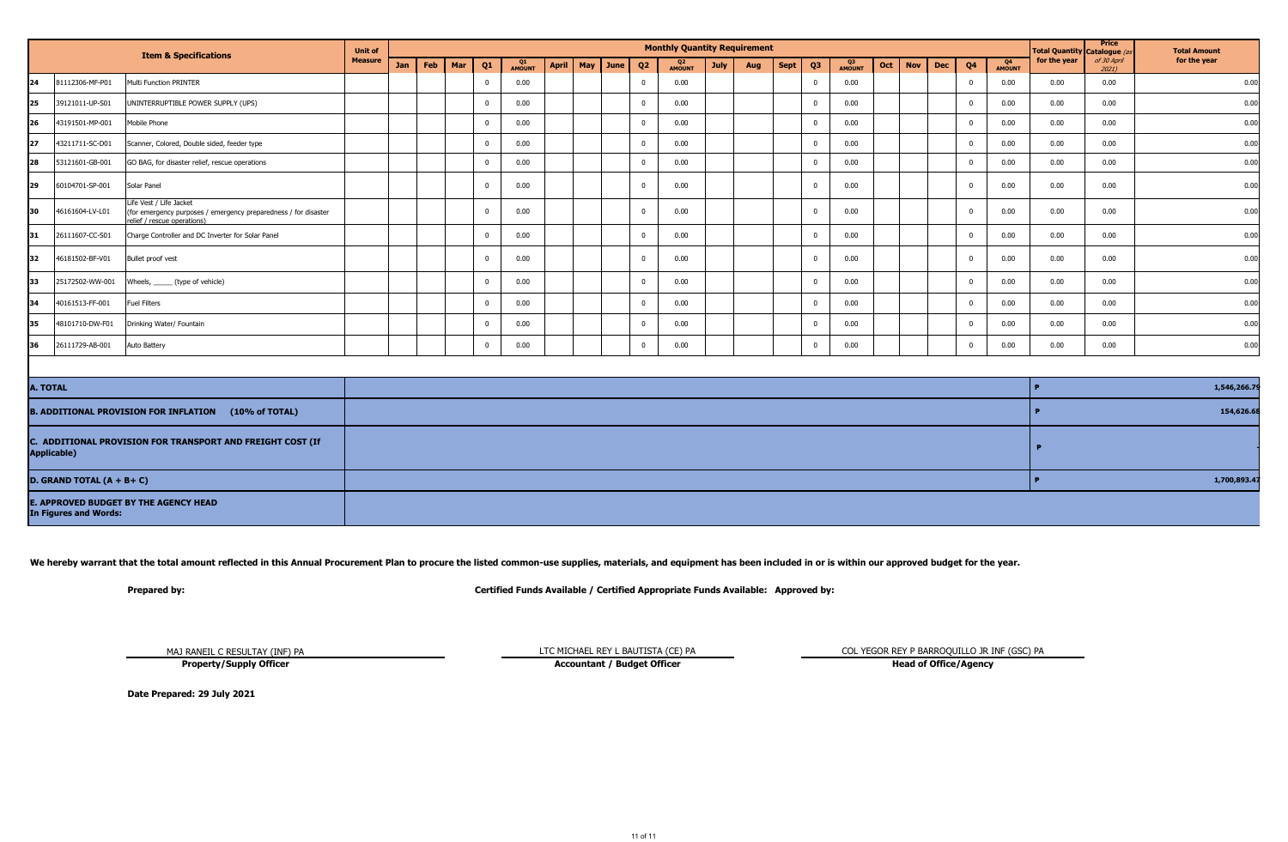|           |                 | <b>Item &amp; Specifications</b>                                                                                          | <b>Unit of</b> |     |     |     |    |              |              |          |                | <b>Monthly Quantity Requirement</b> |             |     |      |                |                     |     |                          |                |                     | Total Quantity Catalogue (as | <b>Price</b>         | <b>Total Amount</b> |
|-----------|-----------------|---------------------------------------------------------------------------------------------------------------------------|----------------|-----|-----|-----|----|--------------|--------------|----------|----------------|-------------------------------------|-------------|-----|------|----------------|---------------------|-----|--------------------------|----------------|---------------------|------------------------------|----------------------|---------------------|
|           |                 |                                                                                                                           | <b>Measure</b> | Jan | Feb | Mar | Q1 | Q1<br>AMOUNT | <b>April</b> | May June | Q <sub>2</sub> | Q2<br><b>AMOUNT</b>                 | <b>July</b> | Aug | Sept | Q <sub>3</sub> | Q3<br><b>AMOUNT</b> | Oct | <b>Nov</b><br><b>Dec</b> | Q <sub>4</sub> | Q4<br><b>AMOUNT</b> | for the year                 | of 30 April<br>20211 | for the year        |
| 24        | 81112306-MF-P01 | Multi Function PRINTER                                                                                                    |                |     |     |     |    | 0.00         |              |          | $\Omega$       | 0.00                                |             |     |      |                | 0.00                |     |                          | $\Omega$       | 0.00                | 0.00                         | 0.00                 | 0.00                |
| 25        | 39121011-UP-S01 | UNINTERRUPTIBLE POWER SUPPLY (UPS)                                                                                        |                |     |     |     |    | 0.00         |              |          | $\Omega$       | 0.00                                |             |     |      |                | 0.00                |     |                          | $\Omega$       | 0.00                | 0.00                         | 0.00                 | 0.00                |
| I26       | 43191501-MP-001 | Mobile Phone                                                                                                              |                |     |     |     |    | 0.00         |              |          | $\Omega$       | 0.00                                |             |     |      |                | 0.00                |     |                          | $\Omega$       | 0.00                | 0.00                         | 0.00                 | 0.00                |
| 127       | 43211711-SC-D01 | Scanner, Colored, Double sided, feeder type                                                                               |                |     |     |     |    | 0.00         |              |          | $\Omega$       | 0.00                                |             |     |      |                | 0.00                |     |                          |                | 0.00                | 0.00                         | 0.00                 | 0.00                |
| <b>28</b> | 53121601-GB-001 | GO BAG, for disaster relief, rescue operations                                                                            |                |     |     |     |    | 0.00         |              |          |                | 0.00                                |             |     |      |                | 0.00                |     |                          |                | 0.00                | 0.00                         | 0.00                 | 0.00                |
| 29        | 60104701-SP-001 | Solar Panel                                                                                                               |                |     |     |     |    | 0.00         |              |          | - 0            | 0.00                                |             |     |      |                | 0.00                |     |                          |                | 0.00                | 0.00                         | 0.00                 | 0.00                |
| 130       | 46161604-LV-L01 | Life Vest / Life Jacket<br>(for emergency purposes / emergency preparedness / for disaster<br>relief / rescue operations) |                |     |     |     |    | 0.00         |              |          | $\Omega$       | 0.00                                |             |     |      |                | 0.00                |     |                          |                | 0.00                | 0.00                         | 0.00                 | 0.00                |
| 31        | 26111607-CC-S01 | Charge Controller and DC Inverter for Solar Panel                                                                         |                |     |     |     |    | 0.00         |              |          |                | 0.00                                |             |     |      |                | 0.00                |     |                          |                | 0.00                | 0.00                         | 0.00                 | 0.00                |
| 32        | 46181502-BF-V01 | Bullet proof vest                                                                                                         |                |     |     |     |    | 0.00         |              |          | $\Omega$       | 0.00                                |             |     |      |                | 0.00                |     |                          |                | 0.00                | 0.00                         | 0.00                 | 0.00                |
| 133       | 25172502-WW-001 | Wheels, ______ (type of vehicle)                                                                                          |                |     |     |     |    | 0.00         |              |          | $\Omega$       | 0.00                                |             |     |      |                | 0.00                |     |                          | $\Omega$       | 0.00                | 0.00                         | 0.00                 | 0.00                |
| 34        | 40161513-FF-001 | <b>Fuel Filters</b>                                                                                                       |                |     |     |     |    | 0.00         |              |          | $\Omega$       | 0.00                                |             |     |      |                | 0.00                |     |                          | $\Omega$       | 0.00                | 0.00                         | 0.00                 | 0.00                |
| 135       | 48101710-DW-F01 | Drinking Water/ Fountain                                                                                                  |                |     |     |     |    | 0.00         |              |          | $\Omega$       | 0.00                                |             |     |      |                | 0.00                |     |                          | $\Omega$       | 0.00                | 0.00                         | 0.00                 | 0.00                |
| 36        | 26111729-AB-001 | Auto Battery                                                                                                              |                |     |     |     |    | 0.00         |              |          | $\Omega$       | 0.00                                |             |     |      |                | 0.00                |     |                          | $\Omega$       | 0.00                | 0.00                         | 0.00                 | 0.00                |

| <b>A. TOTAL</b>                                                                  | 1,546,266.7  |
|----------------------------------------------------------------------------------|--------------|
| $(10\% \text{ of TOTAL})$<br><b>B. ADDITIONAL PROVISION FOR INFLATION</b>        | 154,626.6    |
| C. ADDITIONAL PROVISION FOR TRANSPORT AND FREIGHT COST (If<br><b>Applicable)</b> |              |
| D. GRAND TOTAL $(A + B + C)$                                                     | 1,700,893.47 |
| <b>E. APPROVED BUDGET BY THE AGENCY HEAD</b><br><b>In Figures and Words:</b>     |              |

We hereby warrant that the total amount reflected in this Annual Procurement Plan to procure the listed common-use supplies, materials, and equipment has been included in or is within our approved budget for the year.

**Prepared by: Certified Funds Available / Certified Appropriate Funds Available: Approved by:**

MAJ RANEIL C RESULTAY (INF) PA **Property/Supply Officer**

**Accountant / Budget Officer** 

LTC MICHAEL REY L BAUTISTA (CE) PA COL YEGOR REY P BARROQUILLO JR INF (GSC) PA Accountant / Budget Officer Col YEGOR REY P BARROQUILLO JR INF (GSC) PA

**Date Prepared: 29 July 2021**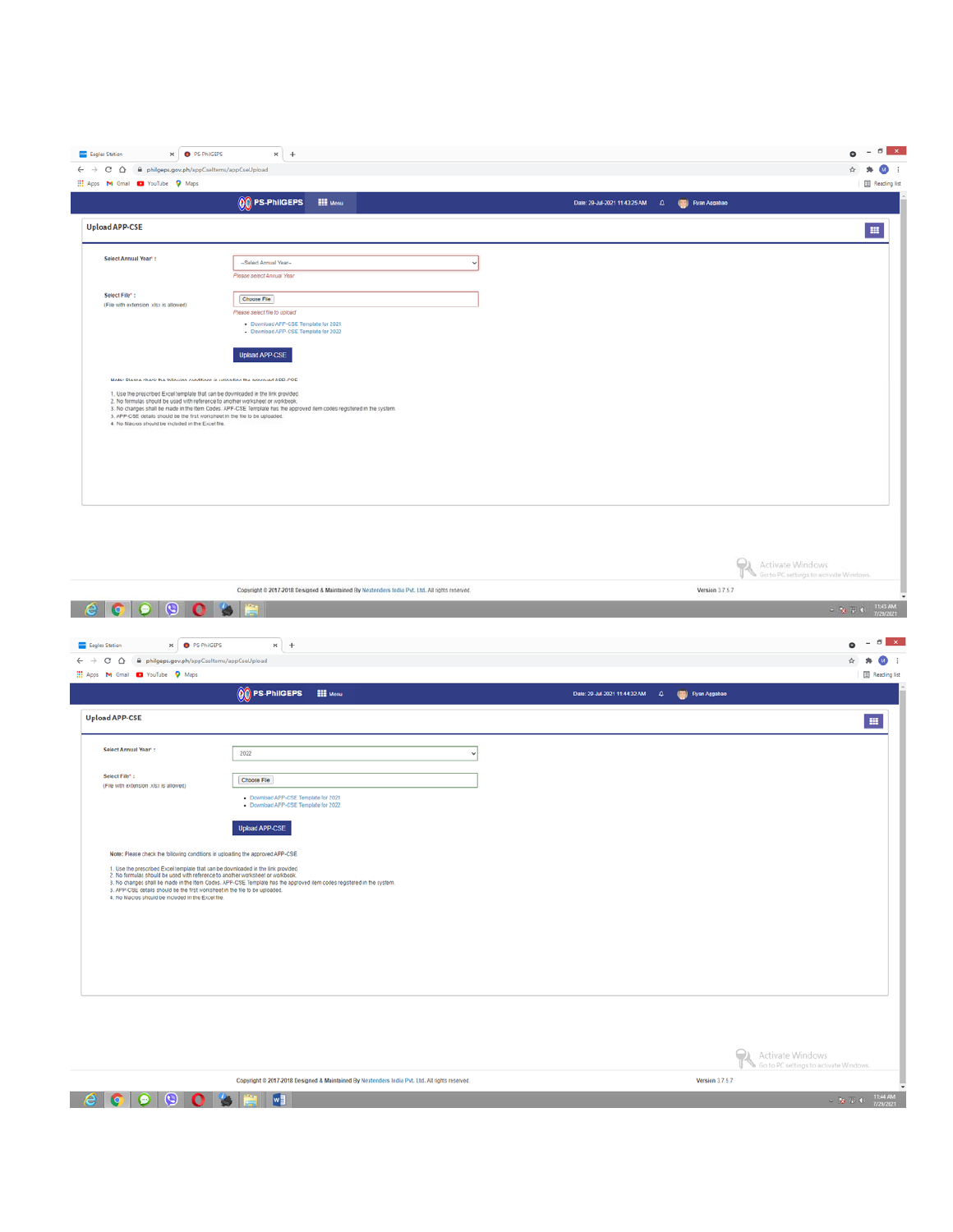| <b>Eagles Station</b><br>x <b>O</b> PS-PhilGEPS                                                                                                                                                                                                                                                                                                                                             | $x +$                                                                                                                                                                                                                                                                                                                                                     |                                                                            | $- 6$ $x$    |
|---------------------------------------------------------------------------------------------------------------------------------------------------------------------------------------------------------------------------------------------------------------------------------------------------------------------------------------------------------------------------------------------|-----------------------------------------------------------------------------------------------------------------------------------------------------------------------------------------------------------------------------------------------------------------------------------------------------------------------------------------------------------|----------------------------------------------------------------------------|--------------|
| $\leftarrow$ $\rightarrow$ C $\Omega$<br>iii philgeps.gov.ph/appCseltems/appCseUpload                                                                                                                                                                                                                                                                                                       |                                                                                                                                                                                                                                                                                                                                                           |                                                                            | $M$ :        |
| He Apps M Gmail C YouTube Q Maps                                                                                                                                                                                                                                                                                                                                                            |                                                                                                                                                                                                                                                                                                                                                           |                                                                            | Reading list |
|                                                                                                                                                                                                                                                                                                                                                                                             | $\begin{picture}(4,4) \put(0,0){\line(1,0){15}} \put(0,0){\line(1,0){15}} \put(0,0){\line(1,0){15}} \put(0,0){\line(1,0){15}} \put(0,0){\line(1,0){15}} \put(0,0){\line(1,0){15}} \put(0,0){\line(1,0){15}} \put(0,0){\line(1,0){15}} \put(0,0){\line(1,0){15}} \put(0,0){\line(1,0){15}} \put(0,0){\line(1,0){15}} \put(0,0){\line(1,0){15}} \put(0,0){$ | (C) Ryan Aggabao<br>Date: 29-Jul-2021 11:43:25 AM 4                        |              |
| <b>Upload APP-CSE</b>                                                                                                                                                                                                                                                                                                                                                                       |                                                                                                                                                                                                                                                                                                                                                           |                                                                            | m.           |
| Select Annual Year*:                                                                                                                                                                                                                                                                                                                                                                        | --Select Annual Year--<br>Please select Annual Year                                                                                                                                                                                                                                                                                                       |                                                                            |              |
| Select File*:<br>(File with extension julsx is allowed)                                                                                                                                                                                                                                                                                                                                     | Choose File<br>Please select file to upload<br>Download APP-CSE Template for 2021<br>Download APP-CSE Template for 2022<br><b>Upload APP-CSE</b>                                                                                                                                                                                                          |                                                                            |              |
| Note: Please check the following conditions in uploading the approved APP-CSE.<br>1. Use the prescribed Excel template that can be downloaded in the link provided.<br>2. No formulas should be used with reference to another worksheet or workbook.<br>3. APP-CSE details should be the first worksheet in the file to be uploaded.<br>4. No Macros should be included in the Excel file. | 3. No changes shall be made in the Item Codes. APP-CSE Template has the approved item codes registered in the system.                                                                                                                                                                                                                                     |                                                                            |              |
|                                                                                                                                                                                                                                                                                                                                                                                             | Convertible @ 2017-2018 Designed & Maintained By Nextendary India Byt 1.M. All rights reserved                                                                                                                                                                                                                                                            | Activate Windows<br>Go to PC settings to activate Windows.<br>Mercine 3767 |              |

Version 3.7.5.7

Copyright © 2017-2018 Designed & Maintained By Nextenders India Pvt. Ltd. All rights reserved.

| <b>9038</b><br>e<br>$\bullet$                                                                                                                                                                                                                                                                                                                                                               |                                                                                                                                                                                                                                                                                                                                                           |                                                          | T1:43 AM<br>$-36.71.0$<br>7/29/2021                                  |
|---------------------------------------------------------------------------------------------------------------------------------------------------------------------------------------------------------------------------------------------------------------------------------------------------------------------------------------------------------------------------------------------|-----------------------------------------------------------------------------------------------------------------------------------------------------------------------------------------------------------------------------------------------------------------------------------------------------------------------------------------------------------|----------------------------------------------------------|----------------------------------------------------------------------|
| x <b>O</b> PS-PhilGEPS<br><b>SSS</b> Eagles Station                                                                                                                                                                                                                                                                                                                                         | $x +$                                                                                                                                                                                                                                                                                                                                                     |                                                          | $\sigma$ x<br>$\overline{\phantom{a}}$<br>$\bullet$                  |
| $\leftarrow$ $\rightarrow$ C $\Omega$<br>iii philgeps.gov.ph/appCseltems/appCseUpload                                                                                                                                                                                                                                                                                                       |                                                                                                                                                                                                                                                                                                                                                           |                                                          | ത                                                                    |
| H Apps M Gmail @ YouTube Q Maps                                                                                                                                                                                                                                                                                                                                                             |                                                                                                                                                                                                                                                                                                                                                           |                                                          | Reading list                                                         |
|                                                                                                                                                                                                                                                                                                                                                                                             | $\begin{picture}(4,4) \put(0,0){\line(0,0){15}} \put(0,0){\line(0,1){15}} \put(1,0){\line(0,1){15}} \put(1,0){\line(0,1){15}} \put(1,0){\line(0,1){15}} \put(1,0){\line(0,1){15}} \put(1,0){\line(0,1){15}} \put(1,0){\line(0,1){15}} \put(1,0){\line(0,1){15}} \put(1,0){\line(0,1){15}} \put(1,0){\line(0,1){15}} \put(1,0){\line(0,1){15}} \put(1,0){$ | Date: 29-Jul-2021 11:44:32 AM<br>(S) Ryan Aggabao<br>- 4 |                                                                      |
| <b>Upload APP-CSE</b>                                                                                                                                                                                                                                                                                                                                                                       |                                                                                                                                                                                                                                                                                                                                                           |                                                          | 田                                                                    |
| Select Annual Year*:                                                                                                                                                                                                                                                                                                                                                                        | 2022<br>$\mathbf{v}$                                                                                                                                                                                                                                                                                                                                      |                                                          |                                                                      |
| Select File*:<br>(File with extension .xlsx is allowed)                                                                                                                                                                                                                                                                                                                                     | Choose File                                                                                                                                                                                                                                                                                                                                               |                                                          |                                                                      |
|                                                                                                                                                                                                                                                                                                                                                                                             | . Download APP-CSE Template for 2021<br>- Download APP-CSE Template for 2022                                                                                                                                                                                                                                                                              |                                                          |                                                                      |
|                                                                                                                                                                                                                                                                                                                                                                                             | <b>Upload APP-CSE</b>                                                                                                                                                                                                                                                                                                                                     |                                                          |                                                                      |
| Note: Please check the following conditions in uploading the approved APP-CSE.<br>1. Use the prescribed Excel template that can be downloaded in the link provided.<br>2. No formulas should be used with reference to another worksheet or workbook.<br>3. APP-CSE details should be the first worksheet in the file to be uploaded.<br>4. No Macros should be included in the Excel file. | 3. No changes shall be made in the Item Codes. APP-CSE Template has the approved item codes registered in the system.                                                                                                                                                                                                                                     |                                                          |                                                                      |
|                                                                                                                                                                                                                                                                                                                                                                                             |                                                                                                                                                                                                                                                                                                                                                           |                                                          |                                                                      |
|                                                                                                                                                                                                                                                                                                                                                                                             |                                                                                                                                                                                                                                                                                                                                                           |                                                          |                                                                      |
|                                                                                                                                                                                                                                                                                                                                                                                             |                                                                                                                                                                                                                                                                                                                                                           |                                                          |                                                                      |
|                                                                                                                                                                                                                                                                                                                                                                                             |                                                                                                                                                                                                                                                                                                                                                           |                                                          | Activate Windows<br>Go to PC settings to activate Windows.           |
|                                                                                                                                                                                                                                                                                                                                                                                             | Copyright @ 2017-2018 Designed & Maintained By Nextenders India Pvt. Ltd. All rights reserved.                                                                                                                                                                                                                                                            |                                                          | <b>Version 3.7.5.7</b>                                               |
| $\odot$<br>0 <sup>1</sup><br>O<br>$\bullet$                                                                                                                                                                                                                                                                                                                                                 | w                                                                                                                                                                                                                                                                                                                                                         |                                                          | $\sim -10^{-4} \nu \cdot 0 = \frac{11544 \text{ AM}}{7/29/2021} \,.$ |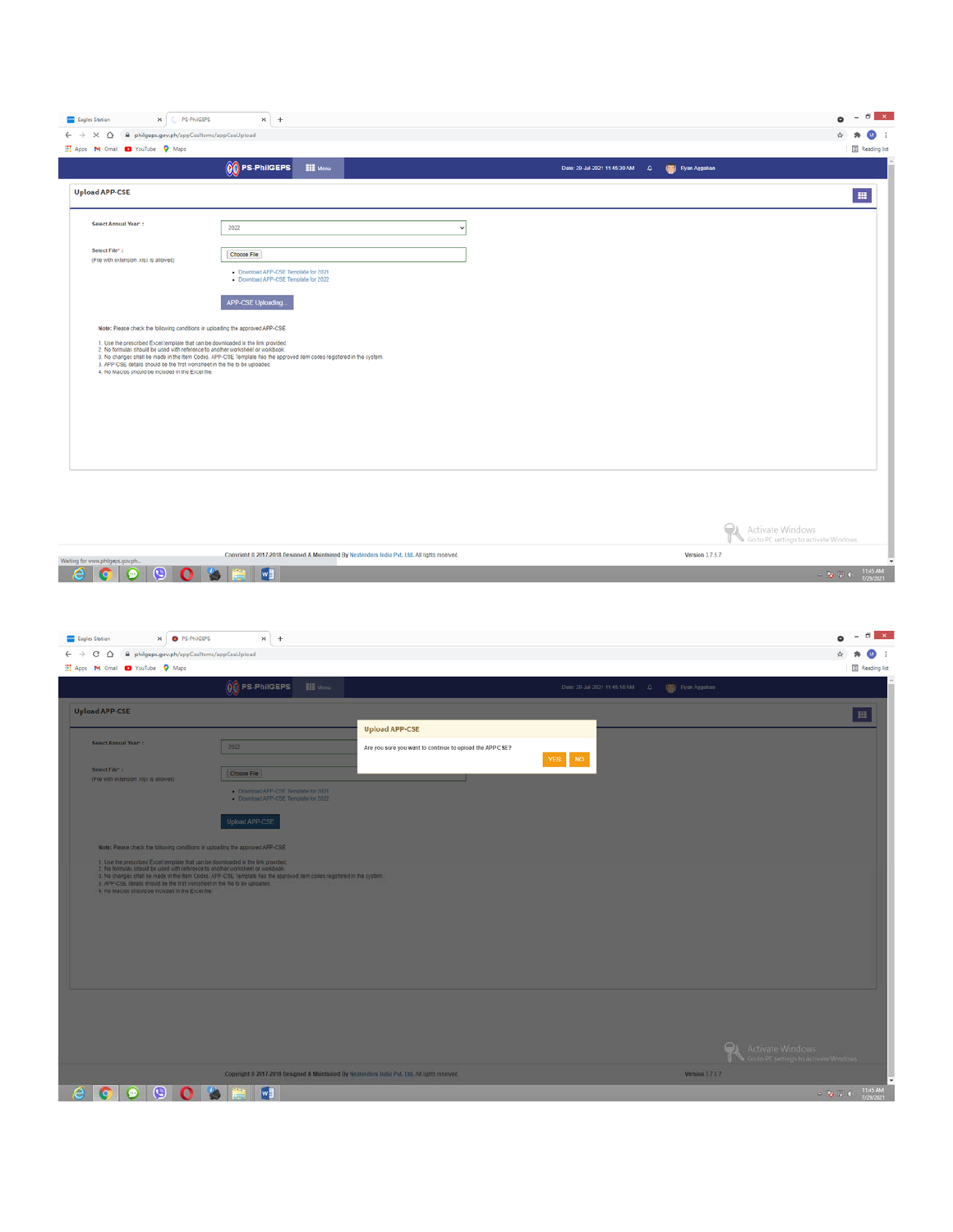| C PS-PhilGEPS<br><b>SEE</b> Eagles Station<br>$\times$                                                                                                                                                                                                                                                                                                                                      | $x +$                                                                                                                                      |                                   | $\mathbf{x}$<br>$\sigma$ 1                                                                                 |
|---------------------------------------------------------------------------------------------------------------------------------------------------------------------------------------------------------------------------------------------------------------------------------------------------------------------------------------------------------------------------------------------|--------------------------------------------------------------------------------------------------------------------------------------------|-----------------------------------|------------------------------------------------------------------------------------------------------------|
| philgeps.gov.ph/appCseltems/appCseUpload<br>$\leftarrow$ $\rightarrow$ $\times$ $\Omega$                                                                                                                                                                                                                                                                                                    |                                                                                                                                            |                                   | (M)                                                                                                        |
| He Apps M Gmail C YouTube Q Maps                                                                                                                                                                                                                                                                                                                                                            | $00$ PS-PhilGEPS<br><b>III</b> Menu                                                                                                        |                                   | <b>B</b> Reading list<br>(C) Ryan Aggabao                                                                  |
|                                                                                                                                                                                                                                                                                                                                                                                             |                                                                                                                                            | Date: 29-Jul-2021 11:45:30 AM $Q$ |                                                                                                            |
| <b>Upload APP-CSE</b>                                                                                                                                                                                                                                                                                                                                                                       |                                                                                                                                            |                                   | $\mathbf{m}$                                                                                               |
| <b>Select Annual Year*:</b>                                                                                                                                                                                                                                                                                                                                                                 | 2022                                                                                                                                       |                                   |                                                                                                            |
| Select File*:<br>(File with extension lotsx is allowed)                                                                                                                                                                                                                                                                                                                                     | Choose File<br>. Download APP-CSE Template for 2021<br>- Download APP-CSE Template for 2022                                                |                                   |                                                                                                            |
| Note: Please check the following conditions in uploading the approved APP-CSE.<br>1. Use the prescribed Excel template that can be downloaded in the link provided.<br>2. No formulas should be used with reference to another worksheet or workbook.<br>3. APP-CSE details should be the first worksheet in the file to be uploaded.<br>4. No Macros should be included in the Excel file. | APP-CSE Uploading<br>3. No changes shall be made in the Item Codes. APP-CSE Template has the approved item codes registered in the system. |                                   |                                                                                                            |
|                                                                                                                                                                                                                                                                                                                                                                                             |                                                                                                                                            |                                   | Activate Windows<br>Go to PC settings to activate Windows.                                                 |
| Waiting for www.philgeps.gov.ph                                                                                                                                                                                                                                                                                                                                                             | Convright @ 2017-2018 Designed & Maintained By Nextenders India Pvt. Ltd. All rights reserved.                                             |                                   | Version 3.7.5.7                                                                                            |
| $\boldsymbol{\Theta}$<br>e<br>c<br>$\Omega$<br>o                                                                                                                                                                                                                                                                                                                                            | $\mathbf{w}$                                                                                                                               |                                   | $\sim \left[ \frac{1}{12} \right] \frac{1}{3} \left[ -0 \right] = \frac{11545 \text{ AM}}{7/29/2021} \, .$ |

| x <b>O</b> PS-PhilGEPS<br><b>SSS</b> Eagles Station                                                                                                                 | $x +$                                                                                                                |                                                          |                                                                     |                                                           | $\sigma$<br>$\mathbf{x}$   |
|---------------------------------------------------------------------------------------------------------------------------------------------------------------------|----------------------------------------------------------------------------------------------------------------------|----------------------------------------------------------|---------------------------------------------------------------------|-----------------------------------------------------------|----------------------------|
| i philgeps.gov.ph/appCseltems/appCseUpload<br>G<br>$\hat{v}$<br>$\leftarrow$ $\rightarrow$<br>Hi Apps M Gmail @ YouTube Q Maps                                      |                                                                                                                      |                                                          |                                                                     |                                                           | M)<br>Reading list         |
|                                                                                                                                                                     | 00 PS-PhilGEPS<br><b>EEE</b> Menu                                                                                    |                                                          | Date: 29-Jul-2021 11:45:18 AM $\qquad \qquad \Box$ (a) Ryan Aggabao |                                                           |                            |
| <b>Upload APP-CSE</b>                                                                                                                                               |                                                                                                                      |                                                          |                                                                     |                                                           | $\mathbb{H}$               |
|                                                                                                                                                                     |                                                                                                                      | <b>Upload APP-CSE</b>                                    |                                                                     |                                                           |                            |
| <b>Select Annual Year*:</b>                                                                                                                                         | 2022                                                                                                                 | Are you sure you want to continue to upload the APP CSE? | YES NO                                                              |                                                           |                            |
| Select File*:<br>(File with extension julsx is allowed)                                                                                                             | Choose File                                                                                                          |                                                          |                                                                     |                                                           |                            |
|                                                                                                                                                                     | Download APP-CSE Template for 2021<br>Download APP-CSE Template for 2022                                             |                                                          |                                                                     |                                                           |                            |
|                                                                                                                                                                     | <b>Upload APP-CSE</b>                                                                                                |                                                          |                                                                     |                                                           |                            |
|                                                                                                                                                                     |                                                                                                                      |                                                          |                                                                     |                                                           |                            |
| Note: Please check the following conditions in uploading the approved APP-CSE.<br>1. Use the prescribed Excel template that can be downloaded in the link provided. |                                                                                                                      |                                                          |                                                                     |                                                           |                            |
| 2, No formulas should be used with reference to another worksheet or workbook.                                                                                      | 3. No changes shall be made in the Item Codes. APP-CSE Template has the approved dem codes registered in the system. |                                                          |                                                                     |                                                           |                            |
| 3. APP-CSE details should be the first worksheet in the file to be uploaded.<br>4. No Macros should be included in the Excel file.                                  |                                                                                                                      |                                                          |                                                                     |                                                           |                            |
|                                                                                                                                                                     |                                                                                                                      |                                                          |                                                                     |                                                           |                            |
|                                                                                                                                                                     |                                                                                                                      |                                                          |                                                                     |                                                           |                            |
|                                                                                                                                                                     |                                                                                                                      |                                                          |                                                                     |                                                           |                            |
|                                                                                                                                                                     |                                                                                                                      |                                                          |                                                                     |                                                           |                            |
|                                                                                                                                                                     |                                                                                                                      |                                                          |                                                                     |                                                           |                            |
|                                                                                                                                                                     |                                                                                                                      |                                                          |                                                                     |                                                           |                            |
|                                                                                                                                                                     |                                                                                                                      |                                                          |                                                                     |                                                           |                            |
|                                                                                                                                                                     |                                                                                                                      |                                                          |                                                                     | Activate Windows<br>Co to PC settings to activate Windows |                            |
|                                                                                                                                                                     | Copyright © 2017-2018 Designed & Maintained By Noxtenders India Pvt. Ltd. All rights reserved.                       |                                                          |                                                                     | Version 3757                                              |                            |
| <b>GOOOSEE</b><br>e                                                                                                                                                 |                                                                                                                      |                                                          |                                                                     |                                                           | <b>T1:45 AM</b><br>$-2.76$ |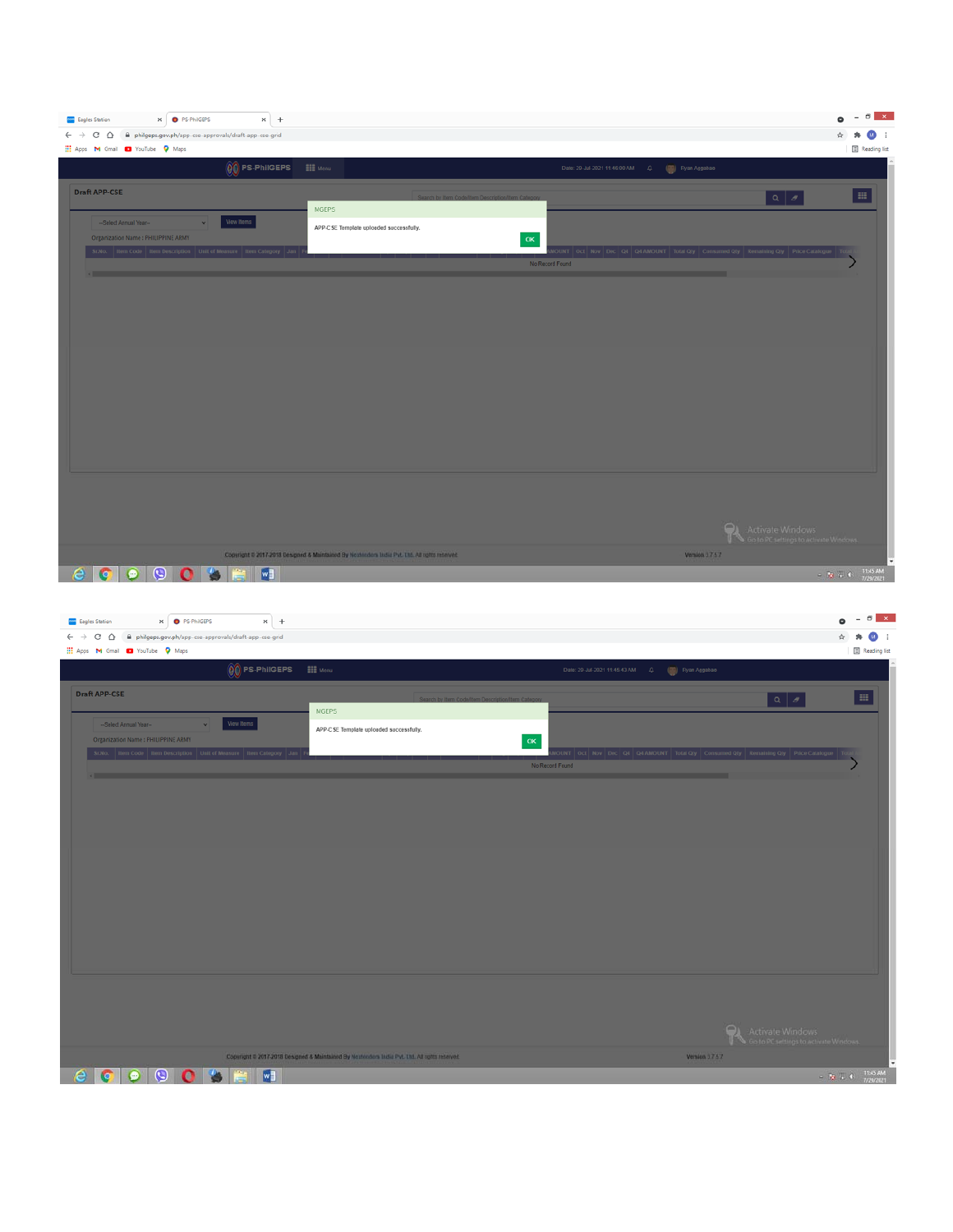| X <b>O</b> PS-PhilGEPS<br>$x +$<br><b>Eagles Station</b>                                          |                                                                                                |                                                            | $    -$<br>۰                                                                                                                              |
|---------------------------------------------------------------------------------------------------|------------------------------------------------------------------------------------------------|------------------------------------------------------------|-------------------------------------------------------------------------------------------------------------------------------------------|
| $\leftarrow$ $\rightarrow$ C $\Omega$<br>iii philgeps.gov.ph/app-cse-approvals/draft-app-cse-grid |                                                                                                |                                                            | ☆                                                                                                                                         |
| THE Apps M Gmail C YouTube Q Maps                                                                 |                                                                                                |                                                            | Reading list                                                                                                                              |
| $\boxed{\begin{matrix} 0 \\ 0 \end{matrix}}$ PS-PhilGEPS                                          | $\frac{100}{1000}$ Menu                                                                        | Date: 29-Jul-2021 11:46:00 AM    Q.    (W)    Ryan Aggabao |                                                                                                                                           |
| <b>Draft APP-CSE</b>                                                                              |                                                                                                |                                                            | $\boxplus$<br>$\alpha$ $\sigma$                                                                                                           |
|                                                                                                   | <b>MGEPS</b>                                                                                   |                                                            |                                                                                                                                           |
| View Items<br>-Select Annual Year-<br>$\mathbf{v}$                                                | APP-CSE Template uploaded successfully.                                                        |                                                            |                                                                                                                                           |
| Organization Name : PHILIPPINE ARMY                                                               |                                                                                                | $_{\rm OK}$                                                |                                                                                                                                           |
| Sr.No.   Item Code   Item Description   Unit of Measure   Item Category   Jan                     |                                                                                                | No Record Found                                            | IOUNT Oct Nov Dec Q4 Q4 AMOUNT Total Qty Consumed Qty Remaining Qty Price Catalogue To                                                    |
| <b>COLLECTION</b>                                                                                 |                                                                                                |                                                            |                                                                                                                                           |
|                                                                                                   |                                                                                                |                                                            |                                                                                                                                           |
|                                                                                                   |                                                                                                |                                                            |                                                                                                                                           |
|                                                                                                   |                                                                                                |                                                            |                                                                                                                                           |
|                                                                                                   |                                                                                                |                                                            |                                                                                                                                           |
|                                                                                                   |                                                                                                |                                                            |                                                                                                                                           |
|                                                                                                   |                                                                                                |                                                            |                                                                                                                                           |
|                                                                                                   |                                                                                                |                                                            |                                                                                                                                           |
|                                                                                                   |                                                                                                |                                                            |                                                                                                                                           |
|                                                                                                   |                                                                                                |                                                            |                                                                                                                                           |
|                                                                                                   |                                                                                                |                                                            |                                                                                                                                           |
|                                                                                                   |                                                                                                |                                                            |                                                                                                                                           |
|                                                                                                   |                                                                                                |                                                            |                                                                                                                                           |
|                                                                                                   |                                                                                                |                                                            |                                                                                                                                           |
|                                                                                                   |                                                                                                |                                                            |                                                                                                                                           |
|                                                                                                   |                                                                                                |                                                            |                                                                                                                                           |
|                                                                                                   |                                                                                                |                                                            |                                                                                                                                           |
|                                                                                                   |                                                                                                |                                                            | Activate Windows<br>Co to PC settings to activity Windows                                                                                 |
|                                                                                                   | Copyright © 2017-2018 Designed & Maintained By Noxtenders India Pvt. Ltd. All rights reserved. |                                                            | Version 3757                                                                                                                              |
| <b>QOOCH</b><br>$\mathbf{w}$<br>e                                                                 |                                                                                                |                                                            | $\frac{1}{2} \left( \frac{1}{2} \frac{1}{2} \right)^2 \frac{1}{2} \left( 1 - \frac{1}{2} \right)^2 = \frac{11.45 \text{ AM}}{7/2972021}.$ |
|                                                                                                   |                                                                                                |                                                            |                                                                                                                                           |
|                                                                                                   |                                                                                                |                                                            |                                                                                                                                           |